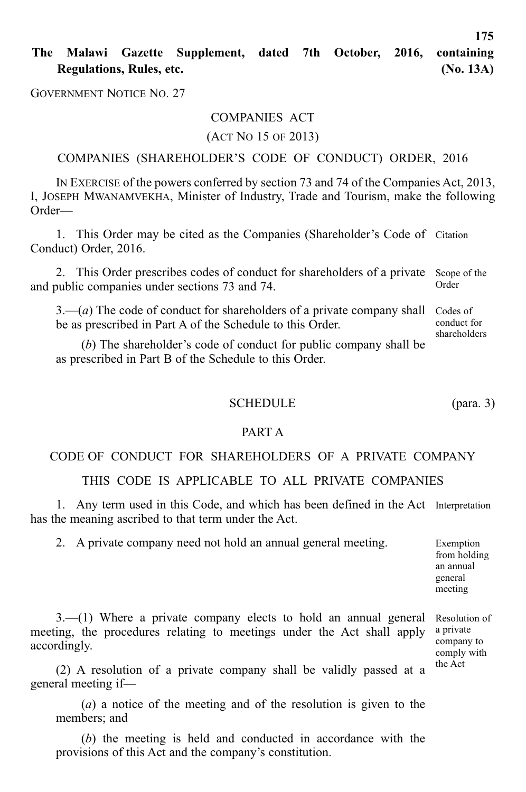**The Malawi Gazette Supplement, dated 7th October, 2016, containing Regulations, Rules, etc. (No. 13A)**

GOVERNMENT NOTICE NO. 27

## COMPANIES ACT

(ACT NO 15 OF 2013)

# COMPANIES (SHAREHOLDER'S CODE OF CONDUCT) ORDER, 2016

IN EXERCISE of the powers conferred by section 73 and 74 of the Companies Act, 2013, I, JOSEPH MWANAMVEKHA, Minister of Industry, Trade and Tourism, make the following Order—

1. This Order may be cited as the Companies (Shareholder's Code of Citation Conduct) Order, 2016.

2. This Order prescribes codes of conduct for shareholders of a private and public companies under sections 73 and 74. Scope of the Order

3.—(*a*) The code of conduct for shareholders of a private company shall Codes of be as prescribed in Part A of the Schedule to this Order. conduct for shareholders

(*b*) The shareholder's code of conduct for public company shall be as prescribed in Part B of the Schedule to this Order.

## SCHEDULE (para. 3)

#### PART A

## CODE OF CONDUCT FOR SHAREHOLDERS OF A PRIVATE COMPANY

# THIS CODE IS APPLICABLE TO ALL PRIVATE COMPANIES

1. Any term used in this Code, and which has been defined in the Act Interpretation has the meaning ascribed to that term under the Act.

2. A private company need not hold an annual general meeting.

from holding an annual general meeting

3.—(1) Where a private company elects to hold an annual general meeting, the procedures relating to meetings under the Act shall apply accordingly.

(2) A resolution of a private company shall be validly passed at a general meeting if—

(*a*) a notice of the meeting and of the resolution is given to the members; and

(*b*) the meeting is held and conducted in accordance with the provisions of this Act and the company's constitution.

Exemption

Resolution of a private company to comply with the Act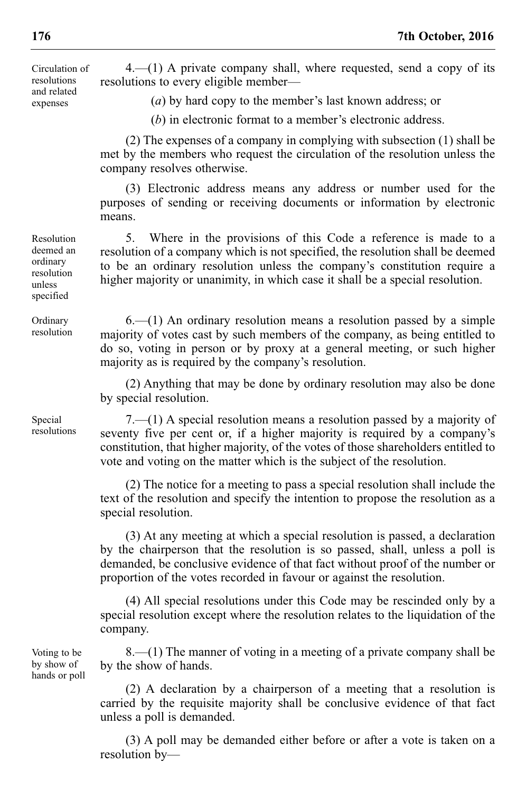Circulation of resolutions and related expenses

 $4-(1)$  A private company shall, where requested, send a copy of its resolutions to every eligible member—

(*a*) by hard copy to the member's last known address; or

(*b*) in electronic format to a member's electronic address.

(2) The expenses of a company in complying with subsection (1) shall be met by the members who request the circulation of the resolution unless the company resolves otherwise.

(3) Electronic address means any address or number used for the purposes of sending or receiving documents or information by electronic means.

5. Where in the provisions of this Code a reference is made to a resolution of a company which is not specified, the resolution shall be deemed to be an ordinary resolution unless the company's constitution require a higher majority or unanimity, in which case it shall be a special resolution.

 $6-(1)$  An ordinary resolution means a resolution passed by a simple majority of votes cast by such members of the company, as being entitled to do so, voting in person or by proxy at a general meeting, or such higher majority as is required by the company's resolution.

(2) Anything that may be done by ordinary resolution may also be done by special resolution.

7.—(1) A special resolution means a resolution passed by a majority of seventy five per cent or, if a higher majority is required by a company's constitution, that higher majority, of the votes of those shareholders entitled to vote and voting on the matter which is the subject of the resolution.

(2) The notice for a meeting to pass a special resolution shall include the text of the resolution and specify the intention to propose the resolution as a special resolution.

(3) At any meeting at which a special resolution is passed, a declaration by the chairperson that the resolution is so passed, shall, unless a poll is demanded, be conclusive evidence of that fact without proof of the number or proportion of the votes recorded in favour or against the resolution.

(4) All special resolutions under this Code may be rescinded only by a special resolution except where the resolution relates to the liquidation of the company.

8.—(1) The manner of voting in a meeting of a private company shall be by the show of hands.

(2) A declaration by a chairperson of a meeting that a resolution is carried by the requisite majority shall be conclusive evidence of that fact unless a poll is demanded.

(3) A poll may be demanded either before or after a vote is taken on a resolution by—

Resolution deemed an ordinary resolution unless specified

**Ordinary** resolution

Special resolutions

Voting to be by show of hands or poll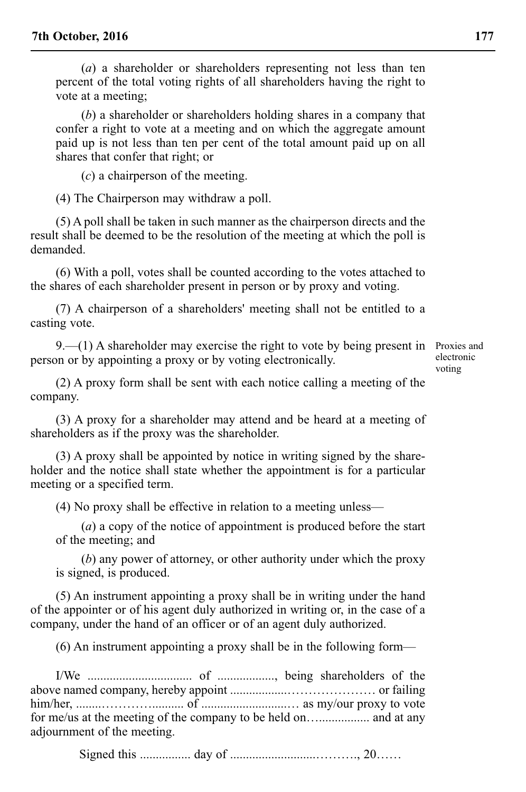(*a*) a shareholder or shareholders representing not less than ten percent of the total voting rights of all shareholders having the right to vote at a meeting;

(*b*) a shareholder or shareholders holding shares in a company that confer a right to vote at a meeting and on which the aggregate amount paid up is not less than ten per cent of the total amount paid up on all shares that confer that right; or

(*c*) a chairperson of the meeting.

(4) The Chairperson may withdraw a poll.

(5) A poll shall be taken in such manner as the chairperson directs and the result shall be deemed to be the resolution of the meeting at which the poll is demanded.

(6) With a poll, votes shall be counted according to the votes attached to the shares of each shareholder present in person or by proxy and voting.

(7) A chairperson of a shareholders' meeting shall not be entitled to a casting vote.

9.—(1) A shareholder may exercise the right to vote by being present in Proxies and person or by appointing a proxy or by voting electronically.

electronic voting

(2) A proxy form shall be sent with each notice calling a meeting of the company.

(3) A proxy for a shareholder may attend and be heard at a meeting of shareholders as if the proxy was the shareholder.

(3) A proxy shall be appointed by notice in writing signed by the shareholder and the notice shall state whether the appointment is for a particular meeting or a specified term.

(4) No proxy shall be effective in relation to a meeting unless—

(*a*) a copy of the notice of appointment is produced before the start of the meeting; and

(*b*) any power of attorney, or other authority under which the proxy is signed, is produced.

(5) An instrument appointing a proxy shall be in writing under the hand of the appointer or of his agent duly authorized in writing or, in the case of a company, under the hand of an officer or of an agent duly authorized.

(6) An instrument appointing a proxy shall be in the following form—

I/We ................................. of .................., being shareholders of the above named company, hereby appoint ..................………………… or failing him/her, ........………….......... of ...........................… as my/our proxy to vote for me/us at the meeting of the company to be held on…................ and at any adjournment of the meeting.

Signed this ................ day of ...........................………., 20……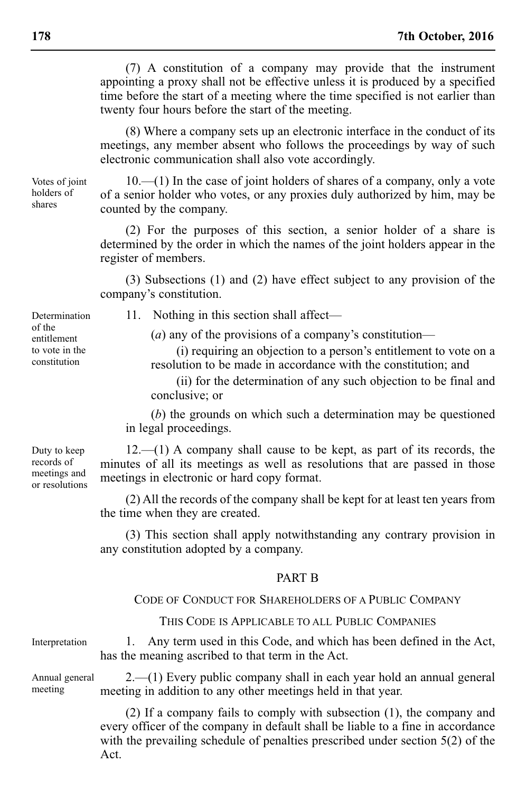(7) A constitution of a company may provide that the instrument appointing a proxy shall not be effective unless it is produced by a specified time before the start of a meeting where the time specified is not earlier than twenty four hours before the start of the meeting.

(8) Where a company sets up an electronic interface in the conduct of its meetings, any member absent who follows the proceedings by way of such electronic communication shall also vote accordingly.

Votes of joint holders of shares

10.—(1) In the case of joint holders of shares of a company, only a vote of a senior holder who votes, or any proxies duly authorized by him, may be counted by the company.

(2) For the purposes of this section, a senior holder of a share is determined by the order in which the names of the joint holders appear in the register of members.

(3) Subsections (1) and (2) have effect subject to any provision of the company's constitution.

11. Nothing in this section shall affect—

(*a*) any of the provisions of a company's constitution—

(i) requiring an objection to a person's entitlement to vote on a resolution to be made in accordance with the constitution; and

(ii) for the determination of any such objection to be final and conclusive; or

(*b*) the grounds on which such a determination may be questioned in legal proceedings.

 $12$ —(1) A company shall cause to be kept, as part of its records, the minutes of all its meetings as well as resolutions that are passed in those meetings in electronic or hard copy format. or resolutions

> (2) All the records of the company shall be kept for at least ten years from the time when they are created.

> (3) This section shall apply notwithstanding any contrary provision in any constitution adopted by a company.

## PART B

CODE OF CONDUCT FOR SHAREHOLDERS OF A PUBLIC COMPANY

THIS CODE IS APPLICABLE TO ALL PUBLIC COMPANIES

1. Any term used in this Code, and which has been defined in the Act,

Interpretation

Annual general meeting

2.—(1) Every public company shall in each year hold an annual general meeting in addition to any other meetings held in that year.

has the meaning ascribed to that term in the Act.

(2) If a company fails to comply with subsection (1), the company and every officer of the company in default shall be liable to a fine in accordance with the prevailing schedule of penalties prescribed under section 5(2) of the Act.

Duty to keep records of meetings and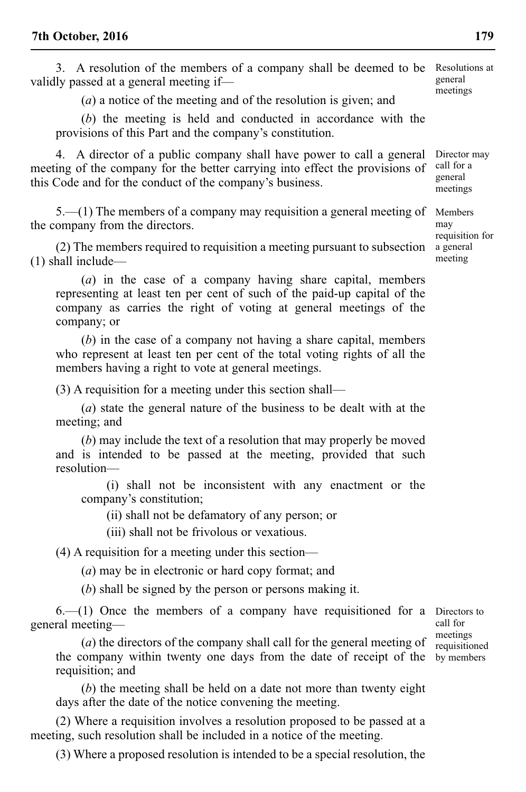3. A resolution of the members of a company shall be deemed to be Resolutions at validly passed at a general meeting if general

(*a*) a notice of the meeting and of the resolution is given; and

(*b*) the meeting is held and conducted in accordance with the provisions of this Part and the company's constitution.

4. A director of a public company shall have power to call a general meeting of the company for the better carrying into effect the provisions of this Code and for the conduct of the company's business. Director may call for a general

5.—(1) The members of a company may requisition a general meeting of the company from the directors.

(2) The members required to requisition a meeting pursuant to subsection (1) shall include—

(*a*) in the case of a company having share capital, members representing at least ten per cent of such of the paid-up capital of the company as carries the right of voting at general meetings of the company; or

(*b*) in the case of a company not having a share capital, members who represent at least ten per cent of the total voting rights of all the members having a right to vote at general meetings.

(3) A requisition for a meeting under this section shall—

(*a*) state the general nature of the business to be dealt with at the meeting; and

(*b*) may include the text of a resolution that may properly be moved and is intended to be passed at the meeting, provided that such resolution—

(i) shall not be inconsistent with any enactment or the company's constitution;

(ii) shall not be defamatory of any person; or

(iii) shall not be frivolous or vexatious.

(4) A requisition for a meeting under this section—

(*a*) may be in electronic or hard copy format; and

(*b*) shall be signed by the person or persons making it.

6.—(1) Once the members of a company have requisitioned for a Directors to general meeting—

(*a*) the directors of the company shall call for the general meeting of the company within twenty one days from the date of receipt of the requisition; and

(*b*) the meeting shall be held on a date not more than twenty eight days after the date of the notice convening the meeting.

(2) Where a requisition involves a resolution proposed to be passed at a meeting, such resolution shall be included in a notice of the meeting.

(3) Where a proposed resolution is intended to be a special resolution, the

call for meetings requisitioned by members

meetings Members may requisition for

a general meeting

meetings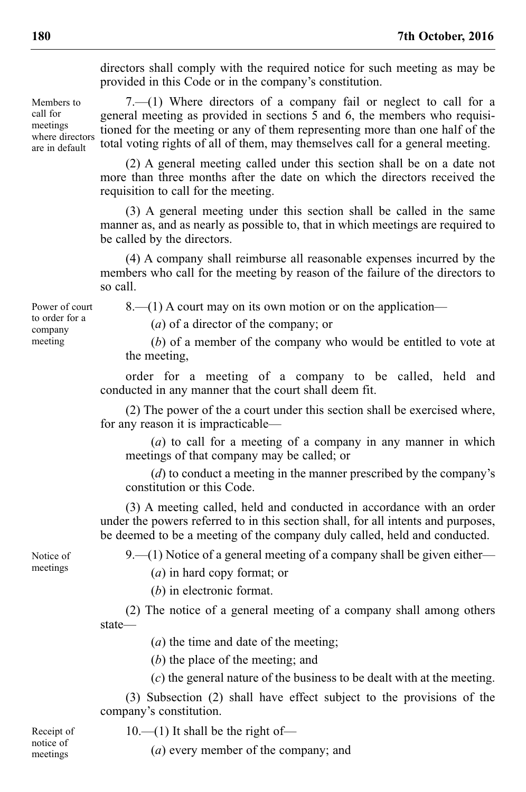directors shall comply with the required notice for such meeting as may be provided in this Code or in the company's constitution.

7.—(1) Where directors of a company fail or neglect to call for a general meeting as provided in sections 5 and 6, the members who requisitioned for the meeting or any of them representing more than one half of the total voting rights of all of them, may themselves call for a general meeting. where directors

> (2) A general meeting called under this section shall be on a date not more than three months after the date on which the directors received the requisition to call for the meeting.

> (3) A general meeting under this section shall be called in the same manner as, and as nearly as possible to, that in which meetings are required to be called by the directors.

> (4) A company shall reimburse all reasonable expenses incurred by the members who call for the meeting by reason of the failure of the directors to so call.

Power of court to order for a company meeting

8.—(1) A court may on its own motion or on the application—

(*a*) of a director of the company; or

(*b*) of a member of the company who would be entitled to vote at the meeting,

order for a meeting of a company to be called, held and conducted in any manner that the court shall deem fit.

(2) The power of the a court under this section shall be exercised where, for any reason it is impracticable—

(*a*) to call for a meeting of a company in any manner in which meetings of that company may be called; or

(*d*) to conduct a meeting in the manner prescribed by the company's constitution or this Code.

(3) A meeting called, held and conducted in accordance with an order under the powers referred to in this section shall, for all intents and purposes, be deemed to be a meeting of the company duly called, held and conducted.

Notice of meetings

9.—(1) Notice of a general meeting of a company shall be given either—

(*a*) in hard copy format; or

(*b*) in electronic format.

(2) The notice of a general meeting of a company shall among others state—

(*a*) the time and date of the meeting;

(*b*) the place of the meeting; and

(*c*) the general nature of the business to be dealt with at the meeting.

(3) Subsection (2) shall have effect subject to the provisions of the company's constitution.

Receipt of notice of meetings

 $10$ — $(1)$  It shall be the right of—

(*a*) every member of the company; and

Members to call for meetings

are in default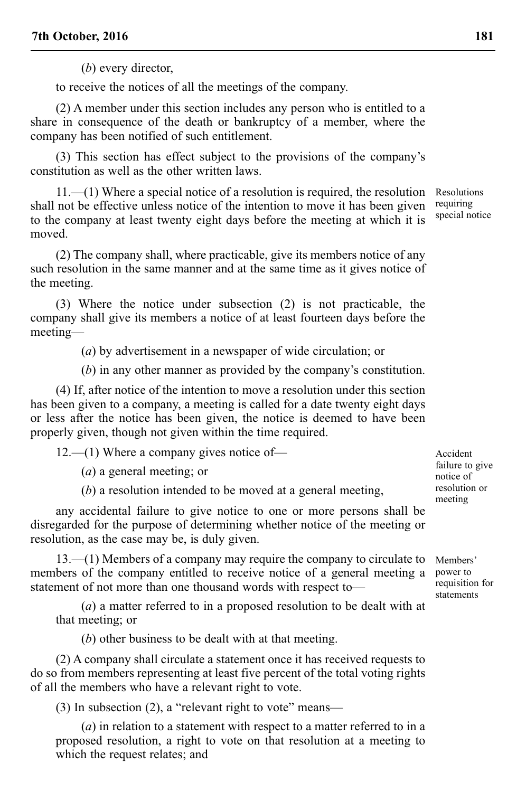(*b*) every director,

to receive the notices of all the meetings of the company.

(2) A member under this section includes any person who is entitled to a share in consequence of the death or bankruptcy of a member, where the company has been notified of such entitlement.

(3) This section has effect subject to the provisions of the company's constitution as well as the other written laws.

11.—(1) Where a special notice of a resolution is required, the resolution shall not be effective unless notice of the intention to move it has been given to the company at least twenty eight days before the meeting at which it is moved.

(2) The company shall, where practicable, give its members notice of any such resolution in the same manner and at the same time as it gives notice of the meeting.

(3) Where the notice under subsection (2) is not practicable, the company shall give its members a notice of at least fourteen days before the meeting—

(*a*) by advertisement in a newspaper of wide circulation; or

(*b*) in any other manner as provided by the company's constitution.

(4) If, after notice of the intention to move a resolution under this section has been given to a company, a meeting is called for a date twenty eight days or less after the notice has been given, the notice is deemed to have been properly given, though not given within the time required.

12.—(1) Where a company gives notice of—

(*a*) a general meeting; or

(*b*) a resolution intended to be moved at a general meeting,

any accidental failure to give notice to one or more persons shall be disregarded for the purpose of determining whether notice of the meeting or resolution, as the case may be, is duly given.

13.—(1) Members of a company may require the company to circulate to members of the company entitled to receive notice of a general meeting a statement of not more than one thousand words with respect to—

(*a*) a matter referred to in a proposed resolution to be dealt with at that meeting; or

(*b*) other business to be dealt with at that meeting.

(2) A company shall circulate a statement once it has received requests to do so from members representing at least five percent of the total voting rights of all the members who have a relevant right to vote.

(3) In subsection (2), a "relevant right to vote" means—

(*a*) in relation to a statement with respect to a matter referred to in a proposed resolution, a right to vote on that resolution at a meeting to which the request relates; and

Accident failure to give notice of resolution or meeting

Members' power to requisition for statements

Resolutions requiring special notice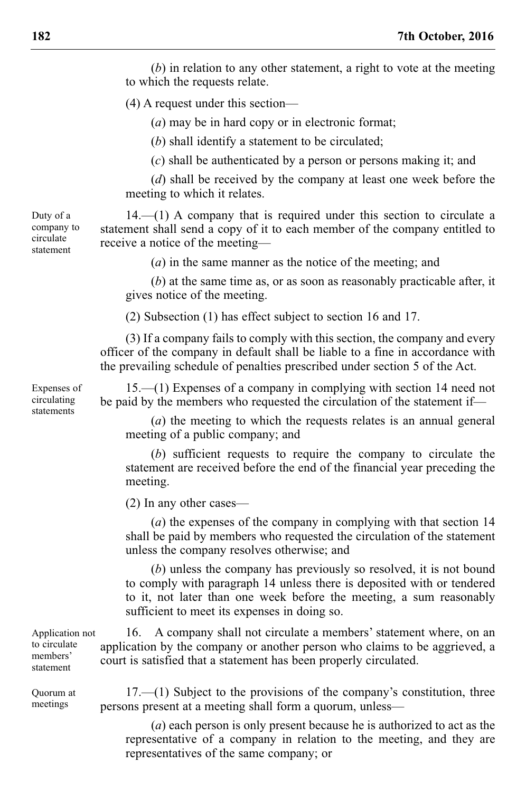(*b*) in relation to any other statement, a right to vote at the meeting to which the requests relate.

(4) A request under this section—

(*a*) may be in hard copy or in electronic format;

(*b*) shall identify a statement to be circulated;

(*c*) shall be authenticated by a person or persons making it; and

(*d*) shall be received by the company at least one week before the meeting to which it relates.

14.—(1) A company that is required under this section to circulate a statement shall send a copy of it to each member of the company entitled to receive a notice of the meeting—

(*a*) in the same manner as the notice of the meeting; and

(*b*) at the same time as, or as soon as reasonably practicable after, it gives notice of the meeting.

(2) Subsection (1) has effect subject to section 16 and 17.

(3) If a company fails to comply with this section, the company and every officer of the company in default shall be liable to a fine in accordance with the prevailing schedule of penalties prescribed under section 5 of the Act.

15.—(1) Expenses of a company in complying with section 14 need not be paid by the members who requested the circulation of the statement if—

(*a*) the meeting to which the requests relates is an annual general meeting of a public company; and

(*b*) sufficient requests to require the company to circulate the statement are received before the end of the financial year preceding the meeting.

(2) In any other cases—

(*a*) the expenses of the company in complying with that section 14 shall be paid by members who requested the circulation of the statement unless the company resolves otherwise; and

(*b*) unless the company has previously so resolved, it is not bound to comply with paragraph 14 unless there is deposited with or tendered to it, not later than one week before the meeting, a sum reasonably sufficient to meet its expenses in doing so.

16. A company shall not circulate a members' statement where, on an application by the company or another person who claims to be aggrieved, a court is satisfied that a statement has been properly circulated. Application not

> 17.—(1) Subject to the provisions of the company's constitution, three persons present at a meeting shall form a quorum, unless—

(*a*) each person is only present because he is authorized to act as the representative of a company in relation to the meeting, and they are representatives of the same company; or

Duty of a company to circulate statement

Expenses of circulating statements

to circulate members' statement

Quorum at meetings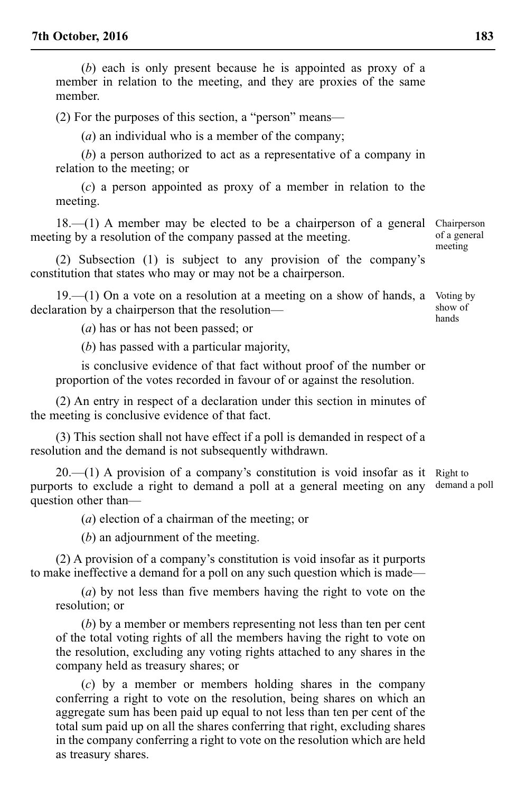(*b*) each is only present because he is appointed as proxy of a member in relation to the meeting, and they are proxies of the same member.

(2) For the purposes of this section, a "person" means—

(*a*) an individual who is a member of the company;

(*b*) a person authorized to act as a representative of a company in relation to the meeting; or

(*c*) a person appointed as proxy of a member in relation to the meeting.

18.—(1) A member may be elected to be a chairperson of a general meeting by a resolution of the company passed at the meeting.

(2) Subsection (1) is subject to any provision of the company's constitution that states who may or may not be a chairperson.

19.—(1) On a vote on a resolution at a meeting on a show of hands, a declaration by a chairperson that the resolution—

(*a*) has or has not been passed; or

(*b*) has passed with a particular majority,

is conclusive evidence of that fact without proof of the number or proportion of the votes recorded in favour of or against the resolution.

(2) An entry in respect of a declaration under this section in minutes of the meeting is conclusive evidence of that fact.

(3) This section shall not have effect if a poll is demanded in respect of a resolution and the demand is not subsequently withdrawn.

20.—(1) A provision of a company's constitution is void insofar as it purports to exclude a right to demand a poll at a general meeting on any question other than— Right to demand a poll

(*a*) election of a chairman of the meeting; or

(*b*) an adjournment of the meeting.

(2) A provision of a company's constitution is void insofar as it purports to make ineffective a demand for a poll on any such question which is made—

(*a*) by not less than five members having the right to vote on the resolution; or

(*b*) by a member or members representing not less than ten per cent of the total voting rights of all the members having the right to vote on the resolution, excluding any voting rights attached to any shares in the company held as treasury shares; or

(*c*) by a member or members holding shares in the company conferring a right to vote on the resolution, being shares on which an aggregate sum has been paid up equal to not less than ten per cent of the total sum paid up on all the shares conferring that right, excluding shares in the company conferring a right to vote on the resolution which are held as treasury shares.

Chairperson of a general meeting

Voting by show of hands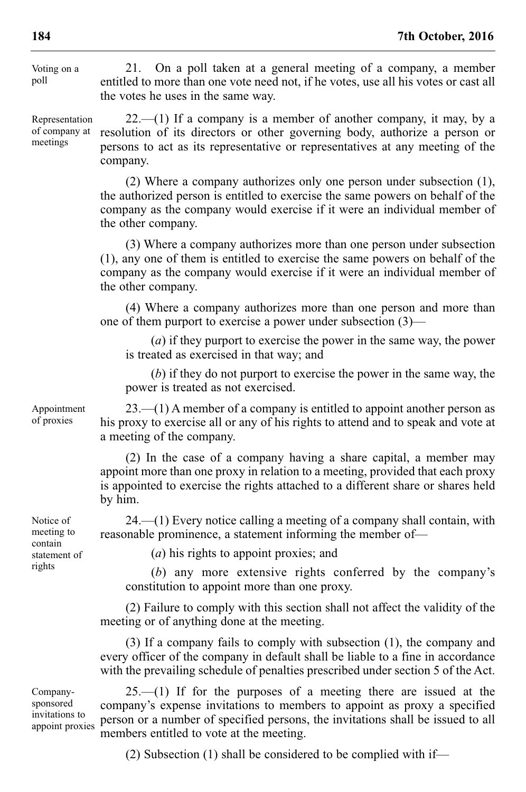21. On a poll taken at a general meeting of a company, a member entitled to more than one vote need not, if he votes, use all his votes or cast all the votes he uses in the same way. Voting on a poll

 $22$ —(1) If a company is a member of another company, it may, by a resolution of its directors or other governing body, authorize a person or persons to act as its representative or representatives at any meeting of the company. Representation of company at meetings

> (2) Where a company authorizes only one person under subsection (1), the authorized person is entitled to exercise the same powers on behalf of the company as the company would exercise if it were an individual member of the other company.

> (3) Where a company authorizes more than one person under subsection (1), any one of them is entitled to exercise the same powers on behalf of the company as the company would exercise if it were an individual member of the other company.

> (4) Where a company authorizes more than one person and more than one of them purport to exercise a power under subsection (3)—

(*a*) if they purport to exercise the power in the same way, the power is treated as exercised in that way; and

(*b*) if they do not purport to exercise the power in the same way, the power is treated as not exercised.

 $23$ .—(1) A member of a company is entitled to appoint another person as his proxy to exercise all or any of his rights to attend and to speak and vote at a meeting of the company.

(2) In the case of a company having a share capital, a member may appoint more than one proxy in relation to a meeting, provided that each proxy is appointed to exercise the rights attached to a different share or shares held by him.

 $24.$ —(1) Every notice calling a meeting of a company shall contain, with reasonable prominence, a statement informing the member of—

(*a*) his rights to appoint proxies; and

(*b*) any more extensive rights conferred by the company's constitution to appoint more than one proxy.

(2) Failure to comply with this section shall not affect the validity of the meeting or of anything done at the meeting.

(3) If a company fails to comply with subsection (1), the company and every officer of the company in default shall be liable to a fine in accordance with the prevailing schedule of penalties prescribed under section 5 of the Act.

Companysponsored invitations to appoint proxies

25.—(1) If for the purposes of a meeting there are issued at the company's expense invitations to members to appoint as proxy a specified person or a number of specified persons, the invitations shall be issued to all members entitled to vote at the meeting.

(2) Subsection (1) shall be considered to be complied with if—

Appointment of proxies

rights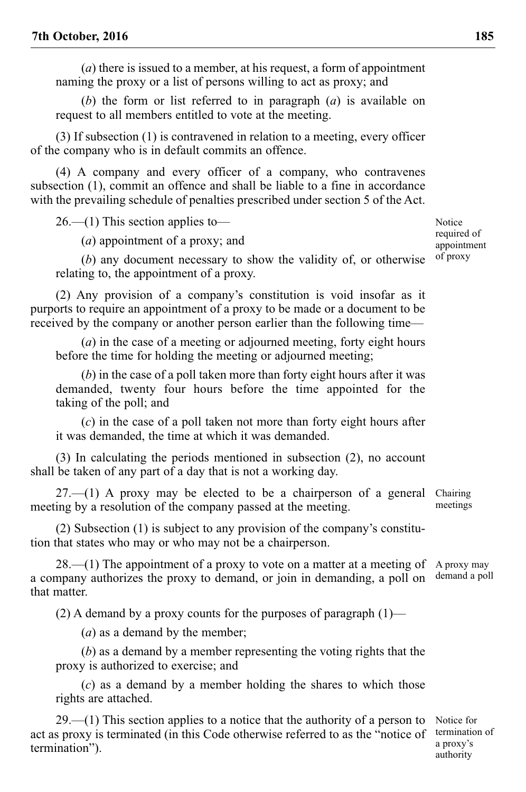(*a*) there is issued to a member, at his request, a form of appointment naming the proxy or a list of persons willing to act as proxy; and

(*b*) the form or list referred to in paragraph (*a*) is available on request to all members entitled to vote at the meeting.

(3) If subsection (1) is contravened in relation to a meeting, every officer of the company who is in default commits an offence.

(4) A company and every officer of a company, who contravenes subsection (1), commit an offence and shall be liable to a fine in accordance with the prevailing schedule of penalties prescribed under section 5 of the Act.

26.—(1) This section applies to—

(*a*) appointment of a proxy; and

(*b*) any document necessary to show the validity of, or otherwise relating to, the appointment of a proxy.

(2) Any provision of a company's constitution is void insofar as it purports to require an appointment of a proxy to be made or a document to be received by the company or another person earlier than the following time—

(*a*) in the case of a meeting or adjourned meeting, forty eight hours before the time for holding the meeting or adjourned meeting;

(*b*) in the case of a poll taken more than forty eight hours after it was demanded, twenty four hours before the time appointed for the taking of the poll; and

(*c*) in the case of a poll taken not more than forty eight hours after it was demanded, the time at which it was demanded.

(3) In calculating the periods mentioned in subsection (2), no account shall be taken of any part of a day that is not a working day.

 $27.$ —(1) A proxy may be elected to be a chairperson of a general meeting by a resolution of the company passed at the meeting. Chairing meetings

(2) Subsection (1) is subject to any provision of the company's constitution that states who may or who may not be a chairperson.

 $28$ .—(1) The appointment of a proxy to vote on a matter at a meeting of A proxy may a company authorizes the proxy to demand, or join in demanding, a poll on that matter. demand a poll

(2) A demand by a proxy counts for the purposes of paragraph  $(1)$ —

(*a*) as a demand by the member;

(*b*) as a demand by a member representing the voting rights that the proxy is authorized to exercise; and

(*c*) as a demand by a member holding the shares to which those rights are attached.

 $29$ —(1) This section applies to a notice that the authority of a person to act as proxy is terminated (in this Code otherwise referred to as the "notice of termination").

required of appointment

Notice of proxy

Notice for termination of a proxy's authority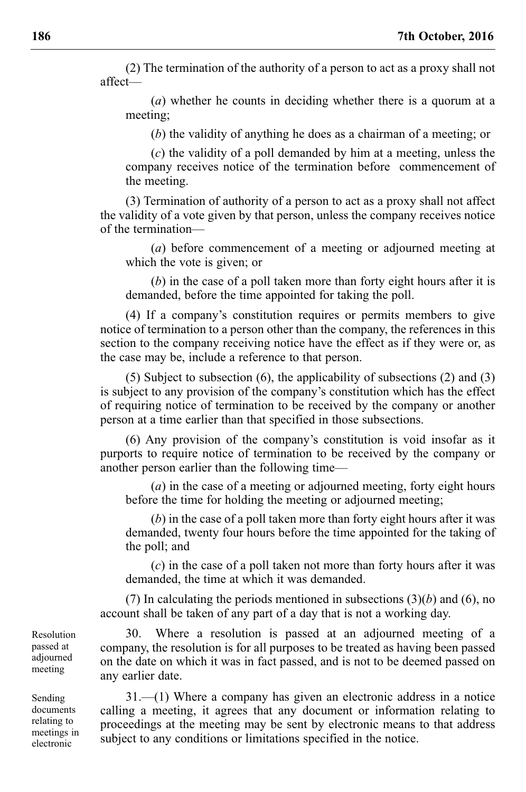(2) The termination of the authority of a person to act as a proxy shall not affect—

(*a*) whether he counts in deciding whether there is a quorum at a meeting;

(*b*) the validity of anything he does as a chairman of a meeting; or

(*c*) the validity of a poll demanded by him at a meeting, unless the company receives notice of the termination before commencement of the meeting.

(3) Termination of authority of a person to act as a proxy shall not affect the validity of a vote given by that person, unless the company receives notice of the termination—

(*a*) before commencement of a meeting or adjourned meeting at which the vote is given; or

(*b*) in the case of a poll taken more than forty eight hours after it is demanded, before the time appointed for taking the poll.

(4) If a company's constitution requires or permits members to give notice of termination to a person other than the company, the references in this section to the company receiving notice have the effect as if they were or, as the case may be, include a reference to that person.

(5) Subject to subsection (6), the applicability of subsections (2) and (3) is subject to any provision of the company's constitution which has the effect of requiring notice of termination to be received by the company or another person at a time earlier than that specified in those subsections.

(6) Any provision of the company's constitution is void insofar as it purports to require notice of termination to be received by the company or another person earlier than the following time—

(*a*) in the case of a meeting or adjourned meeting, forty eight hours before the time for holding the meeting or adjourned meeting;

(*b*) in the case of a poll taken more than forty eight hours after it was demanded, twenty four hours before the time appointed for the taking of the poll; and

(*c*) in the case of a poll taken not more than forty hours after it was demanded, the time at which it was demanded.

(7) In calculating the periods mentioned in subsections  $(3)(b)$  and  $(6)$ , no account shall be taken of any part of a day that is not a working day.

30. Where a resolution is passed at an adjourned meeting of a company, the resolution is for all purposes to be treated as having been passed on the date on which it was in fact passed, and is not to be deemed passed on any earlier date.

31.—(1) Where a company has given an electronic address in a notice calling a meeting, it agrees that any document or information relating to proceedings at the meeting may be sent by electronic means to that address subject to any conditions or limitations specified in the notice.

Resolution passed at adjourned meeting

Sending documents relating to meetings in electronic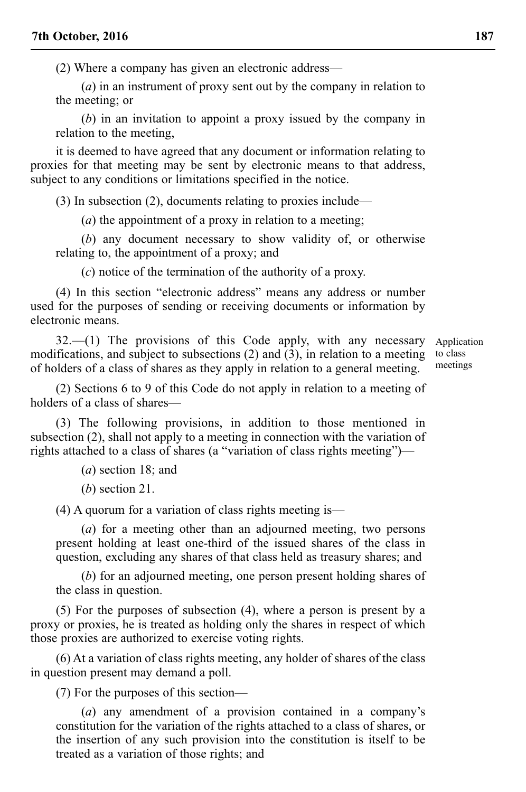(2) Where a company has given an electronic address—

(*a*) in an instrument of proxy sent out by the company in relation to the meeting; or

(*b*) in an invitation to appoint a proxy issued by the company in relation to the meeting,

it is deemed to have agreed that any document or information relating to proxies for that meeting may be sent by electronic means to that address, subject to any conditions or limitations specified in the notice.

(3) In subsection (2), documents relating to proxies include—

(*a*) the appointment of a proxy in relation to a meeting;

(*b*) any document necessary to show validity of, or otherwise relating to, the appointment of a proxy; and

(*c*) notice of the termination of the authority of a proxy.

(4) In this section "electronic address" means any address or number used for the purposes of sending or receiving documents or information by electronic means.

 $32$ —(1) The provisions of this Code apply, with any necessary modifications, and subject to subsections (2) and (3), in relation to a meeting of holders of a class of shares as they apply in relation to a general meeting.

Application to class meetings

(2) Sections 6 to 9 of this Code do not apply in relation to a meeting of holders of a class of shares—

(3) The following provisions, in addition to those mentioned in subsection (2), shall not apply to a meeting in connection with the variation of rights attached to a class of shares (a "variation of class rights meeting")—

(*a*) section 18; and

(*b*) section 21.

(4) A quorum for a variation of class rights meeting is—

(*a*) for a meeting other than an adjourned meeting, two persons present holding at least one-third of the issued shares of the class in question, excluding any shares of that class held as treasury shares; and

(*b*) for an adjourned meeting, one person present holding shares of the class in question.

(5) For the purposes of subsection (4), where a person is present by a proxy or proxies, he is treated as holding only the shares in respect of which those proxies are authorized to exercise voting rights.

(6) At a variation of class rights meeting, any holder of shares of the class in question present may demand a poll.

(7) For the purposes of this section—

(*a*) any amendment of a provision contained in a company's constitution for the variation of the rights attached to a class of shares, or the insertion of any such provision into the constitution is itself to be treated as a variation of those rights; and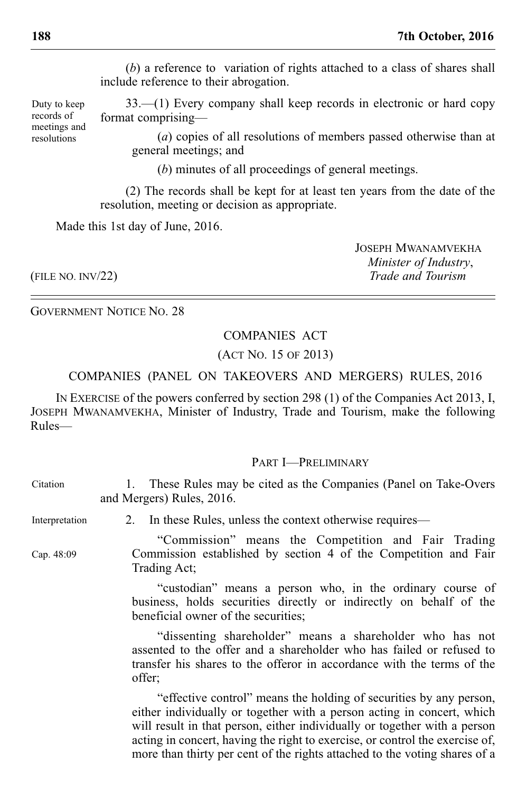(*b*) a reference to variation of rights attached to a class of shares shall include reference to their abrogation.

33.—(1) Every company shall keep records in electronic or hard copy format comprising—

> (*a*) copies of all resolutions of members passed otherwise than at general meetings; and

(*b*) minutes of all proceedings of general meetings.

(2) The records shall be kept for at least ten years from the date of the resolution, meeting or decision as appropriate.

Made this 1st day of June, 2016.

JOSEPH MWANAMVEKHA *Minister of Industry*, (FILE NO. INV/22) *Trade and Tourism*

GOVERNMENT NOTICE NO. 28

## COMPANIES ACT

(ACT NO. 15 OF 2013)

### COMPANIES (PANEL ON TAKEOVERS AND MERGERS) RULES, 2016

IN EXERCISE of the powers conferred by section 298 (1) of the Companies Act 2013, I, JOSEPH MWANAMVEKHA, Minister of Industry, Trade and Tourism, make the following Rules—

## PART I—PRELIMINARY

more than thirty per cent of the rights attached to the voting shares of a

| Citation       | These Rules may be cited as the Companies (Panel on Take-Overs<br>and Mergers) Rules, 2016.                                                                                                                                                                                                               |
|----------------|-----------------------------------------------------------------------------------------------------------------------------------------------------------------------------------------------------------------------------------------------------------------------------------------------------------|
| Interpretation | 2. In these Rules, unless the context otherwise requires—                                                                                                                                                                                                                                                 |
| Cap. 48:09     | "Commission" means the Competition and Fair Trading<br>Commission established by section 4 of the Competition and Fair<br>Trading Act;                                                                                                                                                                    |
|                | "custodian" means a person who, in the ordinary course of<br>business, holds securities directly or indirectly on behalf of the<br>beneficial owner of the securities;                                                                                                                                    |
|                | "dissenting shareholder" means a shareholder who has not<br>assented to the offer and a shareholder who has failed or refused to<br>transfer his shares to the offeror in accordance with the terms of the<br>offer:                                                                                      |
|                | "effective control" means the holding of securities by any person,<br>either individually or together with a person acting in concert, which<br>will result in that person, either individually or together with a person<br>acting in concert, having the right to exercise, or control the exercise of, |

Duty to keep records of meetings and resolutions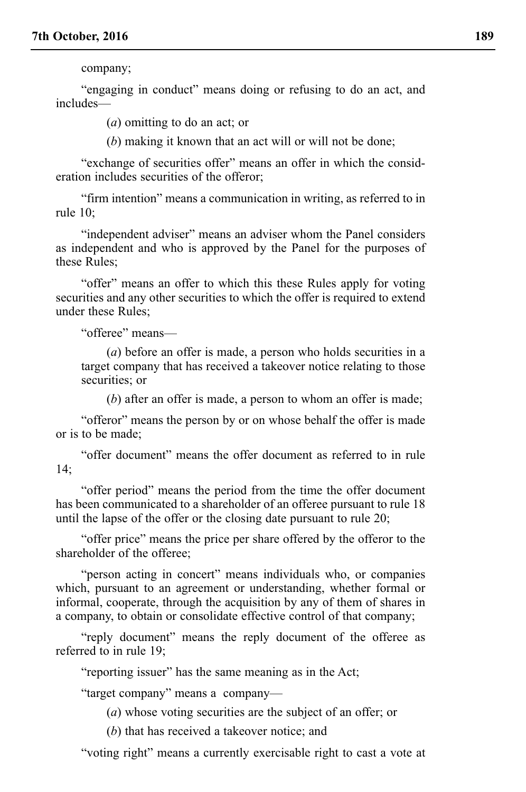company;

"engaging in conduct" means doing or refusing to do an act, and includes—

(*a*) omitting to do an act; or

(*b*) making it known that an act will or will not be done;

"exchange of securities offer" means an offer in which the consideration includes securities of the offeror;

"firm intention" means a communication in writing, as referred to in rule 10;

"independent adviser" means an adviser whom the Panel considers as independent and who is approved by the Panel for the purposes of these Rules;

"offer" means an offer to which this these Rules apply for voting securities and any other securities to which the offer is required to extend under these Rules;

"offeree" means—

(*a*) before an offer is made, a person who holds securities in a target company that has received a takeover notice relating to those securities; or

(*b*) after an offer is made, a person to whom an offer is made;

"offeror" means the person by or on whose behalf the offer is made or is to be made;

"offer document" means the offer document as referred to in rule 14;

"offer period" means the period from the time the offer document has been communicated to a shareholder of an offeree pursuant to rule 18 until the lapse of the offer or the closing date pursuant to rule 20;

"offer price" means the price per share offered by the offeror to the shareholder of the offeree;

"person acting in concert" means individuals who, or companies which, pursuant to an agreement or understanding, whether formal or informal, cooperate, through the acquisition by any of them of shares in a company, to obtain or consolidate effective control of that company;

"reply document" means the reply document of the offeree as referred to in rule 19;

"reporting issuer" has the same meaning as in the Act;

"target company" means a company—

(*a*) whose voting securities are the subject of an offer; or

(*b*) that has received a takeover notice; and

"voting right" means a currently exercisable right to cast a vote at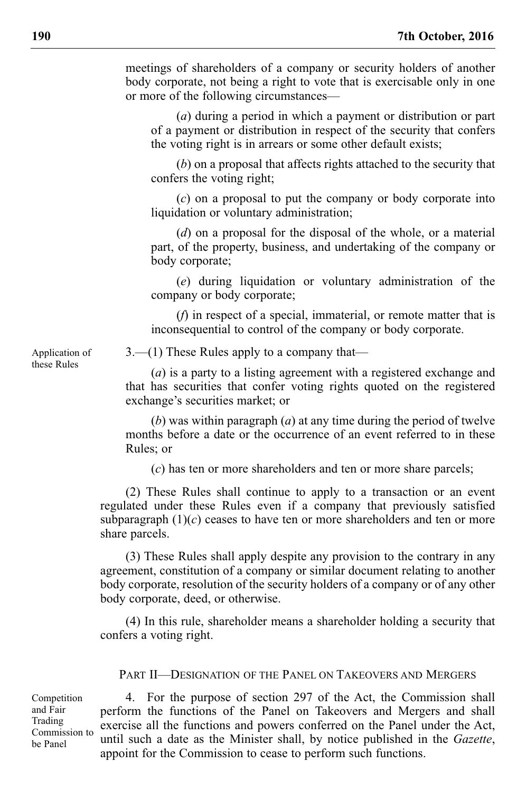meetings of shareholders of a company or security holders of another body corporate, not being a right to vote that is exercisable only in one or more of the following circumstances—

(*a*) during a period in which a payment or distribution or part of a payment or distribution in respect of the security that confers the voting right is in arrears or some other default exists;

(*b*) on a proposal that affects rights attached to the security that confers the voting right;

(*c*) on a proposal to put the company or body corporate into liquidation or voluntary administration;

(*d*) on a proposal for the disposal of the whole, or a material part, of the property, business, and undertaking of the company or body corporate;

(*e*) during liquidation or voluntary administration of the company or body corporate;

(*f*) in respect of a special, immaterial, or remote matter that is inconsequential to control of the company or body corporate.

3.—(1) These Rules apply to a company that—

(*a*) is a party to a listing agreement with a registered exchange and that has securities that confer voting rights quoted on the registered exchange's securities market; or

(*b*) was within paragraph (*a*) at any time during the period of twelve months before a date or the occurrence of an event referred to in these Rules; or

(*c*) has ten or more shareholders and ten or more share parcels;

(2) These Rules shall continue to apply to a transaction or an event regulated under these Rules even if a company that previously satisfied subparagraph  $(1)(c)$  ceases to have ten or more shareholders and ten or more share parcels.

(3) These Rules shall apply despite any provision to the contrary in any agreement, constitution of a company or similar document relating to another body corporate, resolution of the security holders of a company or of any other body corporate, deed, or otherwise.

(4) In this rule, shareholder means a shareholder holding a security that confers a voting right.

## PART II—DESIGNATION OF THE PANEL ON TAKEOVERS AND MERGERS

Competition and Fair Trading Commission to be Panel

4. For the purpose of section 297 of the Act, the Commission shall perform the functions of the Panel on Takeovers and Mergers and shall exercise all the functions and powers conferred on the Panel under the Act, until such a date as the Minister shall, by notice published in the *Gazette*, appoint for the Commission to cease to perform such functions.

Application of these Rules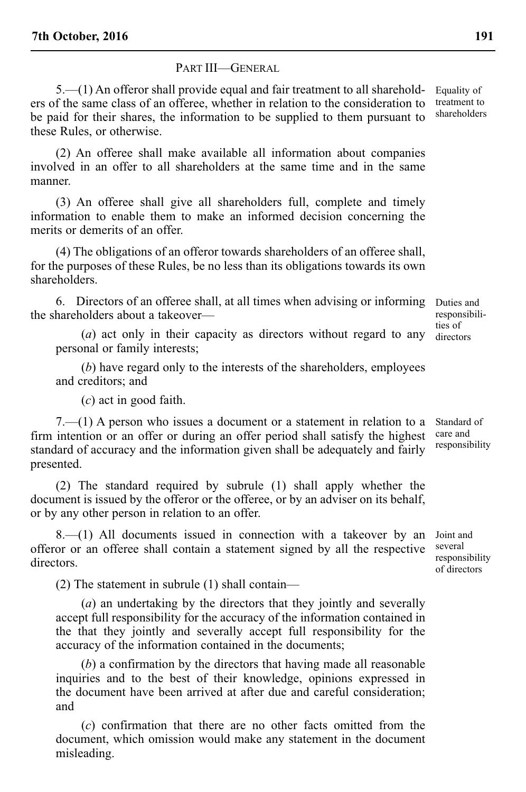## PART III—GENERAL

5.—(1) An offeror shall provide equal and fair treatment to all shareholders of the same class of an offeree, whether in relation to the consideration to be paid for their shares, the information to be supplied to them pursuant to these Rules, or otherwise.

(2) An offeree shall make available all information about companies involved in an offer to all shareholders at the same time and in the same manner.

(3) An offeree shall give all shareholders full, complete and timely information to enable them to make an informed decision concerning the merits or demerits of an offer.

(4) The obligations of an offeror towards shareholders of an offeree shall, for the purposes of these Rules, be no less than its obligations towards its own shareholders.

6. Directors of an offeree shall, at all times when advising or informing the shareholders about a takeover—

(*a*) act only in their capacity as directors without regard to any personal or family interests; directors

(*b*) have regard only to the interests of the shareholders, employees and creditors; and

(*c*) act in good faith.

7.—(1) A person who issues a document or a statement in relation to a firm intention or an offer or during an offer period shall satisfy the highest standard of accuracy and the information given shall be adequately and fairly presented.

(2) The standard required by subrule (1) shall apply whether the document is issued by the offeror or the offeree, or by an adviser on its behalf, or by any other person in relation to an offer.

8.—(1) All documents issued in connection with a takeover by an offeror or an offeree shall contain a statement signed by all the respective directors.

(2) The statement in subrule (1) shall contain—

(*a*) an undertaking by the directors that they jointly and severally accept full responsibility for the accuracy of the information contained in the that they jointly and severally accept full responsibility for the accuracy of the information contained in the documents;

(*b*) a confirmation by the directors that having made all reasonable inquiries and to the best of their knowledge, opinions expressed in the document have been arrived at after due and careful consideration; and

(*c*) confirmation that there are no other facts omitted from the document, which omission would make any statement in the document misleading.

Duties and responsibilities of

Standard of care and responsibility

Joint and several responsibility of directors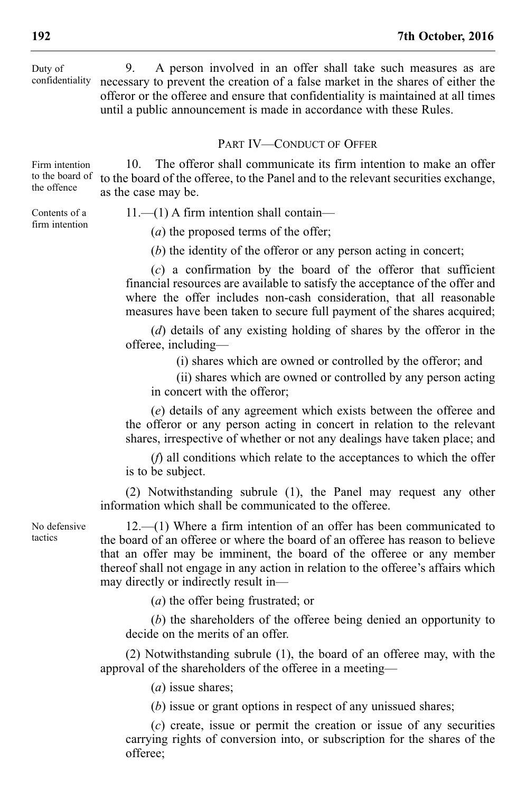9. A person involved in an offer shall take such measures as are necessary to prevent the creation of a false market in the shares of either the confidentiality offeror or the offeree and ensure that confidentiality is maintained at all times until a public announcement is made in accordance with these Rules. Duty of

## PART IV—CONDUCT OF OFFER

10. The offeror shall communicate its firm intention to make an offer to the board of to the board of the offeree, to the Panel and to the relevant securities exchange, as the case may be. Firm intention the offence

Contents of a firm intention 11.—(1) A firm intention shall contain—

(*a*) the proposed terms of the offer;

(*b*) the identity of the offeror or any person acting in concert;

(*c*) a confirmation by the board of the offeror that sufficient financial resources are available to satisfy the acceptance of the offer and where the offer includes non-cash consideration, that all reasonable measures have been taken to secure full payment of the shares acquired;

(*d*) details of any existing holding of shares by the offeror in the offeree, including—

(i) shares which are owned or controlled by the offeror; and

(ii) shares which are owned or controlled by any person acting in concert with the offeror;

(*e*) details of any agreement which exists between the offeree and the offeror or any person acting in concert in relation to the relevant shares, irrespective of whether or not any dealings have taken place; and

(*f*) all conditions which relate to the acceptances to which the offer is to be subject.

(2) Notwithstanding subrule (1), the Panel may request any other information which shall be communicated to the offeree.

No defensive tactics

12.—(1) Where a firm intention of an offer has been communicated to the board of an offeree or where the board of an offeree has reason to believe that an offer may be imminent, the board of the offeree or any member thereof shall not engage in any action in relation to the offeree's affairs which may directly or indirectly result in—

(*a*) the offer being frustrated; or

(*b*) the shareholders of the offeree being denied an opportunity to decide on the merits of an offer.

(2) Notwithstanding subrule (1), the board of an offeree may, with the approval of the shareholders of the offeree in a meeting—

(*a*) issue shares;

(*b*) issue or grant options in respect of any unissued shares;

(*c*) create, issue or permit the creation or issue of any securities carrying rights of conversion into, or subscription for the shares of the offeree;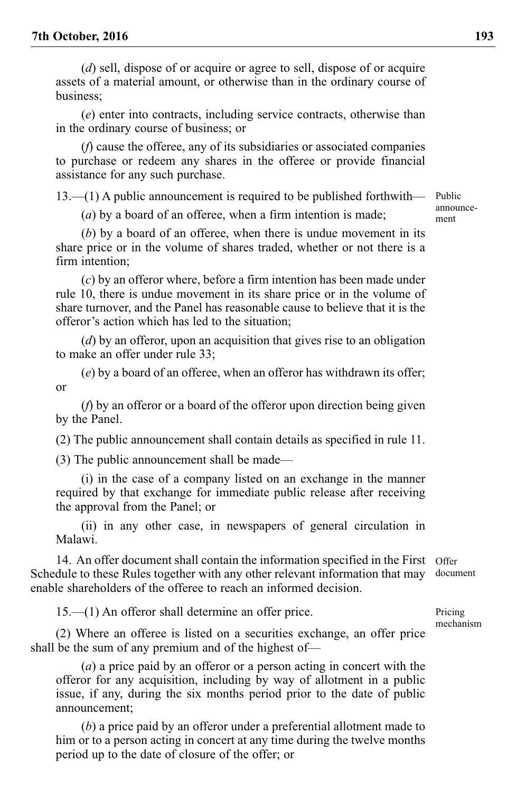(*d*) sell, dispose of or acquire or agree to sell, dispose of or acquire assets of a material amount, or otherwise than in the ordinary course of business;

(*e*) enter into contracts, including service contracts, otherwise than in the ordinary course of business; or

(*f*) cause the offeree, any of its subsidiaries or associated companies to purchase or redeem any shares in the offeree or provide financial assistance for any such purchase.

13.—(1) A public announcement is required to be published forthwith— Public

(*a*) by a board of an offeree, when a firm intention is made;

(*b*) by a board of an offeree, when there is undue movement in its share price or in the volume of shares traded, whether or not there is a firm intention;

(*c*) by an offeror where, before a firm intention has been made under rule 10, there is undue movement in its share price or in the volume of share turnover, and the Panel has reasonable cause to believe that it is the offeror's action which has led to the situation;

(*d*) by an offeror, upon an acquisition that gives rise to an obligation to make an offer under rule 33;

(*e*) by a board of an offeree, when an offeror has withdrawn its offer; or

(*f*) by an offeror or a board of the offeror upon direction being given by the Panel.

(2) The public announcement shall contain details as specified in rule 11.

(3) The public announcement shall be made—

(i) in the case of a company listed on an exchange in the manner required by that exchange for immediate public release after receiving the approval from the Panel; or

(ii) in any other case, in newspapers of general circulation in Malawi.

14. An offer document shall contain the information specified in the First Offer Schedule to these Rules together with any other relevant information that may enable shareholders of the offeree to reach an informed decision. document

15.—(1) An offeror shall determine an offer price.

(2) Where an offeree is listed on a securities exchange, an offer price shall be the sum of any premium and of the highest of—

(*a*) a price paid by an offeror or a person acting in concert with the offeror for any acquisition, including by way of allotment in a public issue, if any, during the six months period prior to the date of public announcement;

(*b*) a price paid by an offeror under a preferential allotment made to him or to a person acting in concert at any time during the twelve months period up to the date of closure of the offer; or

Pricing

mechanism

announcement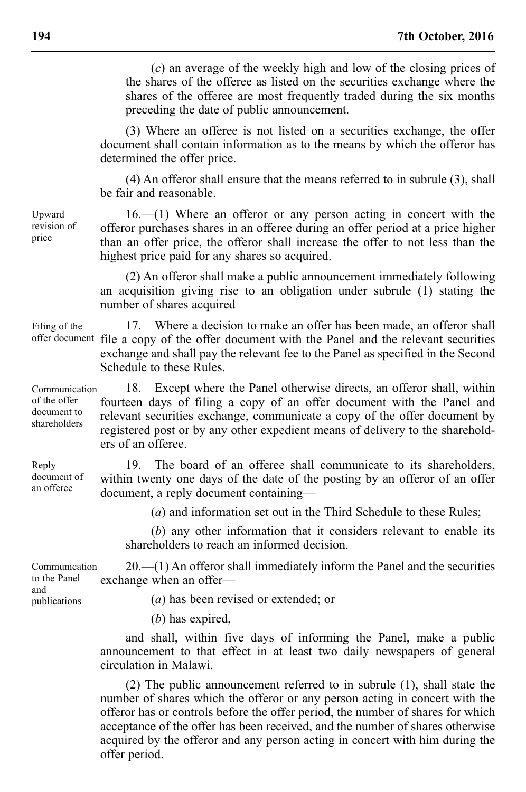(*c*) an average of the weekly high and low of the closing prices of the shares of the offeree as listed on the securities exchange where the shares of the offeree are most frequently traded during the six months preceding the date of public announcement.

(3) Where an offeree is not listed on a securities exchange, the offer document shall contain information as to the means by which the offeror has determined the offer price.

(4) An offeror shall ensure that the means referred to in subrule (3), shall be fair and reasonable.

16.—(1) Where an offeror or any person acting in concert with the offeror purchases shares in an offeree during an offer period at a price higher than an offer price, the offeror shall increase the offer to not less than the highest price paid for any shares so acquired.

(2) An offeror shall make a public announcement immediately following an acquisition giving rise to an obligation under subrule (1) stating the number of shares acquired

17. Where a decision to make an offer has been made, an offeror shall file a copy of the offer document with the Panel and the relevant securities offer document exchange and shall pay the relevant fee to the Panel as specified in the Second Schedule to these Rules. Filing of the

18. Except where the Panel otherwise directs, an offeror shall, within fourteen days of filing a copy of an offer document with the Panel and relevant securities exchange, communicate a copy of the offer document by registered post or by any other expedient means of delivery to the shareholders of an offeree. Communication of the offer document to shareholders

19. The board of an offeree shall communicate to its shareholders, within twenty one days of the date of the posting by an offeror of an offer document, a reply document containing— Reply document of an offeree

(*a*) and information set out in the Third Schedule to these Rules;

(*b*) any other information that it considers relevant to enable its shareholders to reach an informed decision.

| Communication | $20$ — $(1)$ An offeror shall immediately inform the Panel and the securities |
|---------------|-------------------------------------------------------------------------------|
| to the Panel  | exchange when an offer-                                                       |
| and           |                                                                               |
| publications  | ( <i>a</i> ) has been revised or extended; or                                 |

(*a*) has been revised or extended; or

(*b*) has expired,

and shall, within five days of informing the Panel, make a public announcement to that effect in at least two daily newspapers of general circulation in Malawi.

(2) The public announcement referred to in subrule (1), shall state the number of shares which the offeror or any person acting in concert with the offeror has or controls before the offer period, the number of shares for which acceptance of the offer has been received, and the number of shares otherwise acquired by the offeror and any person acting in concert with him during the offer period.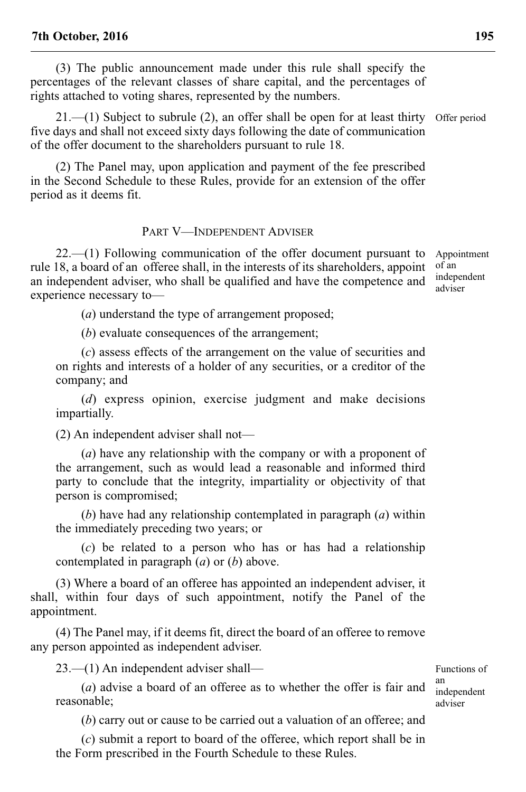(3) The public announcement made under this rule shall specify the percentages of the relevant classes of share capital, and the percentages of rights attached to voting shares, represented by the numbers.

21.—(1) Subject to subrule (2), an offer shall be open for at least thirty Offer period five days and shall not exceed sixty days following the date of communication of the offer document to the shareholders pursuant to rule 18.

(2) The Panel may, upon application and payment of the fee prescribed in the Second Schedule to these Rules, provide for an extension of the offer period as it deems fit.

#### PART V—INDEPENDENT ADVISER

22.—(1) Following communication of the offer document pursuant to rule 18, a board of an offeree shall, in the interests of its shareholders, appoint an independent adviser, who shall be qualified and have the competence and experience necessary to—

Appointment of an independent adviser

(*a*) understand the type of arrangement proposed;

(*b*) evaluate consequences of the arrangement;

(*c*) assess effects of the arrangement on the value of securities and on rights and interests of a holder of any securities, or a creditor of the company; and

(*d*) express opinion, exercise judgment and make decisions impartially.

(2) An independent adviser shall not—

(*a*) have any relationship with the company or with a proponent of the arrangement, such as would lead a reasonable and informed third party to conclude that the integrity, impartiality or objectivity of that person is compromised;

(*b*) have had any relationship contemplated in paragraph (*a*) within the immediately preceding two years; or

(*c*) be related to a person who has or has had a relationship contemplated in paragraph (*a*) or (*b*) above.

(3) Where a board of an offeree has appointed an independent adviser, it shall, within four days of such appointment, notify the Panel of the appointment.

(4) The Panel may, if it deems fit, direct the board of an offeree to remove any person appointed as independent adviser.

23.—(1) An independent adviser shall—

(*a*) advise a board of an offeree as to whether the offer is fair and reasonable;

(*b*) carry out or cause to be carried out a valuation of an offeree; and

(*c*) submit a report to board of the offeree, which report shall be in the Form prescribed in the Fourth Schedule to these Rules.

Functions of an independent adviser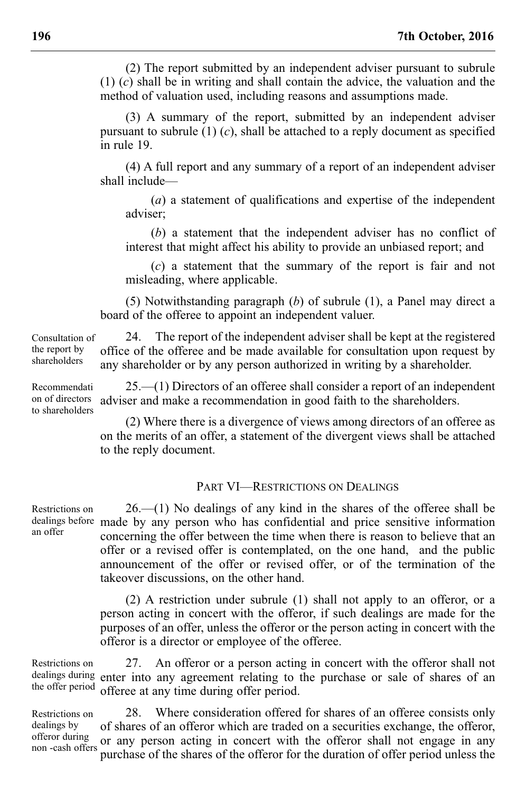(2) The report submitted by an independent adviser pursuant to subrule (1) (*c*) shall be in writing and shall contain the advice, the valuation and the method of valuation used, including reasons and assumptions made.

(3) A summary of the report, submitted by an independent adviser pursuant to subrule (1) (*c*), shall be attached to a reply document as specified in rule 19.

(4) A full report and any summary of a report of an independent adviser shall include—

(*a*) a statement of qualifications and expertise of the independent adviser;

(*b*) a statement that the independent adviser has no conflict of interest that might affect his ability to provide an unbiased report; and

(*c*) a statement that the summary of the report is fair and not misleading, where applicable.

(5) Notwithstanding paragraph (*b*) of subrule (1), a Panel may direct a board of the offeree to appoint an independent valuer.

24. The report of the independent adviser shall be kept at the registered office of the offeree and be made available for consultation upon request by any shareholder or by any person authorized in writing by a shareholder. Consultation of

25.—(1) Directors of an offeree shall consider a report of an independent adviser and make a recommendation in good faith to the shareholders. on of directors Recommendati

> (2) Where there is a divergence of views among directors of an offeree as on the merits of an offer, a statement of the divergent views shall be attached to the reply document.

### PART VI—RESTRICTIONS ON DEALINGS

 $26 - (1)$  No dealings of any kind in the shares of the offeree shall be dealings before made by any person who has confidential and price sensitive information concerning the offer between the time when there is reason to believe that an offer or a revised offer is contemplated, on the one hand, and the public announcement of the offer or revised offer, or of the termination of the takeover discussions, on the other hand.

> (2) A restriction under subrule (1) shall not apply to an offeror, or a person acting in concert with the offeror, if such dealings are made for the purposes of an offer, unless the offeror or the person acting in concert with the offeror is a director or employee of the offeree.

27. An offeror or a person acting in concert with the offeror shall not dealings during enter into any agreement relating to the purchase or sale of shares of an offeree at any time during offer period. Restrictions on the offer period

28. Where consideration offered for shares of an offeree consists only of shares of an offeror which are traded on a securities exchange, the offeror, or any person acting in concert with the offeror shall not engage in any purchase of the shares of the offeror for the duration of offer period unless the Restrictions on dealings by offeror during non -cash offers

to shareholders

Restrictions on

an offer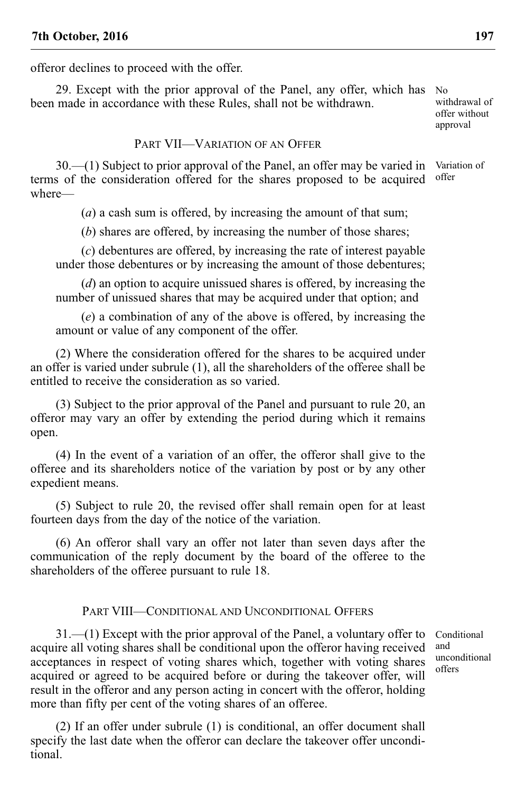offeror declines to proceed with the offer.

29. Except with the prior approval of the Panel, any offer, which has been made in accordance with these Rules, shall not be withdrawn.

PART VII—VARIATION OF AN OFFER

30.—(1) Subject to prior approval of the Panel, an offer may be varied in terms of the consideration offered for the shares proposed to be acquired where—

(*a*) a cash sum is offered, by increasing the amount of that sum;

(*b*) shares are offered, by increasing the number of those shares;

(*c*) debentures are offered, by increasing the rate of interest payable under those debentures or by increasing the amount of those debentures;

(*d*) an option to acquire unissued shares is offered, by increasing the number of unissued shares that may be acquired under that option; and

(*e*) a combination of any of the above is offered, by increasing the amount or value of any component of the offer.

(2) Where the consideration offered for the shares to be acquired under an offer is varied under subrule (1), all the shareholders of the offeree shall be entitled to receive the consideration as so varied.

(3) Subject to the prior approval of the Panel and pursuant to rule 20, an offeror may vary an offer by extending the period during which it remains open.

(4) In the event of a variation of an offer, the offeror shall give to the offeree and its shareholders notice of the variation by post or by any other expedient means.

(5) Subject to rule 20, the revised offer shall remain open for at least fourteen days from the day of the notice of the variation.

(6) An offeror shall vary an offer not later than seven days after the communication of the reply document by the board of the offeree to the shareholders of the offeree pursuant to rule 18.

### PART VIII—CONDITIONAL AND UNCONDITIONAL OFFERS

31.—(1) Except with the prior approval of the Panel, a voluntary offer to acquire all voting shares shall be conditional upon the offeror having received acceptances in respect of voting shares which, together with voting shares acquired or agreed to be acquired before or during the takeover offer, will result in the offeror and any person acting in concert with the offeror, holding more than fifty per cent of the voting shares of an offeree.

Conditional and unconditional offers

(2) If an offer under subrule (1) is conditional, an offer document shall specify the last date when the offeror can declare the takeover offer unconditional.

No withdrawal of offer without approval

Variation of offer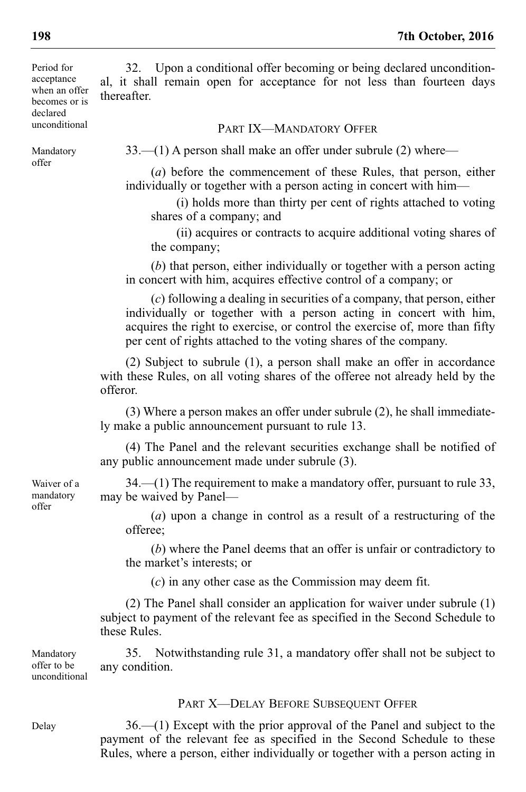Period for acceptance when an offer becomes or is declared unconditional

Mandatory offer

32. Upon a conditional offer becoming or being declared unconditional, it shall remain open for acceptance for not less than fourteen days thereafter.

## PART IX—MANDATORY OFFER

33.—(1) A person shall make an offer under subrule (2) where—

(*a*) before the commencement of these Rules, that person, either individually or together with a person acting in concert with him—

(i) holds more than thirty per cent of rights attached to voting shares of a company; and

(ii) acquires or contracts to acquire additional voting shares of the company;

(*b*) that person, either individually or together with a person acting in concert with him, acquires effective control of a company; or

(*c*) following a dealing in securities of a company, that person, either individually or together with a person acting in concert with him, acquires the right to exercise, or control the exercise of, more than fifty per cent of rights attached to the voting shares of the company.

(2) Subject to subrule (1), a person shall make an offer in accordance with these Rules, on all voting shares of the offeree not already held by the offeror.

(3) Where a person makes an offer under subrule (2), he shall immediately make a public announcement pursuant to rule 13.

(4) The Panel and the relevant securities exchange shall be notified of any public announcement made under subrule (3).

34.—(1) The requirement to make a mandatory offer, pursuant to rule 33, may be waived by Panel—

(*a*) upon a change in control as a result of a restructuring of the offeree;

(*b*) where the Panel deems that an offer is unfair or contradictory to the market's interests; or

(*c*) in any other case as the Commission may deem fit.

(2) The Panel shall consider an application for waiver under subrule (1) subject to payment of the relevant fee as specified in the Second Schedule to these Rules.

35. Notwithstanding rule 31, a mandatory offer shall not be subject to any condition. Mandatory offer to be unconditional

PART X—DELAY BEFORE SUBSEQUENT OFFER

Delay

36.—(1) Except with the prior approval of the Panel and subject to the payment of the relevant fee as specified in the Second Schedule to these Rules, where a person, either individually or together with a person acting in

Waiver of a mandatory offer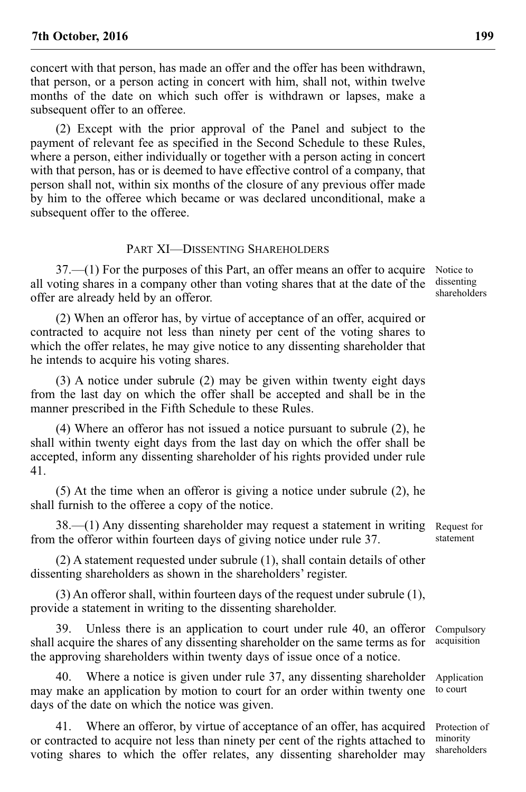concert with that person, has made an offer and the offer has been withdrawn, that person, or a person acting in concert with him, shall not, within twelve months of the date on which such offer is withdrawn or lapses, make a subsequent offer to an offeree.

(2) Except with the prior approval of the Panel and subject to the payment of relevant fee as specified in the Second Schedule to these Rules, where a person, either individually or together with a person acting in concert with that person, has or is deemed to have effective control of a company, that person shall not, within six months of the closure of any previous offer made by him to the offeree which became or was declared unconditional, make a subsequent offer to the offeree.

#### PART XI—DISSENTING SHAREHOLDERS

37.—(1) For the purposes of this Part, an offer means an offer to acquire all voting shares in a company other than voting shares that at the date of the offer are already held by an offeror.

(2) When an offeror has, by virtue of acceptance of an offer, acquired or contracted to acquire not less than ninety per cent of the voting shares to which the offer relates, he may give notice to any dissenting shareholder that he intends to acquire his voting shares.

(3) A notice under subrule (2) may be given within twenty eight days from the last day on which the offer shall be accepted and shall be in the manner prescribed in the Fifth Schedule to these Rules.

(4) Where an offeror has not issued a notice pursuant to subrule (2), he shall within twenty eight days from the last day on which the offer shall be accepted, inform any dissenting shareholder of his rights provided under rule 41.

(5) At the time when an offeror is giving a notice under subrule (2), he shall furnish to the offeree a copy of the notice.

38.—(1) Any dissenting shareholder may request a statement in writing from the offeror within fourteen days of giving notice under rule 37.

(2) A statement requested under subrule (1), shall contain details of other dissenting shareholders as shown in the shareholders' register.

(3) An offeror shall, within fourteen days of the request under subrule (1), provide a statement in writing to the dissenting shareholder.

39. Unless there is an application to court under rule 40, an offeror shall acquire the shares of any dissenting shareholder on the same terms as for the approving shareholders within twenty days of issue once of a notice.

40. Where a notice is given under rule 37, any dissenting shareholder may make an application by motion to court for an order within twenty one days of the date on which the notice was given.

41. Where an offeror, by virtue of acceptance of an offer, has acquired or contracted to acquire not less than ninety per cent of the rights attached to voting shares to which the offer relates, any dissenting shareholder may

Notice to dissenting shareholders

Request for statement

Compulsory acquisition

Application to court

Protection of minority shareholders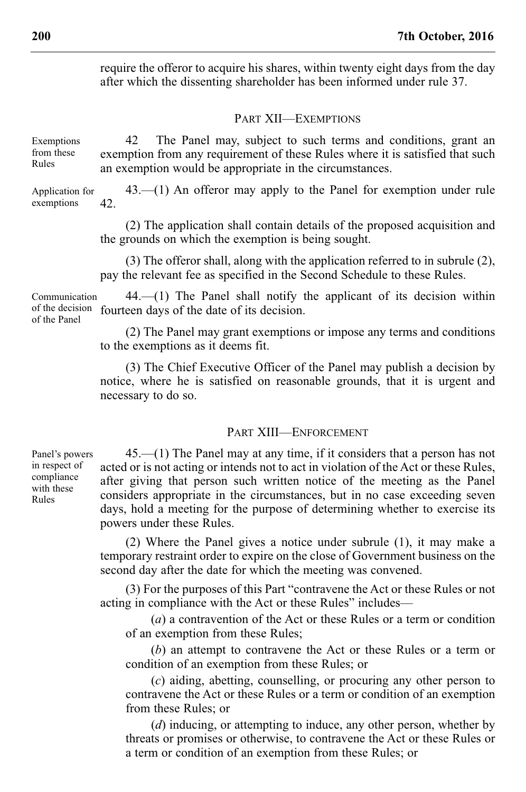require the offeror to acquire his shares, within twenty eight days from the day after which the dissenting shareholder has been informed under rule 37.

#### PART XII—EXEMPTIONS

42 The Panel may, subject to such terms and conditions, grant an exemption from any requirement of these Rules where it is satisfied that such an exemption would be appropriate in the circumstances. Exemptions from these Rules

43.—(1) An offeror may apply to the Panel for exemption under rule 42. Application for exemptions

> (2) The application shall contain details of the proposed acquisition and the grounds on which the exemption is being sought.

> (3) The offeror shall, along with the application referred to in subrule (2), pay the relevant fee as specified in the Second Schedule to these Rules.

44.—(1) The Panel shall notify the applicant of its decision within of the decision fourteen days of the date of its decision. Communication of the Panel

> (2) The Panel may grant exemptions or impose any terms and conditions to the exemptions as it deems fit.

> (3) The Chief Executive Officer of the Panel may publish a decision by notice, where he is satisfied on reasonable grounds, that it is urgent and necessary to do so.

### PART XIII—ENFORCEMENT

Panel's powers in respect of compliance with these Rules

45.—(1) The Panel may at any time, if it considers that a person has not acted or is not acting or intends not to act in violation of the Act or these Rules, after giving that person such written notice of the meeting as the Panel considers appropriate in the circumstances, but in no case exceeding seven days, hold a meeting for the purpose of determining whether to exercise its powers under these Rules.

(2) Where the Panel gives a notice under subrule (1), it may make a temporary restraint order to expire on the close of Government business on the second day after the date for which the meeting was convened.

(3) For the purposes of this Part "contravene the Act or these Rules or not acting in compliance with the Act or these Rules" includes—

(*a*) a contravention of the Act or these Rules or a term or condition of an exemption from these Rules;

(*b*) an attempt to contravene the Act or these Rules or a term or condition of an exemption from these Rules; or

(*c*) aiding, abetting, counselling, or procuring any other person to contravene the Act or these Rules or a term or condition of an exemption from these Rules; or

(*d*) inducing, or attempting to induce, any other person, whether by threats or promises or otherwise, to contravene the Act or these Rules or a term or condition of an exemption from these Rules; or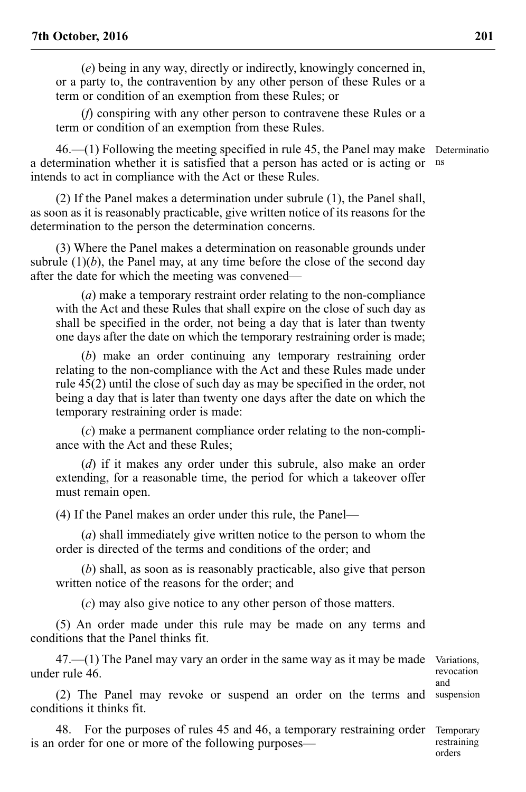(*e*) being in any way, directly or indirectly, knowingly concerned in, or a party to, the contravention by any other person of these Rules or a term or condition of an exemption from these Rules; or

(*f*) conspiring with any other person to contravene these Rules or a term or condition of an exemption from these Rules.

46.—(1) Following the meeting specified in rule 45, the Panel may make Determinatio a determination whether it is satisfied that a person has acted or is acting or ns intends to act in compliance with the Act or these Rules.

(2) If the Panel makes a determination under subrule (1), the Panel shall, as soon as it is reasonably practicable, give written notice of its reasons for the determination to the person the determination concerns.

(3) Where the Panel makes a determination on reasonable grounds under subrule  $(1)(b)$ , the Panel may, at any time before the close of the second day after the date for which the meeting was convened—

(*a*) make a temporary restraint order relating to the non-compliance with the Act and these Rules that shall expire on the close of such day as shall be specified in the order, not being a day that is later than twenty one days after the date on which the temporary restraining order is made;

(*b*) make an order continuing any temporary restraining order relating to the non-compliance with the Act and these Rules made under rule 45(2) until the close of such day as may be specified in the order, not being a day that is later than twenty one days after the date on which the temporary restraining order is made:

(*c*) make a permanent compliance order relating to the non-compliance with the Act and these Rules;

(*d*) if it makes any order under this subrule, also make an order extending, for a reasonable time, the period for which a takeover offer must remain open.

(4) If the Panel makes an order under this rule, the Panel—

(*a*) shall immediately give written notice to the person to whom the order is directed of the terms and conditions of the order; and

(*b*) shall, as soon as is reasonably practicable, also give that person written notice of the reasons for the order; and

(*c*) may also give notice to any other person of those matters.

(5) An order made under this rule may be made on any terms and conditions that the Panel thinks fit.

47.—(1) The Panel may vary an order in the same way as it may be made under rule 46.

Variations, revocation and

(2) The Panel may revoke or suspend an order on the terms and suspension conditions it thinks fit.

48. For the purposes of rules 45 and 46, a temporary restraining order is an order for one or more of the following purposes—

Temporary restraining orders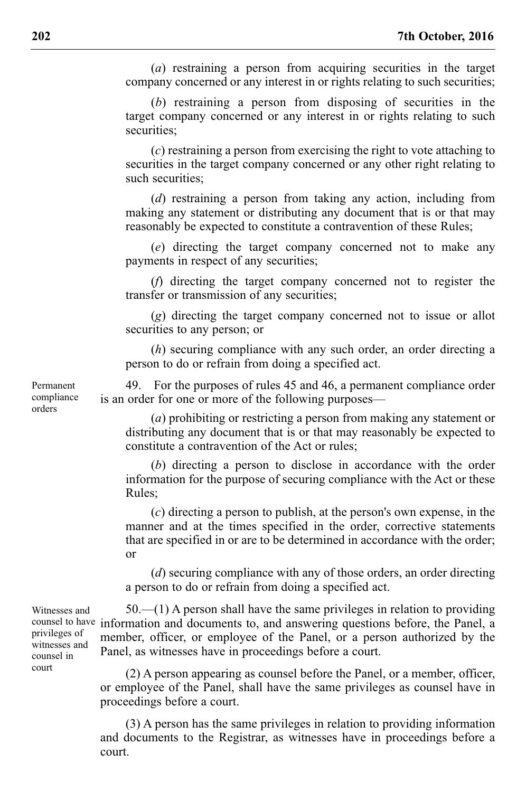(*a*) restraining a person from acquiring securities in the target company concerned or any interest in or rights relating to such securities;

(*b*) restraining a person from disposing of securities in the target company concerned or any interest in or rights relating to such securities;

(*c*) restraining a person from exercising the right to vote attaching to securities in the target company concerned or any other right relating to such securities;

(*d*) restraining a person from taking any action, including from making any statement or distributing any document that is or that may reasonably be expected to constitute a contravention of these Rules;

(*e*) directing the target company concerned not to make any payments in respect of any securities;

(*f*) directing the target company concerned not to register the transfer or transmission of any securities;

(*g*) directing the target company concerned not to issue or allot securities to any person; or

(*h*) securing compliance with any such order, an order directing a person to do or refrain from doing a specified act.

49. For the purposes of rules 45 and 46, a permanent compliance order is an order for one or more of the following purposes—

(*a*) prohibiting or restricting a person from making any statement or distributing any document that is or that may reasonably be expected to constitute a contravention of the Act or rules;

(*b*) directing a person to disclose in accordance with the order information for the purpose of securing compliance with the Act or these Rules;

(*c*) directing a person to publish, at the person's own expense, in the manner and at the times specified in the order, corrective statements that are specified in or are to be determined in accordance with the order; or

(*d*) securing compliance with any of those orders, an order directing a person to do or refrain from doing a specified act.

50.—(1) A person shall have the same privileges in relation to providing counsel to have information and documents to, and answering questions before, the Panel, a member, officer, or employee of the Panel, or a person authorized by the Panel, as witnesses have in proceedings before a court.

> (2) A person appearing as counsel before the Panel, or a member, officer, or employee of the Panel, shall have the same privileges as counsel have in proceedings before a court.

> (3) A person has the same privileges in relation to providing information and documents to the Registrar, as witnesses have in proceedings before a court.

Permanent compliance orders

Witnesses and privileges of witnesses and counsel in court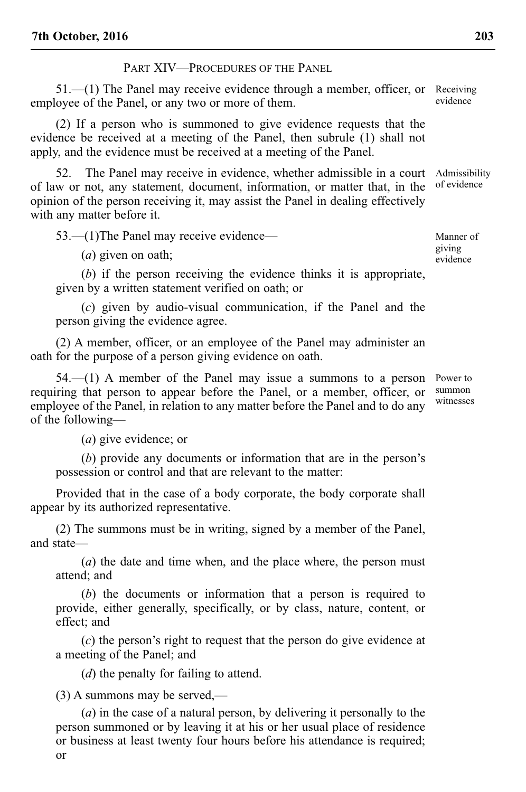PART XIV—PROCEDURES OF THE PANEL

51.—(1) The Panel may receive evidence through a member, officer, or Receiving employee of the Panel, or any two or more of them. evidence

(2) If a person who is summoned to give evidence requests that the evidence be received at a meeting of the Panel, then subrule (1) shall not apply, and the evidence must be received at a meeting of the Panel.

52. The Panel may receive in evidence, whether admissible in a court of law or not, any statement, document, information, or matter that, in the opinion of the person receiving it, may assist the Panel in dealing effectively with any matter before it. Admissibility of evidence

53.—(1)The Panel may receive evidence—

(*a*) given on oath;

(*b*) if the person receiving the evidence thinks it is appropriate, given by a written statement verified on oath; or

(*c*) given by audio-visual communication, if the Panel and the person giving the evidence agree.

(2) A member, officer, or an employee of the Panel may administer an oath for the purpose of a person giving evidence on oath.

54.—(1) A member of the Panel may issue a summons to a person requiring that person to appear before the Panel, or a member, officer, or employee of the Panel, in relation to any matter before the Panel and to do any of the following— Power to summon witnesses

(*a*) give evidence; or

(*b*) provide any documents or information that are in the person's possession or control and that are relevant to the matter:

Provided that in the case of a body corporate, the body corporate shall appear by its authorized representative.

(2) The summons must be in writing, signed by a member of the Panel, and state—

(*a*) the date and time when, and the place where, the person must attend; and

(*b*) the documents or information that a person is required to provide, either generally, specifically, or by class, nature, content, or effect; and

(*c*) the person's right to request that the person do give evidence at a meeting of the Panel; and

(*d*) the penalty for failing to attend.

(3) A summons may be served,—

(*a*) in the case of a natural person, by delivering it personally to the person summoned or by leaving it at his or her usual place of residence or business at least twenty four hours before his attendance is required; or

Manner of giving

evidence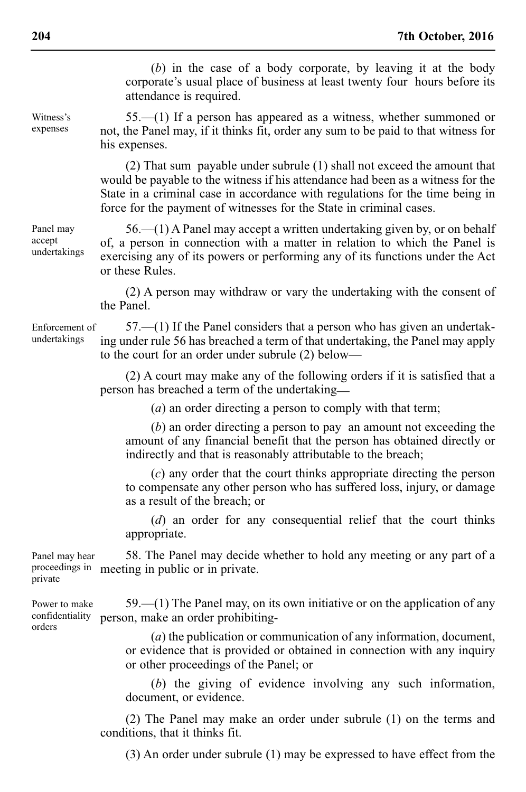(*b*) in the case of a body corporate, by leaving it at the body corporate's usual place of business at least twenty four hours before its attendance is required.

55.—(1) If a person has appeared as a witness, whether summoned or not, the Panel may, if it thinks fit, order any sum to be paid to that witness for his expenses.

(2) That sum payable under subrule (1) shall not exceed the amount that would be payable to the witness if his attendance had been as a witness for the State in a criminal case in accordance with regulations for the time being in force for the payment of witnesses for the State in criminal cases.

56.—(1) A Panel may accept a written undertaking given by, or on behalf of, a person in connection with a matter in relation to which the Panel is exercising any of its powers or performing any of its functions under the Act or these Rules.

(2) A person may withdraw or vary the undertaking with the consent of the Panel.

57.—(1) If the Panel considers that a person who has given an undertaking under rule 56 has breached a term of that undertaking, the Panel may apply to the court for an order under subrule (2) below— Enforcement of undertakings

> (2) A court may make any of the following orders if it is satisfied that a person has breached a term of the undertaking\_\_

> > (*a*) an order directing a person to comply with that term;

(*b*) an order directing a person to pay an amount not exceeding the amount of any financial benefit that the person has obtained directly or indirectly and that is reasonably attributable to the breach;

(*c*) any order that the court thinks appropriate directing the person to compensate any other person who has suffered loss, injury, or damage as a result of the breach; or

(*d*) an order for any consequential relief that the court thinks appropriate.

58. The Panel may decide whether to hold any meeting or any part of a proceedings in meeting in public or in private. Panel may hear private

59.—(1) The Panel may, on its own initiative or on the application of any person, make an order prohibiting- Power to make confidentiality orders

> (*a*) the publication or communication of any information, document, or evidence that is provided or obtained in connection with any inquiry or other proceedings of the Panel; or

> (*b*) the giving of evidence involving any such information, document, or evidence.

(2) The Panel may make an order under subrule (1) on the terms and conditions, that it thinks fit.

(3) An order under subrule (1) may be expressed to have effect from the

Witness's expenses

Panel may accept undertakings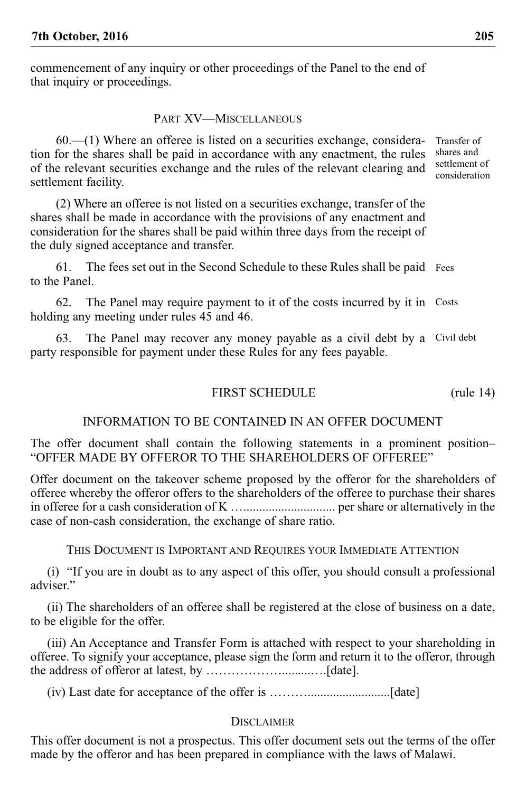commencement of any inquiry or other proceedings of the Panel to the end of that inquiry or proceedings.

## PART XV—MISCELLANEOUS

60.—(1) Where an offeree is listed on a securities exchange, consideration for the shares shall be paid in accordance with any enactment, the rules of the relevant securities exchange and the rules of the relevant clearing and settlement facility. Transfer of shares and settlement of consideration

(2) Where an offeree is not listed on a securities exchange, transfer of the shares shall be made in accordance with the provisions of any enactment and consideration for the shares shall be paid within three days from the receipt of the duly signed acceptance and transfer.

61. The fees set out in the Second Schedule to these Rules shall be paid Fees to the Panel.

62. The Panel may require payment to it of the costs incurred by it in Costs holding any meeting under rules 45 and 46.

63. The Panel may recover any money payable as a civil debt by a Civil debtparty responsible for payment under these Rules for any fees payable.

## FIRST SCHEDULE (rule 14)

## INFORMATION TO BE CONTAINED IN AN OFFER DOCUMENT

The offer document shall contain the following statements in a prominent position– "OFFER MADE BY OFFEROR TO THE SHAREHOLDERS OF OFFEREE"

Offer document on the takeover scheme proposed by the offeror for the shareholders of offeree whereby the offeror offers to the shareholders of the offeree to purchase their shares in offeree for a cash consideration of K …............................. per share or alternatively in the case of non-cash consideration, the exchange of share ratio.

THIS DOCUMENT IS IMPORTANT AND REQUIRES YOUR IMMEDIATE ATTENTION

(i) "If you are in doubt as to any aspect of this offer, you should consult a professional adviser"

(ii) The shareholders of an offeree shall be registered at the close of business on a date, to be eligible for the offer.

(iii) An Acceptance and Transfer Form is attached with respect to your shareholding in offeree. To signify your acceptance, please sign the form and return it to the offeror, through the address of offeror at latest, by ……………….........….[date].

(iv) Last date for acceptance of the offer is ………..........................[date]

### DISCLAIMER

This offer document is not a prospectus. This offer document sets out the terms of the offer made by the offeror and has been prepared in compliance with the laws of Malawi.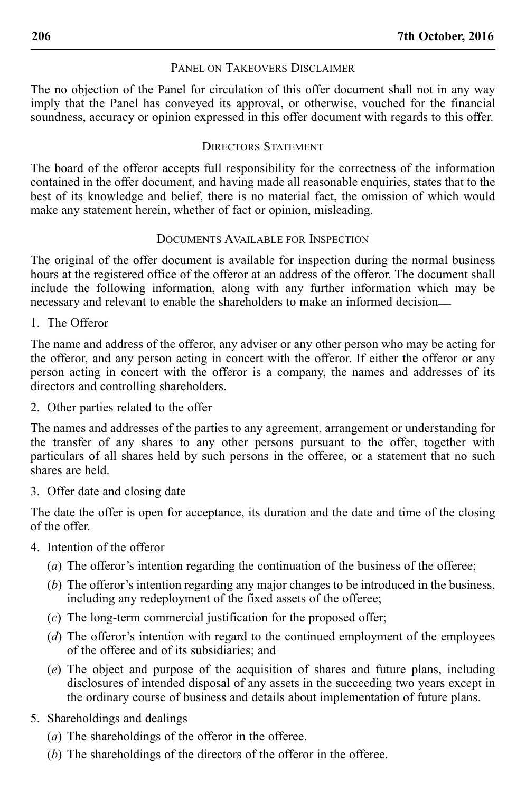## PANEL ON TAKEOVERS DISCLAIMER

The no objection of the Panel for circulation of this offer document shall not in any way imply that the Panel has conveyed its approval, or otherwise, vouched for the financial soundness, accuracy or opinion expressed in this offer document with regards to this offer.

## DIRECTORS STATEMENT

The board of the offeror accepts full responsibility for the correctness of the information contained in the offer document, and having made all reasonable enquiries, states that to the best of its knowledge and belief, there is no material fact, the omission of which would make any statement herein, whether of fact or opinion, misleading.

### DOCUMENTS AVAILABLE FOR INSPECTION

The original of the offer document is available for inspection during the normal business hours at the registered office of the offeror at an address of the offeror. The document shall include the following information, along with any further information which may be necessary and relevant to enable the shareholders to make an informed decision—

1. The Offeror

The name and address of the offeror, any adviser or any other person who may be acting for the offeror, and any person acting in concert with the offeror. If either the offeror or any person acting in concert with the offeror is a company, the names and addresses of its directors and controlling shareholders.

2. Other parties related to the offer

The names and addresses of the parties to any agreement, arrangement or understanding for the transfer of any shares to any other persons pursuant to the offer, together with particulars of all shares held by such persons in the offeree, or a statement that no such shares are held.

3. Offer date and closing date

The date the offer is open for acceptance, its duration and the date and time of the closing of the offer.

- 4. Intention of the offeror
	- (*a*) The offeror's intention regarding the continuation of the business of the offeree;
	- (*b*) The offeror's intention regarding any major changes to be introduced in the business, including any redeployment of the fixed assets of the offeree;
	- (*c*) The long-term commercial justification for the proposed offer;
	- (*d*) The offeror's intention with regard to the continued employment of the employees of the offeree and of its subsidiaries; and
	- (*e*) The object and purpose of the acquisition of shares and future plans, including disclosures of intended disposal of any assets in the succeeding two years except in the ordinary course of business and details about implementation of future plans.
- 5. Shareholdings and dealings
	- (*a*) The shareholdings of the offeror in the offeree.
	- (*b*) The shareholdings of the directors of the offeror in the offeree.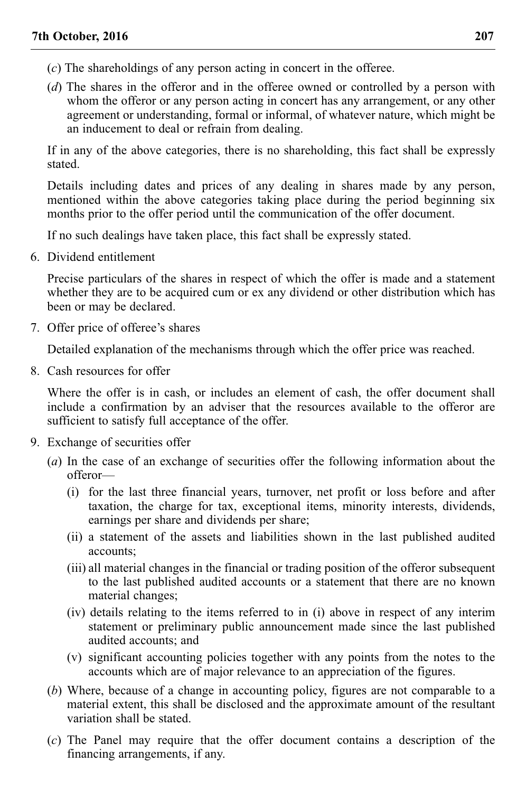- (*c*) The shareholdings of any person acting in concert in the offeree.
- (*d*) The shares in the offeror and in the offeree owned or controlled by a person with whom the offeror or any person acting in concert has any arrangement, or any other agreement or understanding, formal or informal, of whatever nature, which might be an inducement to deal or refrain from dealing.

If in any of the above categories, there is no shareholding, this fact shall be expressly stated.

Details including dates and prices of any dealing in shares made by any person, mentioned within the above categories taking place during the period beginning six months prior to the offer period until the communication of the offer document.

If no such dealings have taken place, this fact shall be expressly stated.

6. Dividend entitlement

Precise particulars of the shares in respect of which the offer is made and a statement whether they are to be acquired cum or ex any dividend or other distribution which has been or may be declared.

7. Offer price of offeree's shares

Detailed explanation of the mechanisms through which the offer price was reached.

8. Cash resources for offer

Where the offer is in cash, or includes an element of cash, the offer document shall include a confirmation by an adviser that the resources available to the offeror are sufficient to satisfy full acceptance of the offer.

- 9. Exchange of securities offer
	- (*a*) In the case of an exchange of securities offer the following information about the offeror—
		- (i) for the last three financial years, turnover, net profit or loss before and after taxation, the charge for tax, exceptional items, minority interests, dividends, earnings per share and dividends per share;
		- (ii) a statement of the assets and liabilities shown in the last published audited accounts;
		- (iii) all material changes in the financial or trading position of the offeror subsequent to the last published audited accounts or a statement that there are no known material changes;
		- (iv) details relating to the items referred to in (i) above in respect of any interim statement or preliminary public announcement made since the last published audited accounts; and
		- (v) significant accounting policies together with any points from the notes to the accounts which are of major relevance to an appreciation of the figures.
	- (*b*) Where, because of a change in accounting policy, figures are not comparable to a material extent, this shall be disclosed and the approximate amount of the resultant variation shall be stated.
	- (*c*) The Panel may require that the offer document contains a description of the financing arrangements, if any.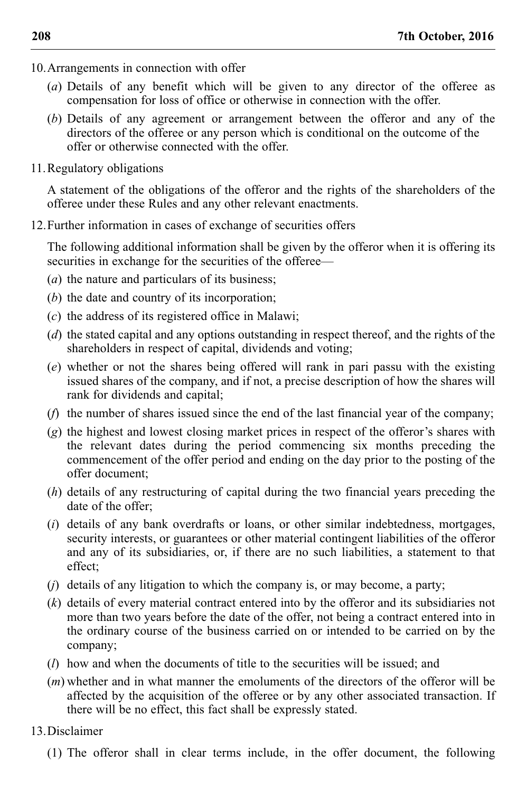- 10.Arrangements in connection with offer
	- (*a*) Details of any benefit which will be given to any director of the offeree as compensation for loss of office or otherwise in connection with the offer.
	- (*b*) Details of any agreement or arrangement between the offeror and any of the directors of the offeree or any person which is conditional on the outcome of the offer or otherwise connected with the offer.
- 11.Regulatory obligations

A statement of the obligations of the offeror and the rights of the shareholders of the offeree under these Rules and any other relevant enactments.

12.Further information in cases of exchange of securities offers

The following additional information shall be given by the offeror when it is offering its securities in exchange for the securities of the offeree—

- (*a*) the nature and particulars of its business;
- (*b*) the date and country of its incorporation;
- (*c*) the address of its registered office in Malawi;
- (*d*) the stated capital and any options outstanding in respect thereof, and the rights of the shareholders in respect of capital, dividends and voting;
- (*e*) whether or not the shares being offered will rank in pari passu with the existing issued shares of the company, and if not, a precise description of how the shares will rank for dividends and capital;
- (*f*) the number of shares issued since the end of the last financial year of the company;
- (*g*) the highest and lowest closing market prices in respect of the offeror's shares with the relevant dates during the period commencing six months preceding the commencement of the offer period and ending on the day prior to the posting of the offer document;
- (*h*) details of any restructuring of capital during the two financial years preceding the date of the offer;
- (*i*) details of any bank overdrafts or loans, or other similar indebtedness, mortgages, security interests, or guarantees or other material contingent liabilities of the offeror and any of its subsidiaries, or, if there are no such liabilities, a statement to that effect;
- (*j*) details of any litigation to which the company is, or may become, a party;
- (*k*) details of every material contract entered into by the offeror and its subsidiaries not more than two years before the date of the offer, not being a contract entered into in the ordinary course of the business carried on or intended to be carried on by the company;
- (*l*) how and when the documents of title to the securities will be issued; and
- (*m*) whether and in what manner the emoluments of the directors of the offeror will be affected by the acquisition of the offeree or by any other associated transaction. If there will be no effect, this fact shall be expressly stated.
- 13.Disclaimer
	- (1) The offeror shall in clear terms include, in the offer document, the following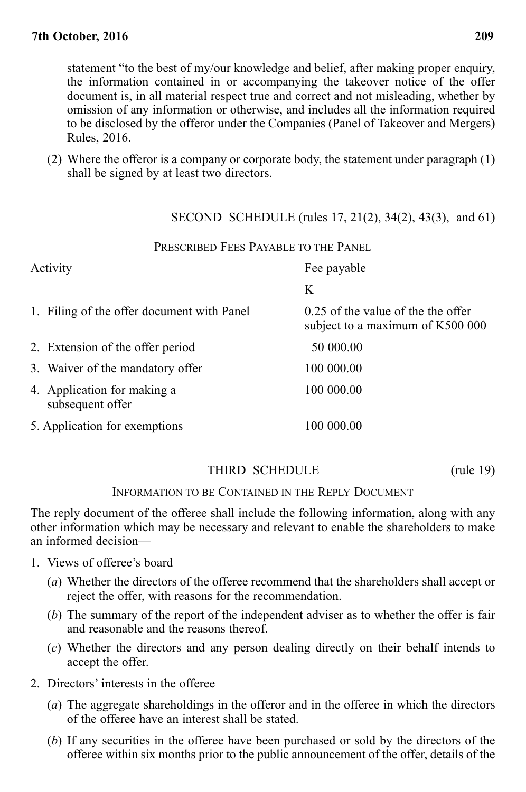statement "to the best of my/our knowledge and belief, after making proper enquiry, the information contained in or accompanying the takeover notice of the offer document is, in all material respect true and correct and not misleading, whether by omission of any information or otherwise, and includes all the information required to be disclosed by the offeror under the Companies (Panel of Takeover and Mergers) Rules, 2016.

(2) Where the offeror is a company or corporate body, the statement under paragraph (1) shall be signed by at least two directors.

# SECOND SCHEDULE (rules 17, 21(2), 34(2), 43(3), and 61)

## PRESCRIBED FEES PAYABLE TO THE PANEL

| Activity                                        | Fee payable                                                              |  |
|-------------------------------------------------|--------------------------------------------------------------------------|--|
|                                                 | K                                                                        |  |
| 1. Filing of the offer document with Panel      | $0.25$ of the value of the the offer<br>subject to a maximum of K500 000 |  |
| 2. Extension of the offer period                | 50 000.00                                                                |  |
| 3. Waiver of the mandatory offer                | 100 000.00                                                               |  |
| 4. Application for making a<br>subsequent offer | 100 000.00                                                               |  |
| 5. Application for exemptions                   | 100 000.00                                                               |  |

# THIRD SCHEDULE (rule 19)

## INFORMATION TO BE CONTAINED IN THE REPLY DOCUMENT

The reply document of the offeree shall include the following information, along with any other information which may be necessary and relevant to enable the shareholders to make an informed decision—

- 1. Views of offeree's board
	- (*a*) Whether the directors of the offeree recommend that the shareholders shall accept or reject the offer, with reasons for the recommendation.
	- (*b*) The summary of the report of the independent adviser as to whether the offer is fair and reasonable and the reasons thereof.
	- (*c*) Whether the directors and any person dealing directly on their behalf intends to accept the offer.
- 2. Directors' interests in the offeree
	- (*a*) The aggregate shareholdings in the offeror and in the offeree in which the directors of the offeree have an interest shall be stated.
	- (*b*) If any securities in the offeree have been purchased or sold by the directors of the offeree within six months prior to the public announcement of the offer, details of the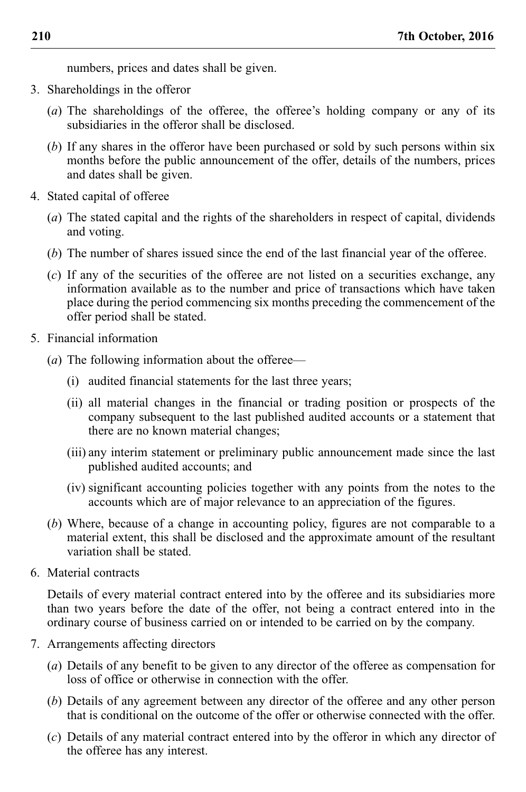numbers, prices and dates shall be given.

- 3. Shareholdings in the offeror
	- (*a*) The shareholdings of the offeree, the offeree's holding company or any of its subsidiaries in the offeror shall be disclosed.
	- (*b*) If any shares in the offeror have been purchased or sold by such persons within six months before the public announcement of the offer, details of the numbers, prices and dates shall be given.
- 4. Stated capital of offeree
	- (*a*) The stated capital and the rights of the shareholders in respect of capital, dividends and voting.
	- (*b*) The number of shares issued since the end of the last financial year of the offeree.
	- (*c*) If any of the securities of the offeree are not listed on a securities exchange, any information available as to the number and price of transactions which have taken place during the period commencing six months preceding the commencement of the offer period shall be stated.
- 5. Financial information
	- (*a*) The following information about the offeree—
		- (i) audited financial statements for the last three years;
		- (ii) all material changes in the financial or trading position or prospects of the company subsequent to the last published audited accounts or a statement that there are no known material changes;
		- (iii) any interim statement or preliminary public announcement made since the last published audited accounts; and
		- (iv) significant accounting policies together with any points from the notes to the accounts which are of major relevance to an appreciation of the figures.
	- (*b*) Where, because of a change in accounting policy, figures are not comparable to a material extent, this shall be disclosed and the approximate amount of the resultant variation shall be stated.
- 6. Material contracts

Details of every material contract entered into by the offeree and its subsidiaries more than two years before the date of the offer, not being a contract entered into in the ordinary course of business carried on or intended to be carried on by the company.

- 7. Arrangements affecting directors
	- (*a*) Details of any benefit to be given to any director of the offeree as compensation for loss of office or otherwise in connection with the offer.
	- (*b*) Details of any agreement between any director of the offeree and any other person that is conditional on the outcome of the offer or otherwise connected with the offer.
	- (*c*) Details of any material contract entered into by the offeror in which any director of the offeree has any interest.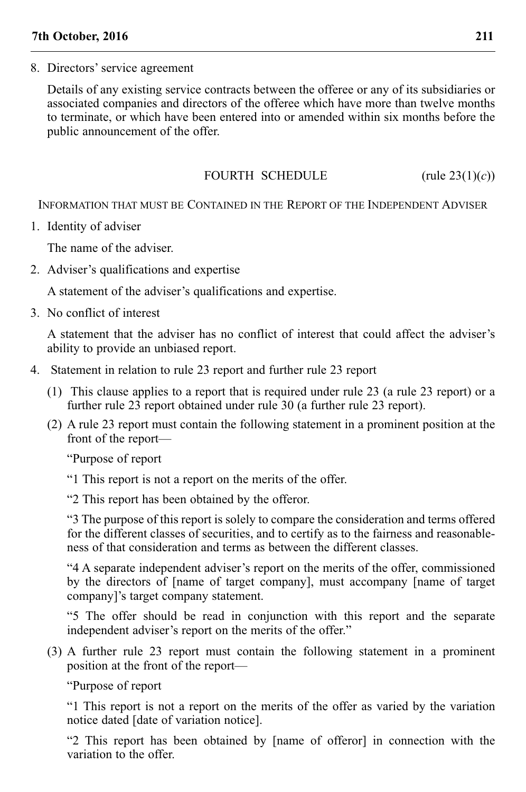8. Directors' service agreement

Details of any existing service contracts between the offeree or any of its subsidiaries or associated companies and directors of the offeree which have more than twelve months to terminate, or which have been entered into or amended within six months before the public announcement of the offer.

## FOURTH SCHEDULE (rule 23(1)(*c*))

INFORMATION THAT MUST BE CONTAINED IN THE REPORT OF THE INDEPENDENT ADVISER

1. Identity of adviser

The name of the adviser.

2. Adviser's qualifications and expertise

A statement of the adviser's qualifications and expertise.

3. No conflict of interest

A statement that the adviser has no conflict of interest that could affect the adviser's ability to provide an unbiased report.

- 4. Statement in relation to rule 23 report and further rule 23 report
	- (1) This clause applies to a report that is required under rule 23 (a rule 23 report) or a further rule 23 report obtained under rule 30 (a further rule 23 report).
	- (2) A rule 23 report must contain the following statement in a prominent position at the front of the report—

"Purpose of report

"1 This report is not a report on the merits of the offer.

"2 This report has been obtained by the offeror.

"3 The purpose of this report is solely to compare the consideration and terms offered for the different classes of securities, and to certify as to the fairness and reasonableness of that consideration and terms as between the different classes.

"4 A separate independent adviser's report on the merits of the offer, commissioned by the directors of [name of target company], must accompany [name of target company]'s target company statement.

"5 The offer should be read in conjunction with this report and the separate independent adviser's report on the merits of the offer."

(3) A further rule 23 report must contain the following statement in a prominent position at the front of the report—

"Purpose of report

"1 This report is not a report on the merits of the offer as varied by the variation notice dated [date of variation notice].

"2 This report has been obtained by [name of offeror] in connection with the variation to the offer.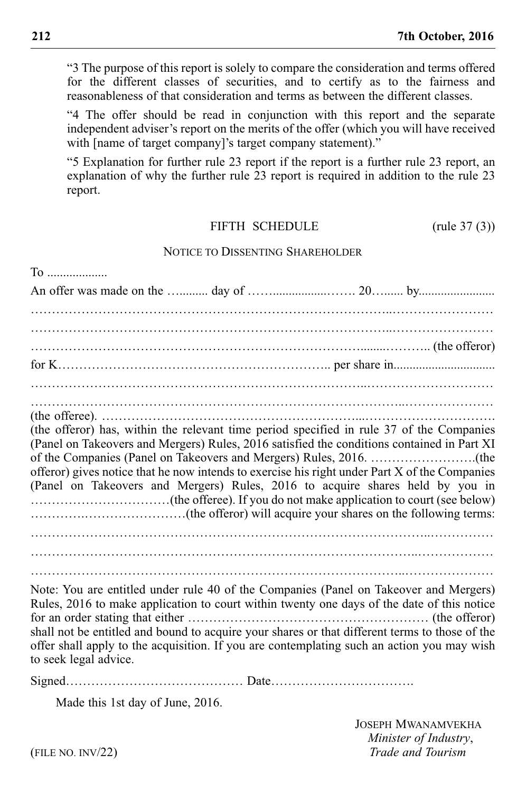"3 The purpose of this report is solely to compare the consideration and terms offered for the different classes of securities, and to certify as to the fairness and reasonableness of that consideration and terms as between the different classes.

"4 The offer should be read in conjunction with this report and the separate independent adviser's report on the merits of the offer (which you will have received with [name of target company]'s target company statement)."

"5 Explanation for further rule 23 report if the report is a further rule 23 report, an explanation of why the further rule 23 report is required in addition to the rule 23 report.

FIFTH SCHEDULE (rule 37 (3))

## NOTICE TO DISSENTING SHAREHOLDER

An offer was made on the …......... day of …….................……. 20…...... by........................ …………………………………………………………………………..…………………… ……………………………………………………………………........……….. (the offeror) for K……………………………………………………….. per share in................................ (the offeree). ……………………………………………………...…………………………. (the offeror) has, within the relevant time period specified in rule 37 of the Companies (Panel on Takeovers and Mergers) Rules, 2016 satisfied the conditions contained in Part XI of the Companies (Panel on Takeovers and Mergers) Rules, 2016. …………………….(the offeror) gives notice that he now intends to exercise his right under Part X of the Companies (Panel on Takeovers and Mergers) Rules, 2016 to acquire shares held by you in ……………………………(the offeree). If you do not make application to court (see below) ………….……………………(the offeror) will acquire your shares on the following terms: ………………………………………………………………………………..……………… Note: You are entitled under rule 40 of the Companies (Panel on Takeover and Mergers) Rules, 2016 to make application to court within twenty one days of the date of this notice for an order stating that either ………………………………………………… (the offeror) shall not be entitled and bound to acquire your shares or that different terms to those of the offer shall apply to the acquisition. If you are contemplating such an action you may wish to seek legal advice.

Signed…………………………………… Date…………………………….

Made this 1st day of June, 2016.

To ...................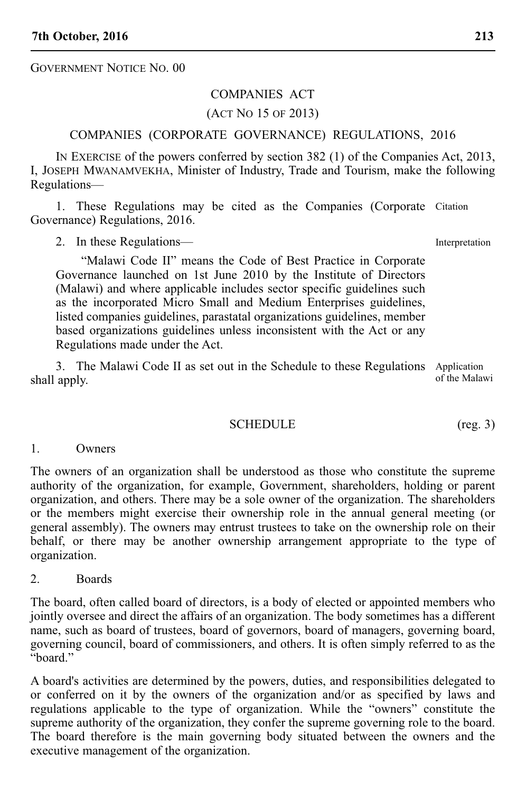GOVERNMENT NOTICE NO. 00

## COMPANIES ACT

#### (ACT NO 15 OF 2013)

## COMPANIES (CORPORATE GOVERNANCE) REGULATIONS, 2016

IN EXERCISE of the powers conferred by section 382 (1) of the Companies Act, 2013, I, JOSEPH MWANAMVEKHA, Minister of Industry, Trade and Tourism, make the following Regulations—

1. These Regulations may be cited as the Companies (Corporate Citation Governance) Regulations, 2016.

2. In these Regulations—

"Malawi Code II" means the Code of Best Practice in Corporate Governance launched on 1st June 2010 by the Institute of Directors (Malawi) and where applicable includes sector specific guidelines such as the incorporated Micro Small and Medium Enterprises guidelines, listed companies guidelines, parastatal organizations guidelines, member based organizations guidelines unless inconsistent with the Act or any Regulations made under the Act.

3. The Malawi Code II as set out in the Schedule to these Regulations shall apply. Application of the Malawi

#### SCHEDULE (reg. 3)

#### 1. Owners

The owners of an organization shall be understood as those who constitute the supreme authority of the organization, for example, Government, shareholders, holding or parent organization, and others. There may be a sole owner of the organization. The shareholders or the members might exercise their ownership role in the annual general meeting (or general assembly). The owners may entrust trustees to take on the ownership role on their behalf, or there may be another ownership arrangement appropriate to the type of organization.

2. Boards

The board, often called board of directors, is a body of elected or appointed members who jointly oversee and direct the affairs of an organization. The body sometimes has a different name, such as board of trustees, board of governors, board of managers, governing board, governing council, board of commissioners, and others. It is often simply referred to as the "board."

A board's activities are determined by the powers, duties, and responsibilities delegated to or conferred on it by the owners of the organization and/or as specified by laws and regulations applicable to the type of organization. While the "owners" constitute the supreme authority of the organization, they confer the supreme governing role to the board. The board therefore is the main governing body situated between the owners and the executive management of the organization.

Interpretation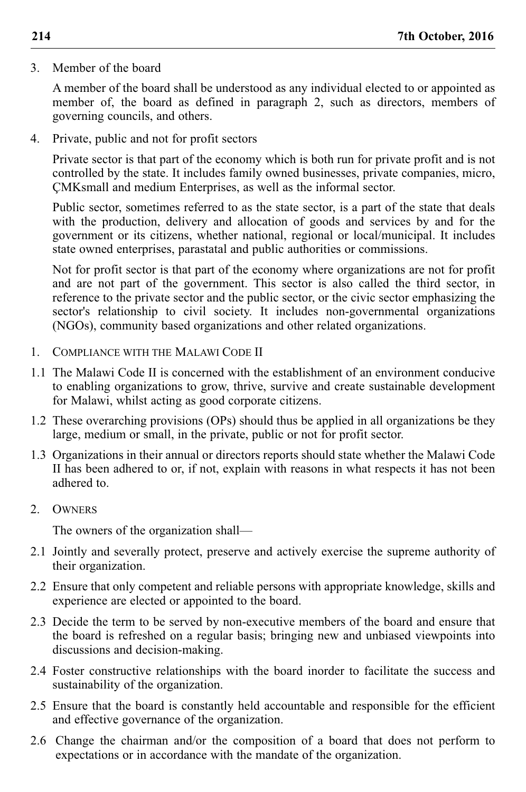3. Member of the board

A member of the board shall be understood as any individual elected to or appointed as member of, the board as defined in paragraph 2, such as directors, members of governing councils, and others.

4. Private, public and not for profit sectors

Private sector is that part of the economy which is both run for private profit and is not controlled by the state. It includes family owned businesses, private companies, micro, ÇMKsmall and medium Enterprises, as well as the informal sector.

Public sector, sometimes referred to as the state sector, is a part of the state that deals with the production, delivery and allocation of goods and services by and for the government or its citizens, whether national, regional or local/municipal. It includes state owned enterprises, parastatal and public authorities or commissions.

Not for profit sector is that part of the economy where organizations are not for profit and are not part of the government. This sector is also called the third sector, in reference to the private sector and the public sector, or the civic sector emphasizing the sector's relationship to civil society. It includes non-governmental organizations (NGOs), community based organizations and other related organizations.

- 1. COMPLIANCE WITH THE MALAWI CODE II
- 1.1 The Malawi Code II is concerned with the establishment of an environment conducive to enabling organizations to grow, thrive, survive and create sustainable development for Malawi, whilst acting as good corporate citizens.
- 1.2 These overarching provisions (OPs) should thus be applied in all organizations be they large, medium or small, in the private, public or not for profit sector.
- 1.3 Organizations in their annual or directors reports should state whether the Malawi Code II has been adhered to or, if not, explain with reasons in what respects it has not been adhered to.
- 2. OWNERS

The owners of the organization shall—

- 2.1 Jointly and severally protect, preserve and actively exercise the supreme authority of their organization.
- 2.2 Ensure that only competent and reliable persons with appropriate knowledge, skills and experience are elected or appointed to the board.
- 2.3 Decide the term to be served by non-executive members of the board and ensure that the board is refreshed on a regular basis; bringing new and unbiased viewpoints into discussions and decision-making.
- 2.4 Foster constructive relationships with the board inorder to facilitate the success and sustainability of the organization.
- 2.5 Ensure that the board is constantly held accountable and responsible for the efficient and effective governance of the organization.
- 2.6 Change the chairman and/or the composition of a board that does not perform to expectations or in accordance with the mandate of the organization.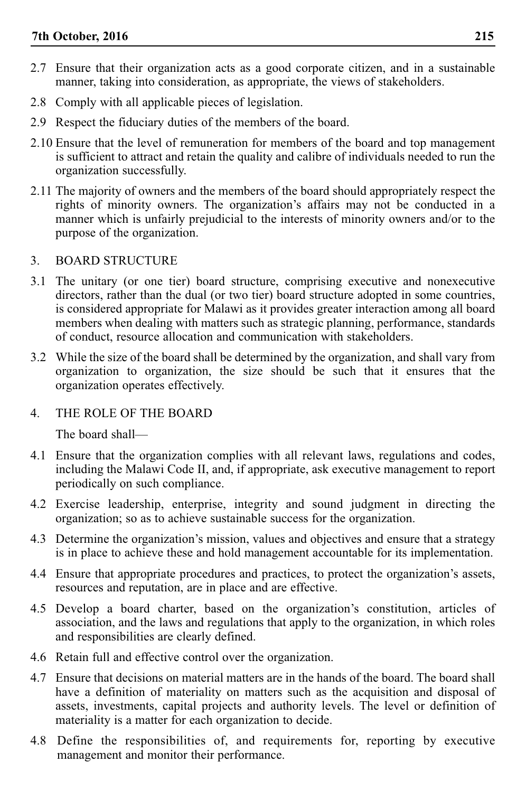- 2.7 Ensure that their organization acts as a good corporate citizen, and in a sustainable manner, taking into consideration, as appropriate, the views of stakeholders.
- 2.8 Comply with all applicable pieces of legislation.
- 2.9 Respect the fiduciary duties of the members of the board.
- 2.10 Ensure that the level of remuneration for members of the board and top management is sufficient to attract and retain the quality and calibre of individuals needed to run the organization successfully.
- 2.11 The majority of owners and the members of the board should appropriately respect the rights of minority owners. The organization's affairs may not be conducted in a manner which is unfairly prejudicial to the interests of minority owners and/or to the purpose of the organization.
- 3. BOARD STRUCTURE
- 3.1 The unitary (or one tier) board structure, comprising executive and nonexecutive directors, rather than the dual (or two tier) board structure adopted in some countries, is considered appropriate for Malawi as it provides greater interaction among all board members when dealing with matters such as strategic planning, performance, standards of conduct, resource allocation and communication with stakeholders.
- 3.2 While the size of the board shall be determined by the organization, and shall vary from organization to organization, the size should be such that it ensures that the organization operates effectively.
- 4. THE ROLE OF THE BOARD

The board shall—

- 4.1 Ensure that the organization complies with all relevant laws, regulations and codes, including the Malawi Code II, and, if appropriate, ask executive management to report periodically on such compliance.
- 4.2 Exercise leadership, enterprise, integrity and sound judgment in directing the organization; so as to achieve sustainable success for the organization.
- 4.3 Determine the organization's mission, values and objectives and ensure that a strategy is in place to achieve these and hold management accountable for its implementation.
- 4.4 Ensure that appropriate procedures and practices, to protect the organization's assets, resources and reputation, are in place and are effective.
- 4.5 Develop a board charter, based on the organization's constitution, articles of association, and the laws and regulations that apply to the organization, in which roles and responsibilities are clearly defined.
- 4.6 Retain full and effective control over the organization.
- 4.7 Ensure that decisions on material matters are in the hands of the board. The board shall have a definition of materiality on matters such as the acquisition and disposal of assets, investments, capital projects and authority levels. The level or definition of materiality is a matter for each organization to decide.
- 4.8 Define the responsibilities of, and requirements for, reporting by executive management and monitor their performance.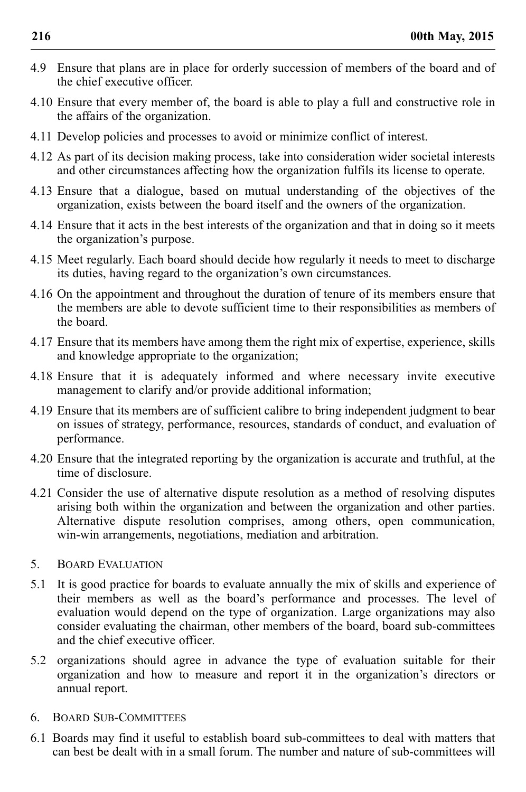- 4.9 Ensure that plans are in place for orderly succession of members of the board and of the chief executive officer.
- 4.10 Ensure that every member of, the board is able to play a full and constructive role in the affairs of the organization.
- 4.11 Develop policies and processes to avoid or minimize conflict of interest.
- 4.12 As part of its decision making process, take into consideration wider societal interests and other circumstances affecting how the organization fulfils its license to operate.
- 4.13 Ensure that a dialogue, based on mutual understanding of the objectives of the organization, exists between the board itself and the owners of the organization.
- 4.14 Ensure that it acts in the best interests of the organization and that in doing so it meets the organization's purpose.
- 4.15 Meet regularly. Each board should decide how regularly it needs to meet to discharge its duties, having regard to the organization's own circumstances.
- 4.16 On the appointment and throughout the duration of tenure of its members ensure that the members are able to devote sufficient time to their responsibilities as members of the board.
- 4.17 Ensure that its members have among them the right mix of expertise, experience, skills and knowledge appropriate to the organization;
- 4.18 Ensure that it is adequately informed and where necessary invite executive management to clarify and/or provide additional information;
- 4.19 Ensure that its members are of sufficient calibre to bring independent judgment to bear on issues of strategy, performance, resources, standards of conduct, and evaluation of performance.
- 4.20 Ensure that the integrated reporting by the organization is accurate and truthful, at the time of disclosure.
- 4.21 Consider the use of alternative dispute resolution as a method of resolving disputes arising both within the organization and between the organization and other parties. Alternative dispute resolution comprises, among others, open communication, win-win arrangements, negotiations, mediation and arbitration.
- 5. BOARD EVALUATION
- 5.1 It is good practice for boards to evaluate annually the mix of skills and experience of their members as well as the board's performance and processes. The level of evaluation would depend on the type of organization. Large organizations may also consider evaluating the chairman, other members of the board, board sub-committees and the chief executive officer.
- 5.2 organizations should agree in advance the type of evaluation suitable for their organization and how to measure and report it in the organization's directors or annual report.
- 6. BOARD SUB-COMMITTEES
- 6.1 Boards may find it useful to establish board sub-committees to deal with matters that can best be dealt with in a small forum. The number and nature of sub-committees will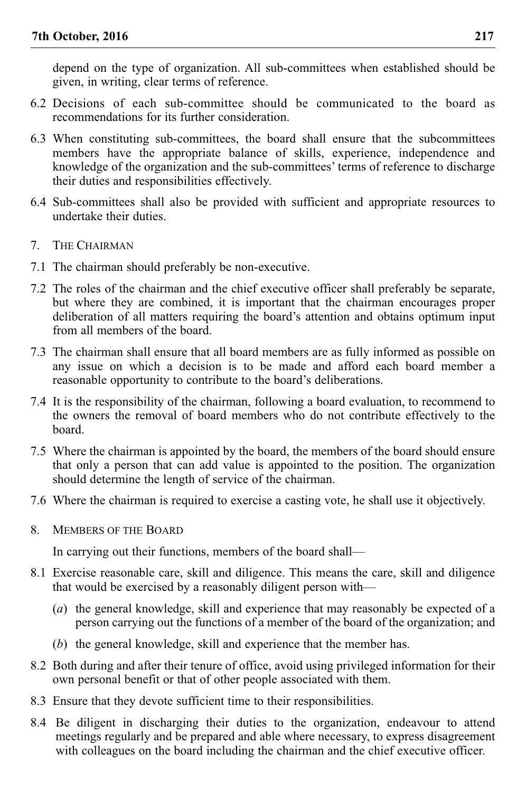depend on the type of organization. All sub-committees when established should be given, in writing, clear terms of reference.

- 6.2 Decisions of each sub-committee should be communicated to the board as recommendations for its further consideration.
- 6.3 When constituting sub-committees, the board shall ensure that the subcommittees members have the appropriate balance of skills, experience, independence and knowledge of the organization and the sub-committees' terms of reference to discharge their duties and responsibilities effectively.
- 6.4 Sub-committees shall also be provided with sufficient and appropriate resources to undertake their duties.
- 7. THE CHAIRMAN
- 7.1 The chairman should preferably be non-executive.
- 7.2 The roles of the chairman and the chief executive officer shall preferably be separate, but where they are combined, it is important that the chairman encourages proper deliberation of all matters requiring the board's attention and obtains optimum input from all members of the board.
- 7.3 The chairman shall ensure that all board members are as fully informed as possible on any issue on which a decision is to be made and afford each board member a reasonable opportunity to contribute to the board's deliberations.
- 7.4 It is the responsibility of the chairman, following a board evaluation, to recommend to the owners the removal of board members who do not contribute effectively to the board.
- 7.5 Where the chairman is appointed by the board, the members of the board should ensure that only a person that can add value is appointed to the position. The organization should determine the length of service of the chairman.
- 7.6 Where the chairman is required to exercise a casting vote, he shall use it objectively.
- 8. MEMBERS OF THE BOARD

In carrying out their functions, members of the board shall—

- 8.1 Exercise reasonable care, skill and diligence. This means the care, skill and diligence that would be exercised by a reasonably diligent person with—
	- (*a*) the general knowledge, skill and experience that may reasonably be expected of a person carrying out the functions of a member of the board of the organization; and
	- (*b*) the general knowledge, skill and experience that the member has.
- 8.2 Both during and after their tenure of office, avoid using privileged information for their own personal benefit or that of other people associated with them.
- 8.3 Ensure that they devote sufficient time to their responsibilities.
- 8.4 Be diligent in discharging their duties to the organization, endeavour to attend meetings regularly and be prepared and able where necessary, to express disagreement with colleagues on the board including the chairman and the chief executive officer.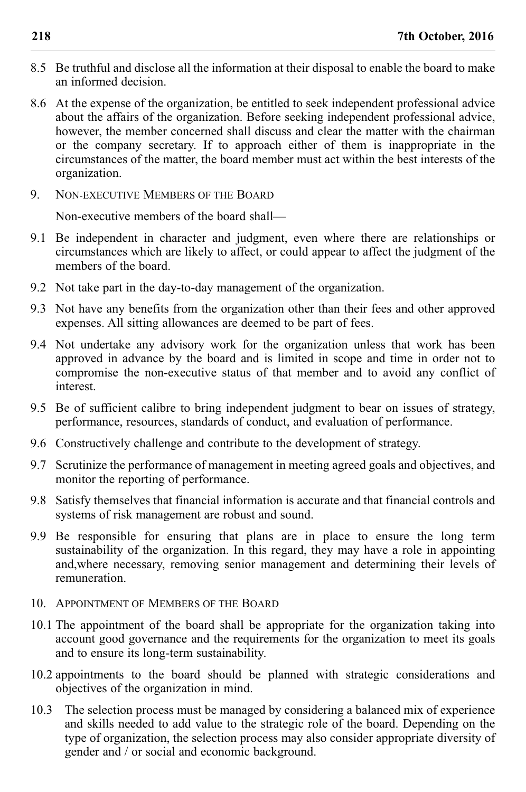- 8.5 Be truthful and disclose all the information at their disposal to enable the board to make an informed decision.
- 8.6 At the expense of the organization, be entitled to seek independent professional advice about the affairs of the organization. Before seeking independent professional advice, however, the member concerned shall discuss and clear the matter with the chairman or the company secretary. If to approach either of them is inappropriate in the circumstances of the matter, the board member must act within the best interests of the organization.
- 9. NON-EXECUTIVE MEMBERS OF THE BOARD

Non-executive members of the board shall—

- 9.1 Be independent in character and judgment, even where there are relationships or circumstances which are likely to affect, or could appear to affect the judgment of the members of the board.
- 9.2 Not take part in the day-to-day management of the organization.
- 9.3 Not have any benefits from the organization other than their fees and other approved expenses. All sitting allowances are deemed to be part of fees.
- 9.4 Not undertake any advisory work for the organization unless that work has been approved in advance by the board and is limited in scope and time in order not to compromise the non-executive status of that member and to avoid any conflict of interest.
- 9.5 Be of sufficient calibre to bring independent judgment to bear on issues of strategy, performance, resources, standards of conduct, and evaluation of performance.
- 9.6 Constructively challenge and contribute to the development of strategy.
- 9.7 Scrutinize the performance of management in meeting agreed goals and objectives, and monitor the reporting of performance.
- 9.8 Satisfy themselves that financial information is accurate and that financial controls and systems of risk management are robust and sound.
- 9.9 Be responsible for ensuring that plans are in place to ensure the long term sustainability of the organization. In this regard, they may have a role in appointing and,where necessary, removing senior management and determining their levels of remuneration.
- 10. APPOINTMENT OF MEMBERS OF THE BOARD
- 10.1 The appointment of the board shall be appropriate for the organization taking into account good governance and the requirements for the organization to meet its goals and to ensure its long-term sustainability.
- 10.2 appointments to the board should be planned with strategic considerations and objectives of the organization in mind.
- 10.3 The selection process must be managed by considering a balanced mix of experience and skills needed to add value to the strategic role of the board. Depending on the type of organization, the selection process may also consider appropriate diversity of gender and / or social and economic background.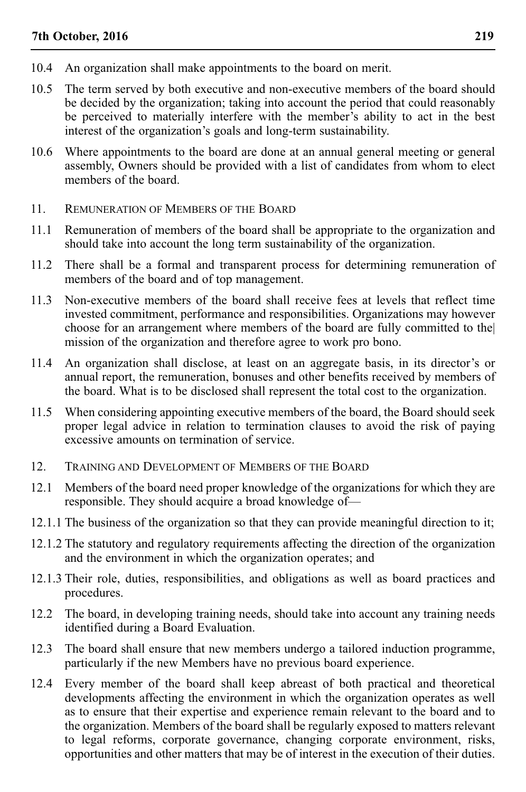- 10.4 An organization shall make appointments to the board on merit.
- 10.5 The term served by both executive and non-executive members of the board should be decided by the organization; taking into account the period that could reasonably be perceived to materially interfere with the member's ability to act in the best interest of the organization's goals and long-term sustainability.
- 10.6 Where appointments to the board are done at an annual general meeting or general assembly, Owners should be provided with a list of candidates from whom to elect members of the board.
- 11. REMUNERATION OF MEMBERS OF THE BOARD
- 11.1 Remuneration of members of the board shall be appropriate to the organization and should take into account the long term sustainability of the organization.
- 11.2 There shall be a formal and transparent process for determining remuneration of members of the board and of top management.
- 11.3 Non-executive members of the board shall receive fees at levels that reflect time invested commitment, performance and responsibilities. Organizations may however choose for an arrangement where members of the board are fully committed to the| mission of the organization and therefore agree to work pro bono.
- 11.4 An organization shall disclose, at least on an aggregate basis, in its director's or annual report, the remuneration, bonuses and other benefits received by members of the board. What is to be disclosed shall represent the total cost to the organization.
- 11.5 When considering appointing executive members of the board, the Board should seek proper legal advice in relation to termination clauses to avoid the risk of paying excessive amounts on termination of service.
- 12. TRAINING AND DEVELOPMENT OF MEMBERS OF THE BOARD
- 12.1 Members of the board need proper knowledge of the organizations for which they are responsible. They should acquire a broad knowledge of—
- 12.1.1 The business of the organization so that they can provide meaningful direction to it;
- 12.1.2 The statutory and regulatory requirements affecting the direction of the organization and the environment in which the organization operates; and
- 12.1.3 Their role, duties, responsibilities, and obligations as well as board practices and procedures.
- 12.2 The board, in developing training needs, should take into account any training needs identified during a Board Evaluation.
- 12.3 The board shall ensure that new members undergo a tailored induction programme, particularly if the new Members have no previous board experience.
- 12.4 Every member of the board shall keep abreast of both practical and theoretical developments affecting the environment in which the organization operates as well as to ensure that their expertise and experience remain relevant to the board and to the organization. Members of the board shall be regularly exposed to matters relevant to legal reforms, corporate governance, changing corporate environment, risks, opportunities and other matters that may be of interest in the execution of their duties.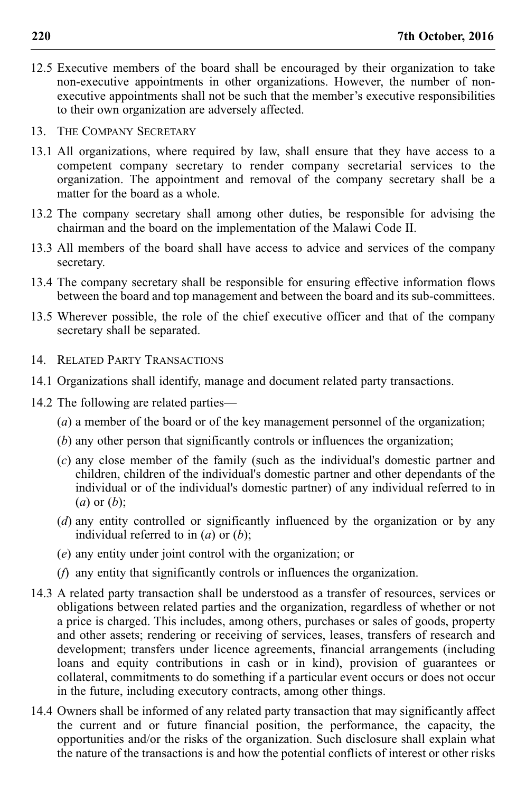- 12.5 Executive members of the board shall be encouraged by their organization to take non-executive appointments in other organizations. However, the number of nonexecutive appointments shall not be such that the member's executive responsibilities to their own organization are adversely affected.
- 13. THE COMPANY SECRETARY
- 13.1 All organizations, where required by law, shall ensure that they have access to a competent company secretary to render company secretarial services to the organization. The appointment and removal of the company secretary shall be a matter for the board as a whole.
- 13.2 The company secretary shall among other duties, be responsible for advising the chairman and the board on the implementation of the Malawi Code II.
- 13.3 All members of the board shall have access to advice and services of the company secretary.
- 13.4 The company secretary shall be responsible for ensuring effective information flows between the board and top management and between the board and its sub-committees.
- 13.5 Wherever possible, the role of the chief executive officer and that of the company secretary shall be separated.
- 14. RELATED PARTY TRANSACTIONS
- 14.1 Organizations shall identify, manage and document related party transactions.
- 14.2 The following are related parties—
	- (*a*) a member of the board or of the key management personnel of the organization;
	- (*b*) any other person that significantly controls or influences the organization;
	- (*c*) any close member of the family (such as the individual's domestic partner and children, children of the individual's domestic partner and other dependants of the individual or of the individual's domestic partner) of any individual referred to in (*a*) or (*b*);
	- (*d*) any entity controlled or significantly influenced by the organization or by any individual referred to in (*a*) or (*b*);
	- (*e*) any entity under joint control with the organization; or
	- (*f*) any entity that significantly controls or influences the organization.
- 14.3 A related party transaction shall be understood as a transfer of resources, services or obligations between related parties and the organization, regardless of whether or not a price is charged. This includes, among others, purchases or sales of goods, property and other assets; rendering or receiving of services, leases, transfers of research and development; transfers under licence agreements, financial arrangements (including loans and equity contributions in cash or in kind), provision of guarantees or collateral, commitments to do something if a particular event occurs or does not occur in the future, including executory contracts, among other things.
- 14.4 Owners shall be informed of any related party transaction that may significantly affect the current and or future financial position, the performance, the capacity, the opportunities and/or the risks of the organization. Such disclosure shall explain what the nature of the transactions is and how the potential conflicts of interest or other risks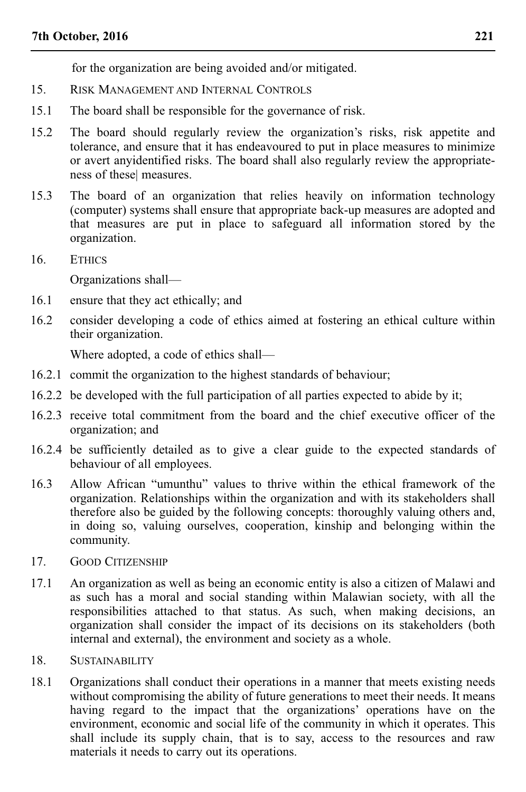for the organization are being avoided and/or mitigated.

- 15. RISK MANAGEMENT AND INTERNAL CONTROLS
- 15.1 The board shall be responsible for the governance of risk.
- 15.2 The board should regularly review the organization's risks, risk appetite and tolerance, and ensure that it has endeavoured to put in place measures to minimize or avert anyidentified risks. The board shall also regularly review the appropriateness of these| measures.
- 15.3 The board of an organization that relies heavily on information technology (computer) systems shall ensure that appropriate back-up measures are adopted and that measures are put in place to safeguard all information stored by the organization.
- 16. ETHICS

Organizations shall—

- 16.1 ensure that they act ethically; and
- 16.2 consider developing a code of ethics aimed at fostering an ethical culture within their organization.

Where adopted, a code of ethics shall—

- 16.2.1 commit the organization to the highest standards of behaviour;
- 16.2.2 be developed with the full participation of all parties expected to abide by it;
- 16.2.3 receive total commitment from the board and the chief executive officer of the organization; and
- 16.2.4 be sufficiently detailed as to give a clear guide to the expected standards of behaviour of all employees.
- 16.3 Allow African "umunthu" values to thrive within the ethical framework of the organization. Relationships within the organization and with its stakeholders shall therefore also be guided by the following concepts: thoroughly valuing others and, in doing so, valuing ourselves, cooperation, kinship and belonging within the community.
- 17. GOOD CITIZENSHIP
- 17.1 An organization as well as being an economic entity is also a citizen of Malawi and as such has a moral and social standing within Malawian society, with all the responsibilities attached to that status. As such, when making decisions, an organization shall consider the impact of its decisions on its stakeholders (both internal and external), the environment and society as a whole.
- 18. SUSTAINABILITY
- 18.1 Organizations shall conduct their operations in a manner that meets existing needs without compromising the ability of future generations to meet their needs. It means having regard to the impact that the organizations' operations have on the environment, economic and social life of the community in which it operates. This shall include its supply chain, that is to say, access to the resources and raw materials it needs to carry out its operations.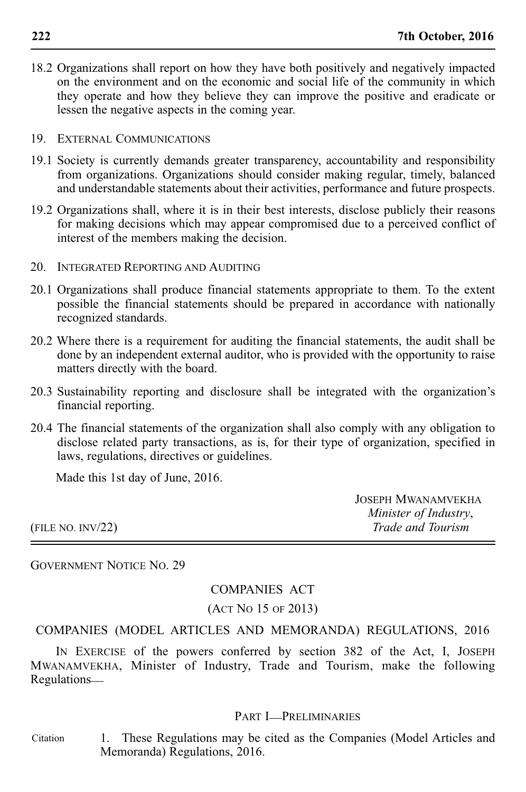- 18.2 Organizations shall report on how they have both positively and negatively impacted on the environment and on the economic and social life of the community in which they operate and how they believe they can improve the positive and eradicate or lessen the negative aspects in the coming year.
- 19. EXTERNAL COMMUNICATIONS
- 19.1 Society is currently demands greater transparency, accountability and responsibility from organizations. Organizations should consider making regular, timely, balanced and understandable statements about their activities, performance and future prospects.
- 19.2 Organizations shall, where it is in their best interests, disclose publicly their reasons for making decisions which may appear compromised due to a perceived conflict of interest of the members making the decision.
- 20. INTEGRATED REPORTING AND AUDITING
- 20.1 Organizations shall produce financial statements appropriate to them. To the extent possible the financial statements should be prepared in accordance with nationally recognized standards.
- 20.2 Where there is a requirement for auditing the financial statements, the audit shall be done by an independent external auditor, who is provided with the opportunity to raise matters directly with the board.
- 20.3 Sustainability reporting and disclosure shall be integrated with the organization's financial reporting.
- 20.4 The financial statements of the organization shall also comply with any obligation to disclose related party transactions, as is, for their type of organization, specified in laws, regulations, directives or guidelines.

Made this 1st day of June, 2016.

|                         | <b>JOSEPH MWANAMVEKHA</b> |
|-------------------------|---------------------------|
|                         | Minister of Industry,     |
| $($ FILE NO. INV $/22)$ | <i>Trade and Tourism</i>  |

GOVERNMENT NOTICE NO. 29

## COMPANIES ACT

## (ACT NO 15 OF 2013)

COMPANIES (MODEL ARTICLES AND MEMORANDA) REGULATIONS, 2016

IN EXERCISE of the powers conferred by section 382 of the Act, I, JOSEPH MWANAMVEKHA, Minister of Industry, Trade and Tourism, make the following Regulations\_\_

#### PART **I\_PRELIMINARIES**

1. These Regulations may be cited as the Companies (Model Articles and Memoranda) Regulations, 2016. Citation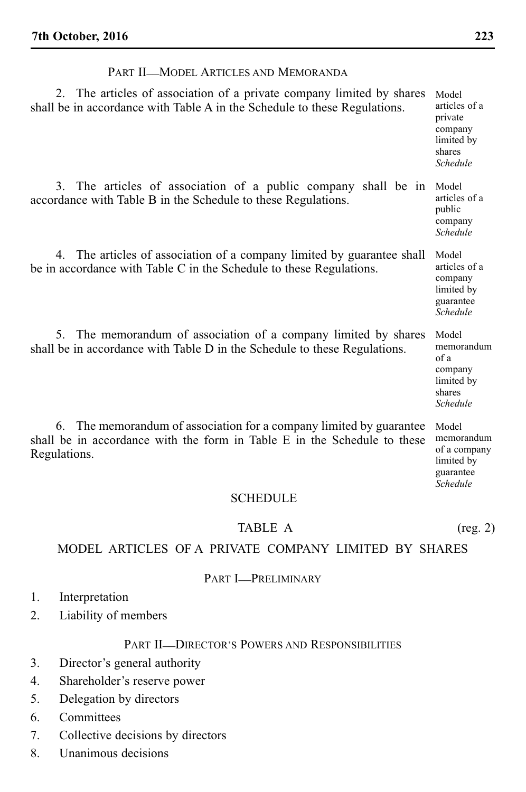## PART II\_MODEL ARTICLES AND MEMORANDA

2. The articles of association of a private company limited by shares shall be in accordance with Table A in the Schedule to these Regulations. 3. The articles of association of a public company shall be in accordance with Table B in the Schedule to these Regulations. 4. The articles of association of a company limited by guarantee shall be in accordance with Table C in the Schedule to these Regulations. 5. The memorandum of association of a company limited by shares shall be in accordance with Table D in the Schedule to these Regulations. 6. The memorandum of association for a company limited by guarantee Model articles of a private company limited by shares *Schedule* Model articles of a public company *Schedule* Model articles of a company limited by guarantee *Schedule* Model memorandum of a company limited by shares *Schedule* Model memorandum

shall be in accordance with the form in Table E in the Schedule to these Regulations. of a company limited by

# SCHEDULE

# TABLE A (reg. 2)

guarantee *Schedule*

# MODEL ARTICLES OF A PRIVATE COMPANY LIMITED BY SHARES

## PART **I\_PRELIMINARY**

- 1. Interpretation
- 2. Liability of members

## PART II\_\_DIRECTOR'S POWERS AND RESPONSIBILITIES

- 3. Director's general authority
- 4. Shareholder's reserve power
- 5. Delegation by directors
- 6. Committees
- 7. Collective decisions by directors
- 8. Unanimous decisions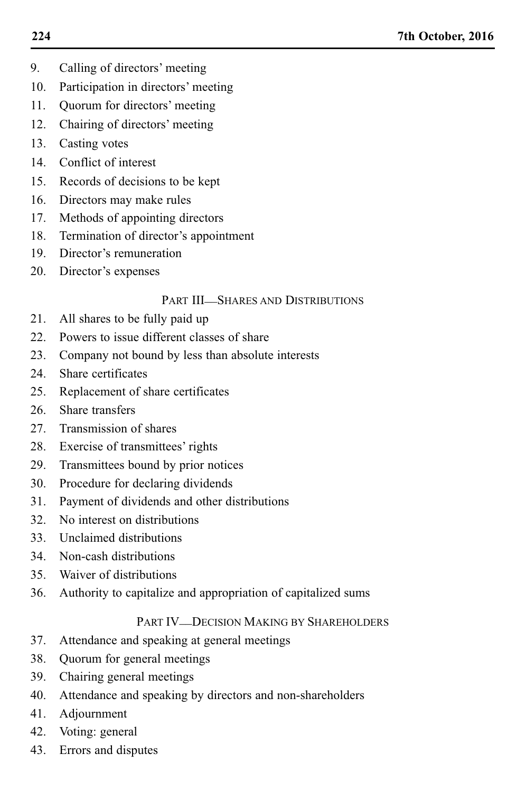- 9. Calling of directors' meeting
- 10. Participation in directors' meeting
- 11. Quorum for directors' meeting
- 12. Chairing of directors' meeting
- 13. Casting votes
- 14. Conflict of interest
- 15. Records of decisions to be kept
- 16. Directors may make rules
- 17. Methods of appointing directors
- 18. Termination of director's appointment
- 19. Director's remuneration
- 20. Director's expenses

# PART III\_\_SHARES AND DISTRIBUTIONS

- 21. All shares to be fully paid up
- 22. Powers to issue different classes of share
- 23. Company not bound by less than absolute interests
- 24. Share certificates
- 25. Replacement of share certificates
- 26. Share transfers
- 27. Transmission of shares
- 28. Exercise of transmittees' rights
- 29. Transmittees bound by prior notices
- 30. Procedure for declaring dividends
- 31. Payment of dividends and other distributions
- 32. No interest on distributions
- 33. Unclaimed distributions
- 34. Non-cash distributions
- 35. Waiver of distributions
- 36. Authority to capitalize and appropriation of capitalized sums

# PART IV\_DECISION MAKING BY SHAREHOLDERS

- 37. Attendance and speaking at general meetings
- 38. Quorum for general meetings
- 39. Chairing general meetings
- 40. Attendance and speaking by directors and non-shareholders
- 41. Adjournment
- 42. Voting: general
- 43. Errors and disputes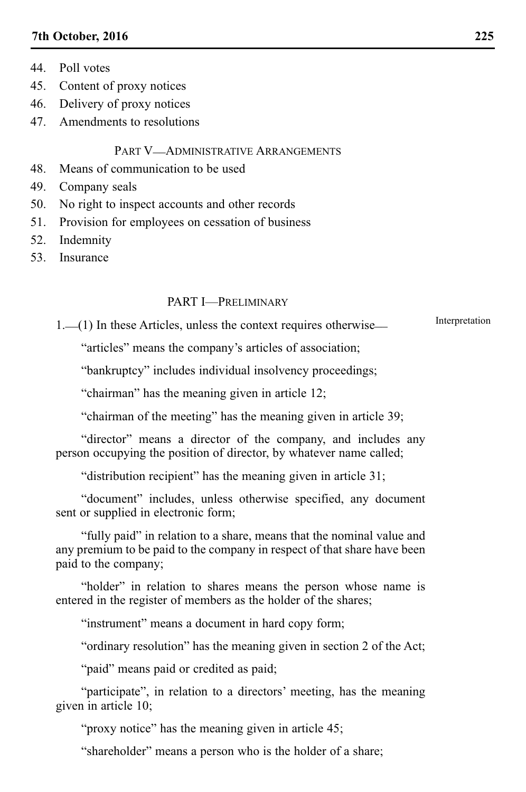#### **7th October, 2016 225**

- 44. Poll votes
- 45. Content of proxy notices
- 46. Delivery of proxy notices
- 47. Amendments to resolutions

#### PART V\_\_ADMINISTRATIVE ARRANGEMENTS

- 48. Means of communication to be used
- 49. Company seals
- 50. No right to inspect accounts and other records
- 51. Provision for employees on cessation of business
- 52. Indemnity
- 53. Insurance

## PART I—PRELIMINARY

1.\_\_(1) In these Articles, unless the context requires otherwise\_\_ Interpretation

"articles" means the company's articles of association;

"bankruptcy" includes individual insolvency proceedings;

"chairman" has the meaning given in article 12;

"chairman of the meeting" has the meaning given in article 39;

"director" means a director of the company, and includes any person occupying the position of director, by whatever name called;

"distribution recipient" has the meaning given in article 31;

"document" includes, unless otherwise specified, any document sent or supplied in electronic form;

"fully paid" in relation to a share, means that the nominal value and any premium to be paid to the company in respect of that share have been paid to the company;

"holder" in relation to shares means the person whose name is entered in the register of members as the holder of the shares;

"instrument" means a document in hard copy form;

"ordinary resolution" has the meaning given in section 2 of the Act;

"paid" means paid or credited as paid;

"participate", in relation to a directors' meeting, has the meaning given in article 10;

"proxy notice" has the meaning given in article 45;

"shareholder" means a person who is the holder of a share;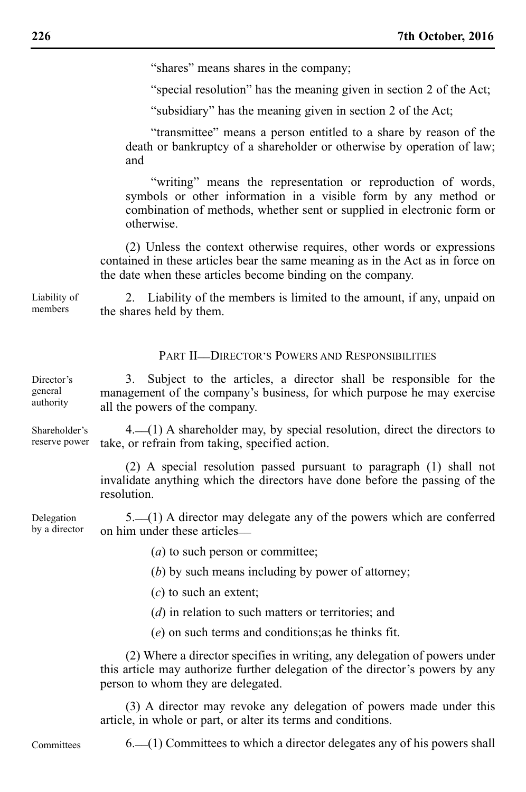"shares" means shares in the company;

"special resolution" has the meaning given in section 2 of the Act;

"subsidiary" has the meaning given in section 2 of the Act;

"transmittee" means a person entitled to a share by reason of the death or bankruptcy of a shareholder or otherwise by operation of law; and

"writing" means the representation or reproduction of words, symbols or other information in a visible form by any method or combination of methods, whether sent or supplied in electronic form or otherwise.

(2) Unless the context otherwise requires, other words or expressions contained in these articles bear the same meaning as in the Act as in force on the date when these articles become binding on the company.

2. Liability of the members is limited to the amount, if any, unpaid on the shares held by them. Liability of members

### PART II-DIRECTOR'S POWERS AND RESPONSIBILITIES

3. Subject to the articles, a director shall be responsible for the management of the company's business, for which purpose he may exercise all the powers of the company. Director's general authority

4.\_\_(1) A shareholder may, by special resolution, direct the directors to take, or refrain from taking, specified action. reserve power

> (2) A special resolution passed pursuant to paragraph (1) shall not invalidate anything which the directors have done before the passing of the resolution.

5.\_\_(1) A director may delegate any of the powers which are conferred on him under these articles\_\_ Delegation by a director

(*a*) to such person or committee;

(*b*) by such means including by power of attorney;

- (*c*) to such an extent;
- (*d*) in relation to such matters or territories; and
- (*e*) on such terms and conditions;as he thinks fit.

(2) Where a director specifies in writing, any delegation of powers under this article may authorize further delegation of the director's powers by any person to whom they are delegated.

(3) A director may revoke any delegation of powers made under this article, in whole or part, or alter its terms and conditions.

**Committees** 

 $6.$  (1) Committees to which a director delegates any of his powers shall

Shareholder's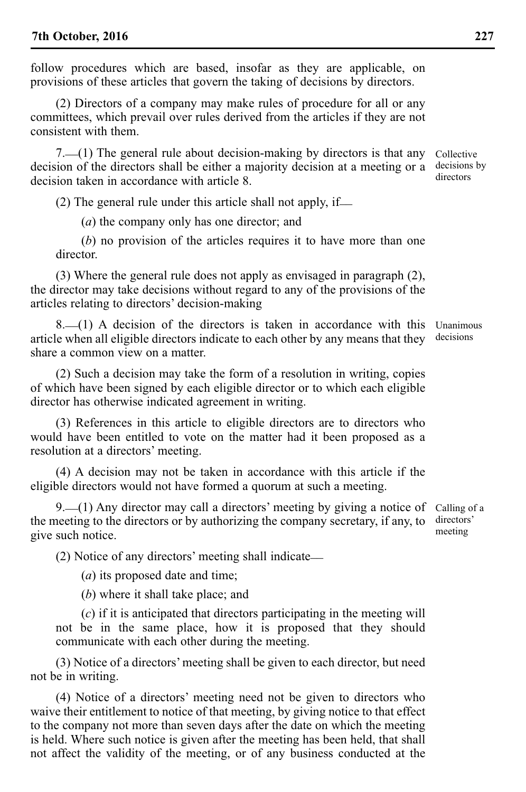follow procedures which are based, insofar as they are applicable, on provisions of these articles that govern the taking of decisions by directors.

(2) Directors of a company may make rules of procedure for all or any committees, which prevail over rules derived from the articles if they are not consistent with them.

7.\_\_(1) The general rule about decision-making by directors is that any decision of the directors shall be either a majority decision at a meeting or a decision taken in accordance with article 8.

 $(2)$  The general rule under this article shall not apply, if—

(*a*) the company only has one director; and

(*b*) no provision of the articles requires it to have more than one director.

(3) Where the general rule does not apply as envisaged in paragraph (2), the director may take decisions without regard to any of the provisions of the articles relating to directors' decision-making

 $8-(1)$  A decision of the directors is taken in accordance with this article when all eligible directors indicate to each other by any means that they share a common view on a matter. Unanimous

(2) Such a decision may take the form of a resolution in writing, copies of which have been signed by each eligible director or to which each eligible director has otherwise indicated agreement in writing.

(3) References in this article to eligible directors are to directors who would have been entitled to vote on the matter had it been proposed as a resolution at a directors' meeting.

(4) A decision may not be taken in accordance with this article if the eligible directors would not have formed a quorum at such a meeting.

9.\_\_(1) Any director may call a directors' meeting by giving a notice of Calling of a the meeting to the directors or by authorizing the company secretary, if any, to give such notice.

(2) Notice of any directors' meeting shall indicate\_\_

(*a*) its proposed date and time;

(*b*) where it shall take place; and

(*c*) if it is anticipated that directors participating in the meeting will not be in the same place, how it is proposed that they should communicate with each other during the meeting.

(3) Notice of a directors' meeting shall be given to each director, but need not be in writing.

(4) Notice of a directors' meeting need not be given to directors who waive their entitlement to notice of that meeting, by giving notice to that effect to the company not more than seven days after the date on which the meeting is held. Where such notice is given after the meeting has been held, that shall not affect the validity of the meeting, or of any business conducted at the

Collective decisions by directors

decisions

directors' meeting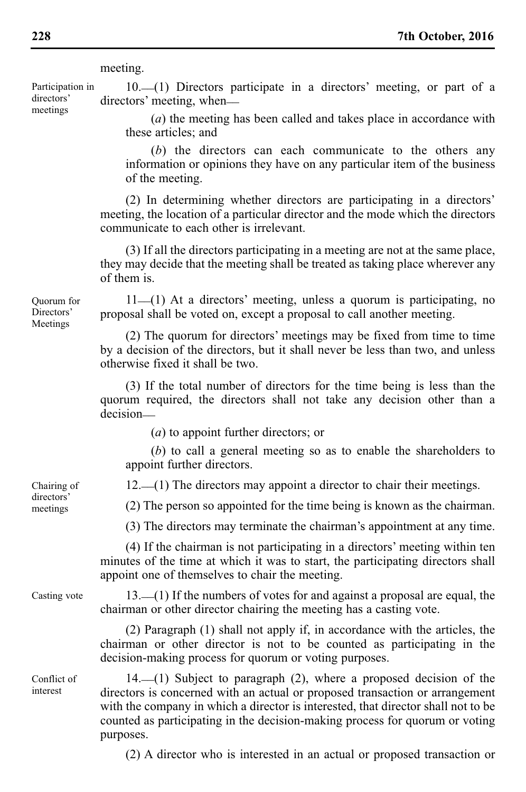meeting.

Participation in directors' meetings

10.\_\_(1) Directors participate in a directors' meeting, or part of a directors' meeting, when—

(*a*) the meeting has been called and takes place in accordance with these articles; and

(*b*) the directors can each communicate to the others any information or opinions they have on any particular item of the business of the meeting.

(2) In determining whether directors are participating in a directors' meeting, the location of a particular director and the mode which the directors communicate to each other is irrelevant.

(3) If all the directors participating in a meeting are not at the same place, they may decide that the meeting shall be treated as taking place wherever any of them is.

11\_\_(1) At a directors' meeting, unless a quorum is participating, no proposal shall be voted on, except a proposal to call another meeting.

(2) The quorum for directors' meetings may be fixed from time to time by a decision of the directors, but it shall never be less than two, and unless otherwise fixed it shall be two.

(3) If the total number of directors for the time being is less than the quorum required, the directors shall not take any decision other than a decision\_\_

(*a*) to appoint further directors; or

(*b*) to call a general meeting so as to enable the shareholders to appoint further directors.

12.\_\_(1) The directors may appoint a director to chair their meetings.

(2) The person so appointed for the time being is known as the chairman.

(3) The directors may terminate the chairman's appointment at any time.

(4) If the chairman is not participating in a directors' meeting within ten minutes of the time at which it was to start, the participating directors shall appoint one of themselves to chair the meeting.

Casting vote

13.\_\_(1) If the numbers of votes for and against a proposal are equal, the chairman or other director chairing the meeting has a casting vote.

(2) Paragraph (1) shall not apply if, in accordance with the articles, the chairman or other director is not to be counted as participating in the decision-making process for quorum or voting purposes.

14.\_\_(1) Subject to paragraph (2), where a proposed decision of the directors is concerned with an actual or proposed transaction or arrangement with the company in which a director is interested, that director shall not to be counted as participating in the decision-making process for quorum or voting purposes.

(2) A director who is interested in an actual or proposed transaction or

Quorum for Directors' Meetings

meetings

Chairing of directors'

Conflict of interest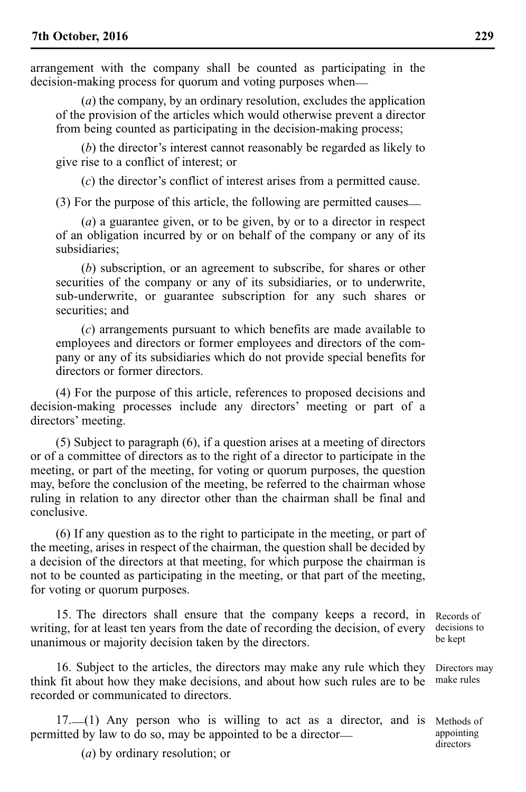arrangement with the company shall be counted as participating in the decision-making process for quorum and voting purposes when—

(*a*) the company, by an ordinary resolution, excludes the application of the provision of the articles which would otherwise prevent a director from being counted as participating in the decision-making process;

(*b*) the director's interest cannot reasonably be regarded as likely to give rise to a conflict of interest; or

(*c*) the director's conflict of interest arises from a permitted cause.

(3) For the purpose of this article, the following are permitted causes\_\_

(*a*) a guarantee given, or to be given, by or to a director in respect of an obligation incurred by or on behalf of the company or any of its subsidiaries;

(*b*) subscription, or an agreement to subscribe, for shares or other securities of the company or any of its subsidiaries, or to underwrite, sub-underwrite, or guarantee subscription for any such shares or securities; and

(*c*) arrangements pursuant to which benefits are made available to employees and directors or former employees and directors of the company or any of its subsidiaries which do not provide special benefits for directors or former directors.

(4) For the purpose of this article, references to proposed decisions and decision-making processes include any directors' meeting or part of a directors' meeting.

(5) Subject to paragraph (6), if a question arises at a meeting of directors or of a committee of directors as to the right of a director to participate in the meeting, or part of the meeting, for voting or quorum purposes, the question may, before the conclusion of the meeting, be referred to the chairman whose ruling in relation to any director other than the chairman shall be final and conclusive.

(6) If any question as to the right to participate in the meeting, or part of the meeting, arises in respect of the chairman, the question shall be decided by a decision of the directors at that meeting, for which purpose the chairman is not to be counted as participating in the meeting, or that part of the meeting, for voting or quorum purposes.

15. The directors shall ensure that the company keeps a record, in writing, for at least ten years from the date of recording the decision, of every unanimous or majority decision taken by the directors. Records of

16. Subject to the articles, the directors may make any rule which they think fit about how they make decisions, and about how such rules are to be recorded or communicated to directors.

17. (1) Any person who is willing to act as a director, and is Methods of permitted by law to do so, may be appointed to be a director\_\_

decisions to be kept

Directors may make rules

appointing directors

(*a*) by ordinary resolution; or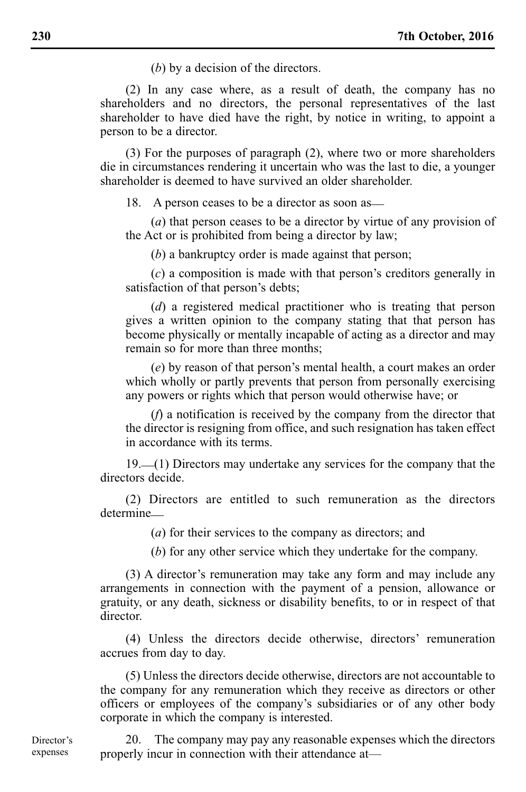(*b*) by a decision of the directors.

(2) In any case where, as a result of death, the company has no shareholders and no directors, the personal representatives of the last shareholder to have died have the right, by notice in writing, to appoint a person to be a director.

(3) For the purposes of paragraph (2), where two or more shareholders die in circumstances rendering it uncertain who was the last to die, a younger shareholder is deemed to have survived an older shareholder.

18. A person ceases to be a director as soon as\_\_

(*a*) that person ceases to be a director by virtue of any provision of the Act or is prohibited from being a director by law;

(*b*) a bankruptcy order is made against that person;

(*c*) a composition is made with that person's creditors generally in satisfaction of that person's debts;

(*d*) a registered medical practitioner who is treating that person gives a written opinion to the company stating that that person has become physically or mentally incapable of acting as a director and may remain so for more than three months;

(*e*) by reason of that person's mental health, a court makes an order which wholly or partly prevents that person from personally exercising any powers or rights which that person would otherwise have; or

(*f*) a notification is received by the company from the director that the director is resigning from office, and such resignation has taken effect in accordance with its terms.

19.\_\_(1) Directors may undertake any services for the company that the directors decide.

(2) Directors are entitled to such remuneration as the directors determine\_\_

(*a*) for their services to the company as directors; and

(*b*) for any other service which they undertake for the company.

(3) A director's remuneration may take any form and may include any arrangements in connection with the payment of a pension, allowance or gratuity, or any death, sickness or disability benefits, to or in respect of that director.

(4) Unless the directors decide otherwise, directors' remuneration accrues from day to day.

(5) Unless the directors decide otherwise, directors are not accountable to the company for any remuneration which they receive as directors or other officers or employees of the company's subsidiaries or of any other body corporate in which the company is interested.

20. The company may pay any reasonable expenses which the directors properly incur in connection with their attendance at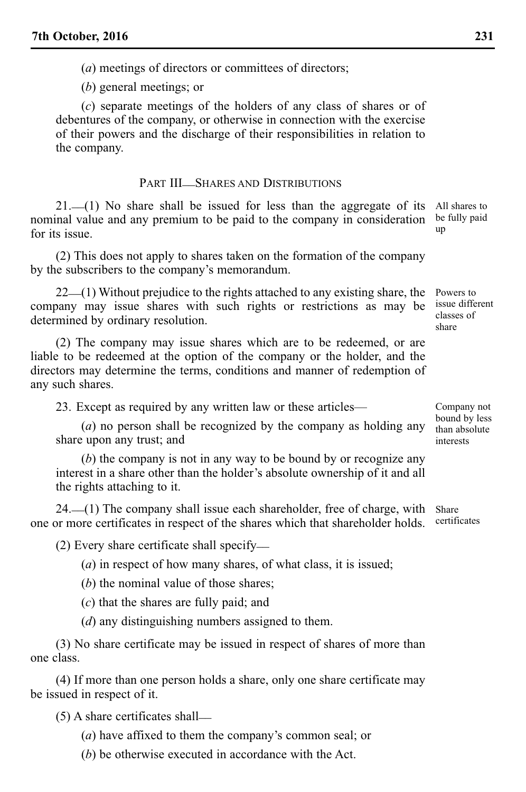(*a*) meetings of directors or committees of directors;

(*b*) general meetings; or

(*c*) separate meetings of the holders of any class of shares or of debentures of the company, or otherwise in connection with the exercise of their powers and the discharge of their responsibilities in relation to the company.

#### PART III\_SHARES AND DISTRIBUTIONS

 $21.$  (1) No share shall be issued for less than the aggregate of its nominal value and any premium to be paid to the company in consideration for its issue. All shares to be fully paid up

(2) This does not apply to shares taken on the formation of the company by the subscribers to the company's memorandum.

22\_\_(1) Without prejudice to the rights attached to any existing share, the company may issue shares with such rights or restrictions as may be determined by ordinary resolution.

(2) The company may issue shares which are to be redeemed, or are liable to be redeemed at the option of the company or the holder, and the directors may determine the terms, conditions and manner of redemption of any such shares.

23. Except as required by any written law or these articles—

(*a*) no person shall be recognized by the company as holding any share upon any trust; and

(*b*) the company is not in any way to be bound by or recognize any interest in a share other than the holder's absolute ownership of it and all the rights attaching to it.

24.\_\_(1) The company shall issue each shareholder, free of charge, with one or more certificates in respect of the shares which that shareholder holds.

(2) Every share certificate shall specify\_\_

(*a*) in respect of how many shares, of what class, it is issued;

(*b*) the nominal value of those shares;

(*c*) that the shares are fully paid; and

(*d*) any distinguishing numbers assigned to them.

(3) No share certificate may be issued in respect of shares of more than one class.

(4) If more than one person holds a share, only one share certificate may be issued in respect of it.

(5) A share certificates shall\_\_

(*a*) have affixed to them the company's common seal; or

(*b*) be otherwise executed in accordance with the Act.

Powers to issue different classes of share

Company not bound by less than absolute interests

Share certificates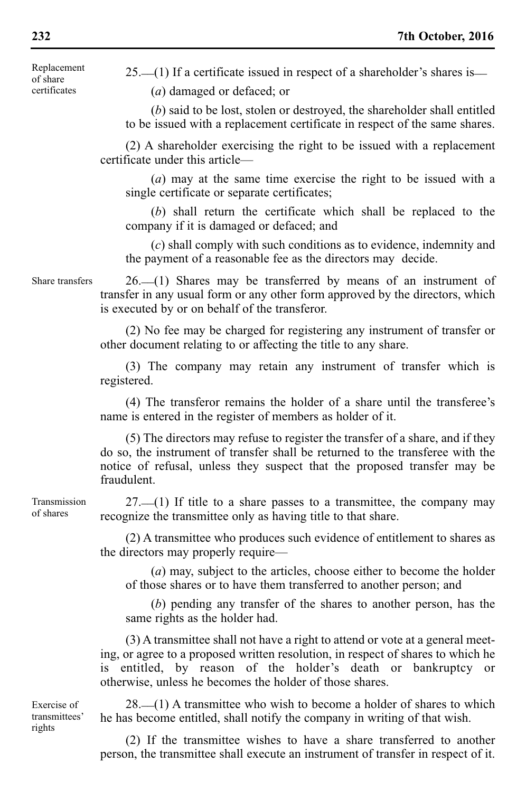Replacement of share certificates

 $25.$  (1) If a certificate issued in respect of a shareholder's shares is—

(*a*) damaged or defaced; or

(*b*) said to be lost, stolen or destroyed, the shareholder shall entitled to be issued with a replacement certificate in respect of the same shares.

(2) A shareholder exercising the right to be issued with a replacement certificate under this article—

(*a*) may at the same time exercise the right to be issued with a single certificate or separate certificates;

(*b*) shall return the certificate which shall be replaced to the company if it is damaged or defaced; and

(*c*) shall comply with such conditions as to evidence, indemnity and the payment of a reasonable fee as the directors may decide.

Share transfers

 $26.$  (1) Shares may be transferred by means of an instrument of transfer in any usual form or any other form approved by the directors, which is executed by or on behalf of the transferor.

(2) No fee may be charged for registering any instrument of transfer or other document relating to or affecting the title to any share.

(3) The company may retain any instrument of transfer which is registered.

(4) The transferor remains the holder of a share until the transferee's name is entered in the register of members as holder of it.

(5) The directors may refuse to register the transfer of a share, and if they do so, the instrument of transfer shall be returned to the transferee with the notice of refusal, unless they suspect that the proposed transfer may be fraudulent.

 $27.$  (1) If title to a share passes to a transmittee, the company may recognize the transmittee only as having title to that share. Transmission

> (2) A transmittee who produces such evidence of entitlement to shares as the directors may properly require—

(*a*) may, subject to the articles, choose either to become the holder of those shares or to have them transferred to another person; and

(*b*) pending any transfer of the shares to another person, has the same rights as the holder had.

(3) A transmittee shall not have a right to attend or vote at a general meeting, or agree to a proposed written resolution, in respect of shares to which he is entitled, by reason of the holder's death or bankruptcy or otherwise, unless he becomes the holder of those shares.

Exercise of transmittees' rights

of shares

 $28.$  (1) A transmittee who wish to become a holder of shares to which he has become entitled, shall notify the company in writing of that wish.

(2) If the transmittee wishes to have a share transferred to another person, the transmittee shall execute an instrument of transfer in respect of it.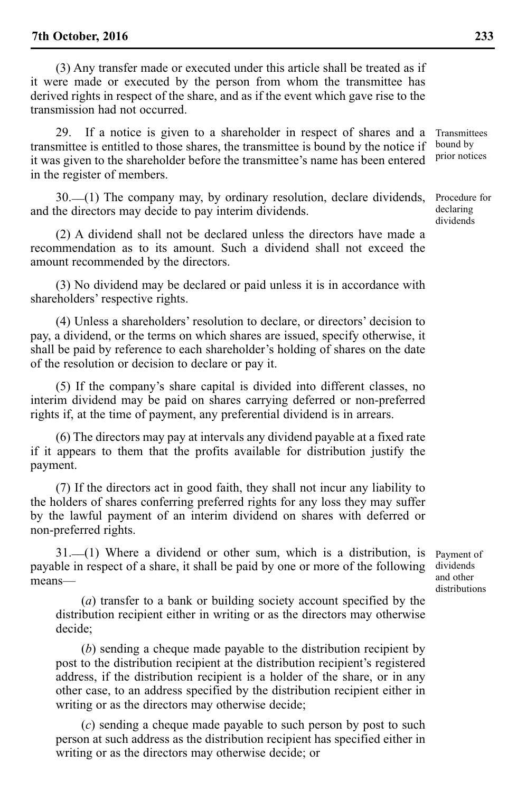(3) Any transfer made or executed under this article shall be treated as if it were made or executed by the person from whom the transmittee has derived rights in respect of the share, and as if the event which gave rise to the transmission had not occurred.

29. If a notice is given to a shareholder in respect of shares and a transmittee is entitled to those shares, the transmittee is bound by the notice if it was given to the shareholder before the transmittee's name has been entered in the register of members.

30.\_\_(1) The company may, by ordinary resolution, declare dividends, and the directors may decide to pay interim dividends.

(2) A dividend shall not be declared unless the directors have made a recommendation as to its amount. Such a dividend shall not exceed the amount recommended by the directors.

(3) No dividend may be declared or paid unless it is in accordance with shareholders' respective rights.

(4) Unless a shareholders' resolution to declare, or directors' decision to pay, a dividend, or the terms on which shares are issued, specify otherwise, it shall be paid by reference to each shareholder's holding of shares on the date of the resolution or decision to declare or pay it.

(5) If the company's share capital is divided into different classes, no interim dividend may be paid on shares carrying deferred or non-preferred rights if, at the time of payment, any preferential dividend is in arrears.

(6) The directors may pay at intervals any dividend payable at a fixed rate if it appears to them that the profits available for distribution justify the payment.

(7) If the directors act in good faith, they shall not incur any liability to the holders of shares conferring preferred rights for any loss they may suffer by the lawful payment of an interim dividend on shares with deferred or non-preferred rights.

31.\_\_(1) Where a dividend or other sum, which is a distribution, is payable in respect of a share, it shall be paid by one or more of the following means—

(*a*) transfer to a bank or building society account specified by the distribution recipient either in writing or as the directors may otherwise decide;

(*b*) sending a cheque made payable to the distribution recipient by post to the distribution recipient at the distribution recipient's registered address, if the distribution recipient is a holder of the share, or in any other case, to an address specified by the distribution recipient either in writing or as the directors may otherwise decide;

(*c*) sending a cheque made payable to such person by post to such person at such address as the distribution recipient has specified either in writing or as the directors may otherwise decide; or

**Transmittees** bound by prior notices

Procedure for declaring dividends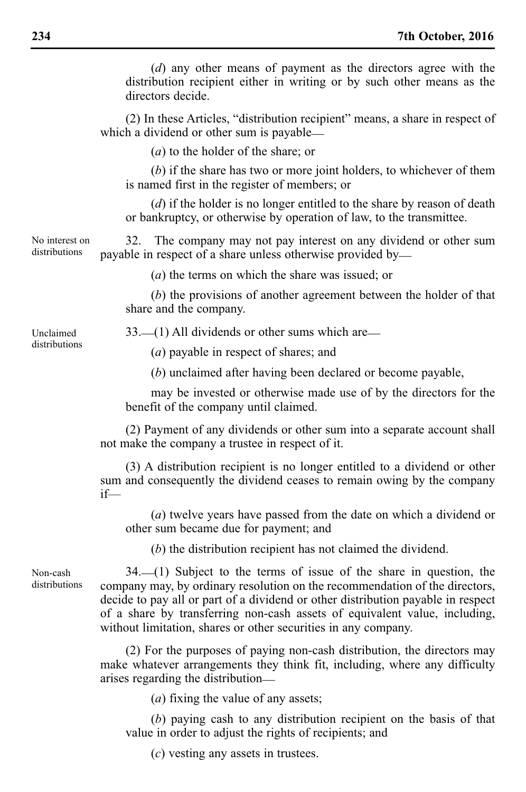(*d*) any other means of payment as the directors agree with the distribution recipient either in writing or by such other means as the directors decide.

(2) In these Articles, "distribution recipient" means, a share in respect of which a dividend or other sum is payable—

(*a*) to the holder of the share; or

(*b*) if the share has two or more joint holders, to whichever of them is named first in the register of members; or

(*d*) if the holder is no longer entitled to the share by reason of death or bankruptcy, or otherwise by operation of law, to the transmittee.

32. The company may not pay interest on any dividend or other sum payable in respect of a share unless otherwise provided by\_\_ No interest on distributions

(*a*) the terms on which the share was issued; or

(*b*) the provisions of another agreement between the holder of that share and the company.

Unclaimed distributions 33.\_\_(1) All dividends or other sums which are\_\_

(*a*) payable in respect of shares; and

(*b*) unclaimed after having been declared or become payable,

may be invested or otherwise made use of by the directors for the benefit of the company until claimed.

(2) Payment of any dividends or other sum into a separate account shall not make the company a trustee in respect of it.

(3) A distribution recipient is no longer entitled to a dividend or other sum and consequently the dividend ceases to remain owing by the company if—

(*a*) twelve years have passed from the date on which a dividend or other sum became due for payment; and

(*b*) the distribution recipient has not claimed the dividend.

Non-cash distributions

34.\_\_(1) Subject to the terms of issue of the share in question, the company may, by ordinary resolution on the recommendation of the directors, decide to pay all or part of a dividend or other distribution payable in respect of a share by transferring non-cash assets of equivalent value, including, without limitation, shares or other securities in any company.

(2) For the purposes of paying non-cash distribution, the directors may make whatever arrangements they think fit, including, where any difficulty arises regarding the distribution\_\_

(*a*) fixing the value of any assets;

(*b*) paying cash to any distribution recipient on the basis of that value in order to adjust the rights of recipients; and

(*c*) vesting any assets in trustees.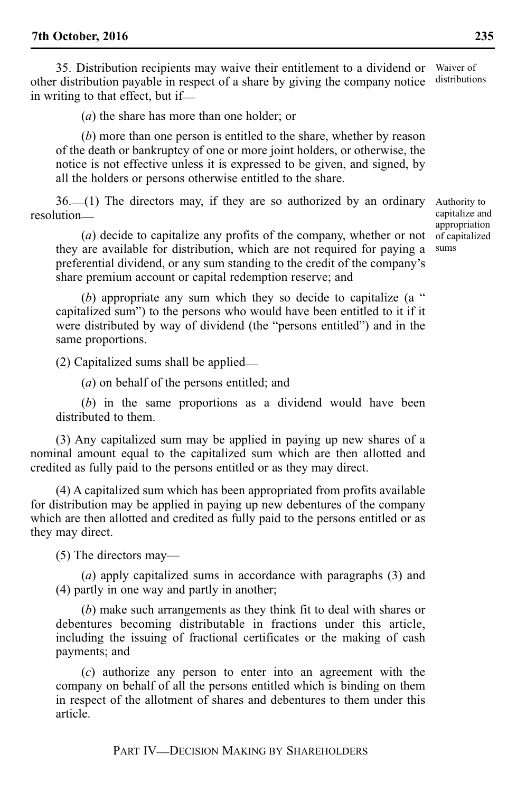35. Distribution recipients may waive their entitlement to a dividend or other distribution payable in respect of a share by giving the company notice in writing to that effect, but if— Waiver of distributions

(*a*) the share has more than one holder; or

(*b*) more than one person is entitled to the share, whether by reason of the death or bankruptcy of one or more joint holders, or otherwise, the notice is not effective unless it is expressed to be given, and signed, by all the holders or persons otherwise entitled to the share.

 $36.$  (1) The directors may, if they are so authorized by an ordinary resolution\_\_

(*a*) decide to capitalize any profits of the company, whether or not they are available for distribution, which are not required for paying a preferential dividend, or any sum standing to the credit of the company's share premium account or capital redemption reserve; and

(*b*) appropriate any sum which they so decide to capitalize (a " capitalized sum") to the persons who would have been entitled to it if it were distributed by way of dividend (the "persons entitled") and in the same proportions.

(2) Capitalized sums shall be applied\_\_

(*a*) on behalf of the persons entitled; and

(*b*) in the same proportions as a dividend would have been distributed to them.

(3) Any capitalized sum may be applied in paying up new shares of a nominal amount equal to the capitalized sum which are then allotted and credited as fully paid to the persons entitled or as they may direct.

(4) A capitalized sum which has been appropriated from profits available for distribution may be applied in paying up new debentures of the company which are then allotted and credited as fully paid to the persons entitled or as they may direct.

(5) The directors may—

(*a*) apply capitalized sums in accordance with paragraphs (3) and (4) partly in one way and partly in another;

(*b*) make such arrangements as they think fit to deal with shares or debentures becoming distributable in fractions under this article, including the issuing of fractional certificates or the making of cash payments; and

(*c*) authorize any person to enter into an agreement with the company on behalf of all the persons entitled which is binding on them in respect of the allotment of shares and debentures to them under this article.

Authority to capitalize and appropriation of capitalized sums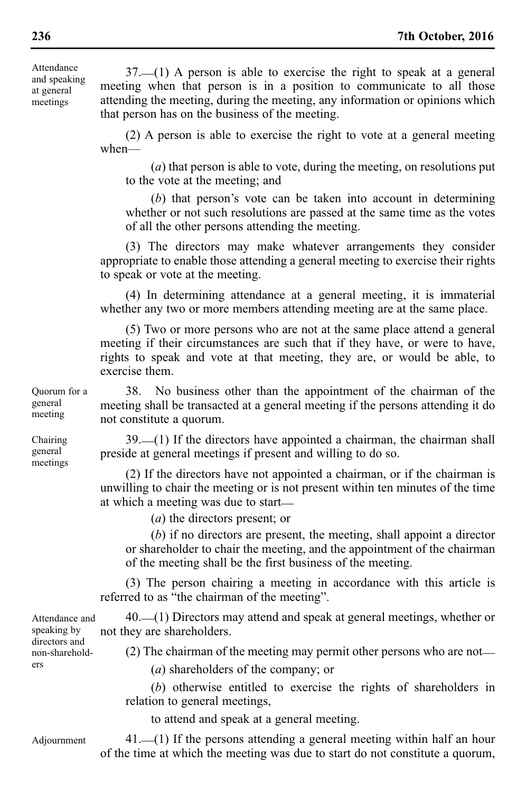Attendance and speaking at general meetings

37.\_\_(1) A person is able to exercise the right to speak at a general meeting when that person is in a position to communicate to all those attending the meeting, during the meeting, any information or opinions which that person has on the business of the meeting.

(2) A person is able to exercise the right to vote at a general meeting when—

(*a*) that person is able to vote, during the meeting, on resolutions put to the vote at the meeting; and

(*b*) that person's vote can be taken into account in determining whether or not such resolutions are passed at the same time as the votes of all the other persons attending the meeting.

(3) The directors may make whatever arrangements they consider appropriate to enable those attending a general meeting to exercise their rights to speak or vote at the meeting.

(4) In determining attendance at a general meeting, it is immaterial whether any two or more members attending meeting are at the same place.

(5) Two or more persons who are not at the same place attend a general meeting if their circumstances are such that if they have, or were to have, rights to speak and vote at that meeting, they are, or would be able, to exercise them.

38. No business other than the appointment of the chairman of the meeting shall be transacted at a general meeting if the persons attending it do not constitute a quorum. Quorum for a

> 39.\_\_(1) If the directors have appointed a chairman, the chairman shall preside at general meetings if present and willing to do so.

> (2) If the directors have not appointed a chairman, or if the chairman is unwilling to chair the meeting or is not present within ten minutes of the time at which a meeting was due to start\_\_

> > (*a*) the directors present; or

(*b*) if no directors are present, the meeting, shall appoint a director or shareholder to chair the meeting, and the appointment of the chairman of the meeting shall be the first business of the meeting.

(3) The person chairing a meeting in accordance with this article is referred to as "the chairman of the meeting".

40.\_\_(1) Directors may attend and speak at general meetings, whether or not they are shareholders. Attendance and

speaking by directors and non-shareholders

(2) The chairman of the meeting may permit other persons who are not\_\_

(*a*) shareholders of the company; or

(*b*) otherwise entitled to exercise the rights of shareholders in relation to general meetings,

to attend and speak at a general meeting.

Adjournment

 $41.$  (1) If the persons attending a general meeting within half an hour of the time at which the meeting was due to start do not constitute a quorum,

general meeting

Chairing general meetings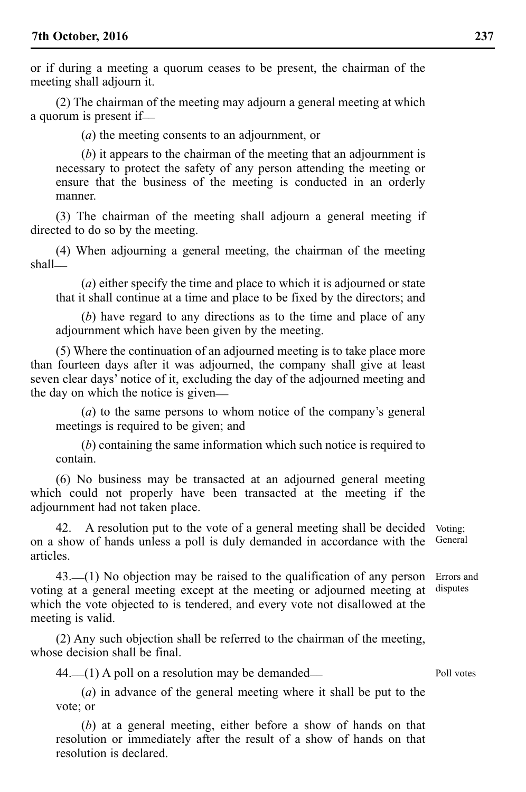or if during a meeting a quorum ceases to be present, the chairman of the meeting shall adjourn it.

(2) The chairman of the meeting may adjourn a general meeting at which a quorum is present if\_\_

(*a*) the meeting consents to an adjournment, or

(*b*) it appears to the chairman of the meeting that an adjournment is necessary to protect the safety of any person attending the meeting or ensure that the business of the meeting is conducted in an orderly manner.

(3) The chairman of the meeting shall adjourn a general meeting if directed to do so by the meeting.

(4) When adjourning a general meeting, the chairman of the meeting shall\_\_

(*a*) either specify the time and place to which it is adjourned or state that it shall continue at a time and place to be fixed by the directors; and

(*b*) have regard to any directions as to the time and place of any adjournment which have been given by the meeting.

(5) Where the continuation of an adjourned meeting is to take place more than fourteen days after it was adjourned, the company shall give at least seven clear days' notice of it, excluding the day of the adjourned meeting and the day on which the notice is given\_\_

(*a*) to the same persons to whom notice of the company's general meetings is required to be given; and

(*b*) containing the same information which such notice is required to contain.

(6) No business may be transacted at an adjourned general meeting which could not properly have been transacted at the meeting if the adjournment had not taken place.

42. A resolution put to the vote of a general meeting shall be decided Voting; on a show of hands unless a poll is duly demanded in accordance with the articles.

43.\_\_(1) No objection may be raised to the qualification of any person voting at a general meeting except at the meeting or adjourned meeting at which the vote objected to is tendered, and every vote not disallowed at the meeting is valid.

(2) Any such objection shall be referred to the chairman of the meeting, whose decision shall be final.

 $44$ .  $(1)$  A poll on a resolution may be demanded—

(*a*) in advance of the general meeting where it shall be put to the vote; or

(*b*) at a general meeting, either before a show of hands on that resolution or immediately after the result of a show of hands on that resolution is declared.

Errors and disputes

Poll votes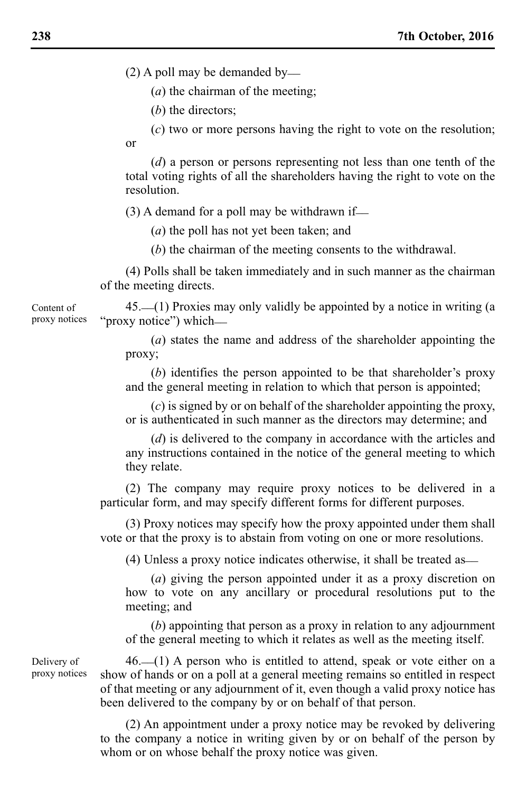$(2)$  A poll may be demanded by—

(*a*) the chairman of the meeting;

(*b*) the directors;

(*c*) two or more persons having the right to vote on the resolution; or

(*d*) a person or persons representing not less than one tenth of the total voting rights of all the shareholders having the right to vote on the resolution.

 $(3)$  A demand for a poll may be withdrawn if—

(*a*) the poll has not yet been taken; and

(*b*) the chairman of the meeting consents to the withdrawal.

(4) Polls shall be taken immediately and in such manner as the chairman of the meeting directs.

45.\_\_(1) Proxies may only validly be appointed by a notice in writing (a "proxy notice") which\_\_ Content of proxy notices

> (*a*) states the name and address of the shareholder appointing the proxy;

> (*b*) identifies the person appointed to be that shareholder's proxy and the general meeting in relation to which that person is appointed;

> (*c*) is signed by or on behalf of the shareholder appointing the proxy, or is authenticated in such manner as the directors may determine; and

> (*d*) is delivered to the company in accordance with the articles and any instructions contained in the notice of the general meeting to which they relate.

(2) The company may require proxy notices to be delivered in a particular form, and may specify different forms for different purposes.

(3) Proxy notices may specify how the proxy appointed under them shall vote or that the proxy is to abstain from voting on one or more resolutions.

(4) Unless a proxy notice indicates otherwise, it shall be treated as\_\_

(*a*) giving the person appointed under it as a proxy discretion on how to vote on any ancillary or procedural resolutions put to the meeting; and

(*b*) appointing that person as a proxy in relation to any adjournment of the general meeting to which it relates as well as the meeting itself.

 $46$ .  $(1)$  A person who is entitled to attend, speak or vote either on a show of hands or on a poll at a general meeting remains so entitled in respect of that meeting or any adjournment of it, even though a valid proxy notice has been delivered to the company by or on behalf of that person.

(2) An appointment under a proxy notice may be revoked by delivering to the company a notice in writing given by or on behalf of the person by whom or on whose behalf the proxy notice was given.

Delivery of proxy notices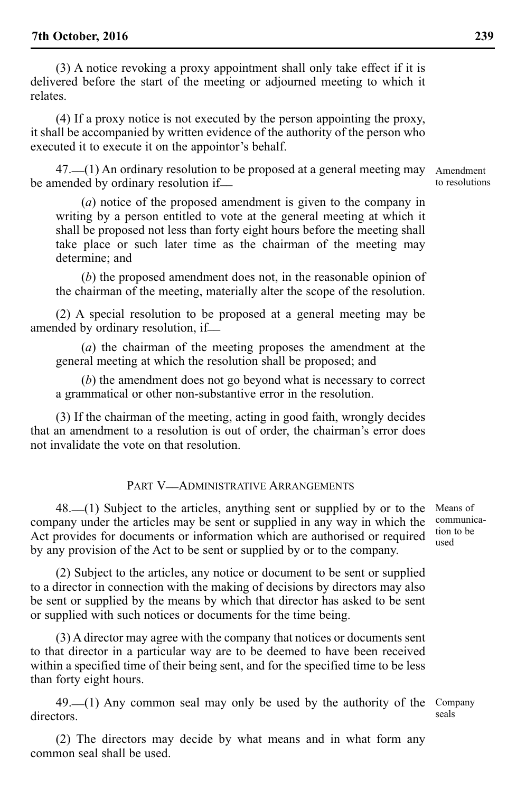(3) A notice revoking a proxy appointment shall only take effect if it is delivered before the start of the meeting or adjourned meeting to which it relates.

(4) If a proxy notice is not executed by the person appointing the proxy, it shall be accompanied by written evidence of the authority of the person who executed it to execute it on the appointor's behalf.

47.\_\_(1) An ordinary resolution to be proposed at a general meeting may be amended by ordinary resolution if\_\_

(*a*) notice of the proposed amendment is given to the company in writing by a person entitled to vote at the general meeting at which it shall be proposed not less than forty eight hours before the meeting shall take place or such later time as the chairman of the meeting may determine; and

(*b*) the proposed amendment does not, in the reasonable opinion of the chairman of the meeting, materially alter the scope of the resolution.

(2) A special resolution to be proposed at a general meeting may be amended by ordinary resolution, if\_\_

(*a*) the chairman of the meeting proposes the amendment at the general meeting at which the resolution shall be proposed; and

(*b*) the amendment does not go beyond what is necessary to correct a grammatical or other non-substantive error in the resolution.

(3) If the chairman of the meeting, acting in good faith, wrongly decides that an amendment to a resolution is out of order, the chairman's error does not invalidate the vote on that resolution.

#### PART V—ADMINISTRATIVE ARRANGEMENTS

 $48$ .  $(1)$  Subject to the articles, anything sent or supplied by or to the company under the articles may be sent or supplied in any way in which the Act provides for documents or information which are authorised or required by any provision of the Act to be sent or supplied by or to the company.

(2) Subject to the articles, any notice or document to be sent or supplied to a director in connection with the making of decisions by directors may also be sent or supplied by the means by which that director has asked to be sent or supplied with such notices or documents for the time being.

(3) A director may agree with the company that notices or documents sent to that director in a particular way are to be deemed to have been received within a specified time of their being sent, and for the specified time to be less than forty eight hours.

49. (1) Any common seal may only be used by the authority of the Company directors.

(2) The directors may decide by what means and in what form any common seal shall be used.

Means of communication to be used

Amendment to resolutions

seals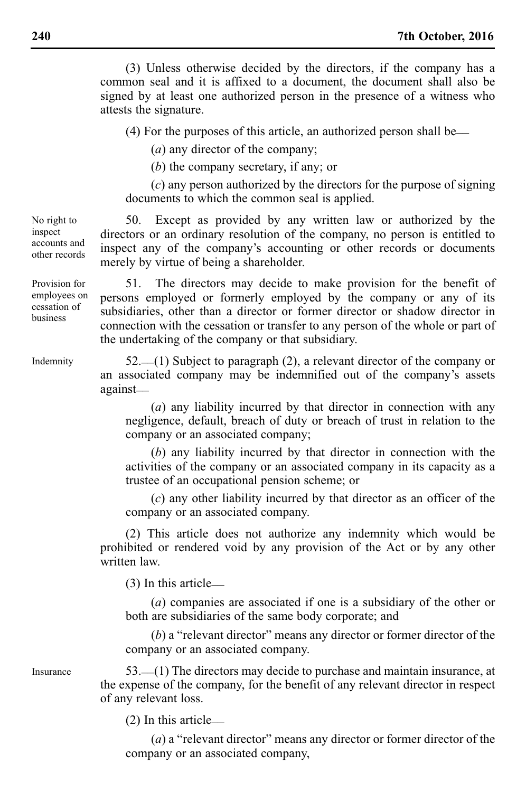(3) Unless otherwise decided by the directors, if the company has a common seal and it is affixed to a document, the document shall also be signed by at least one authorized person in the presence of a witness who attests the signature.

(4) For the purposes of this article, an authorized person shall be\_\_

(*a*) any director of the company;

(*b*) the company secretary, if any; or

(*c*) any person authorized by the directors for the purpose of signing documents to which the common seal is applied.

50. Except as provided by any written law or authorized by the directors or an ordinary resolution of the company, no person is entitled to inspect any of the company's accounting or other records or documents merely by virtue of being a shareholder.

51. The directors may decide to make provision for the benefit of persons employed or formerly employed by the company or any of its subsidiaries, other than a director or former director or shadow director in connection with the cessation or transfer to any person of the whole or part of the undertaking of the company or that subsidiary.

52.\_\_(1) Subject to paragraph (2), a relevant director of the company or an associated company may be indemnified out of the company's assets against\_\_

(*a*) any liability incurred by that director in connection with any negligence, default, breach of duty or breach of trust in relation to the company or an associated company;

(*b*) any liability incurred by that director in connection with the activities of the company or an associated company in its capacity as a trustee of an occupational pension scheme; or

(*c*) any other liability incurred by that director as an officer of the company or an associated company.

(2) This article does not authorize any indemnity which would be prohibited or rendered void by any provision of the Act or by any other written law.

(3) In this article\_\_

(*a*) companies are associated if one is a subsidiary of the other or both are subsidiaries of the same body corporate; and

(*b*) a "relevant director" means any director or former director of the company or an associated company.

53.\_\_(1) The directors may decide to purchase and maintain insurance, at the expense of the company, for the benefit of any relevant director in respect of any relevant loss.

(2) In this article\_\_

(*a*) a "relevant director" means any director or former director of the company or an associated company,

No right to inspect accounts and other records

Provision for employees on cessation of business

Indemnity

Insurance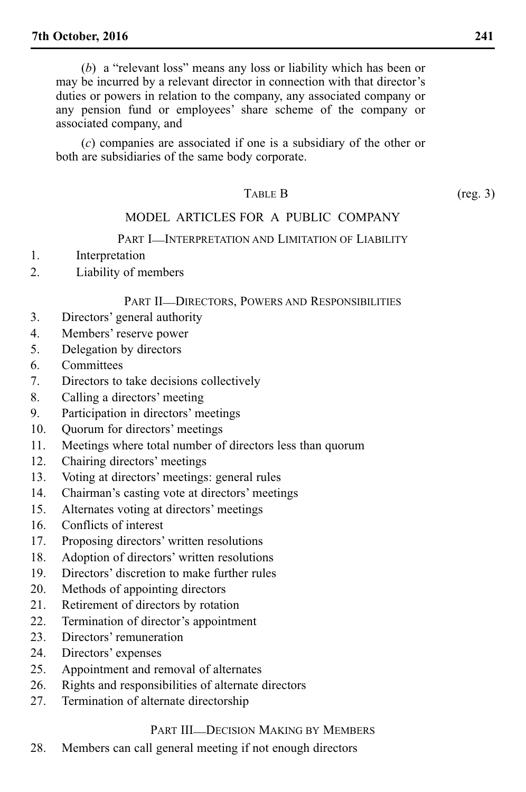(*b*) a "relevant loss" means any loss or liability which has been or may be incurred by a relevant director in connection with that director's duties or powers in relation to the company, any associated company or any pension fund or employees' share scheme of the company or associated company, and

(*c*) companies are associated if one is a subsidiary of the other or both are subsidiaries of the same body corporate.

## TABLE B (reg. 3)

# MODEL ARTICLES FOR A PUBLIC COMPANY

## PART **I\_INTERPRETATION AND LIMITATION OF LIABILITY**

- 1. Interpretation
- 2. Liability of members

#### PART II-DIRECTORS, POWERS AND RESPONSIBILITIES

- 3. Directors' general authority
- 4. Members' reserve power
- 5. Delegation by directors
- 6. Committees
- 7. Directors to take decisions collectively
- 8. Calling a directors' meeting
- 9. Participation in directors' meetings
- 10. Quorum for directors' meetings
- 11. Meetings where total number of directors less than quorum
- 12. Chairing directors' meetings
- 13. Voting at directors' meetings: general rules
- 14. Chairman's casting vote at directors' meetings
- 15. Alternates voting at directors' meetings
- 16. Conflicts of interest
- 17. Proposing directors' written resolutions
- 18. Adoption of directors' written resolutions
- 19. Directors' discretion to make further rules
- 20. Methods of appointing directors
- 21. Retirement of directors by rotation
- 22. Termination of director's appointment
- 23. Directors' remuneration
- 24. Directors' expenses
- 25. Appointment and removal of alternates
- 26. Rights and responsibilities of alternate directors
- 27. Termination of alternate directorship

## PART III\_DECISION MAKING BY MEMBERS

28. Members can call general meeting if not enough directors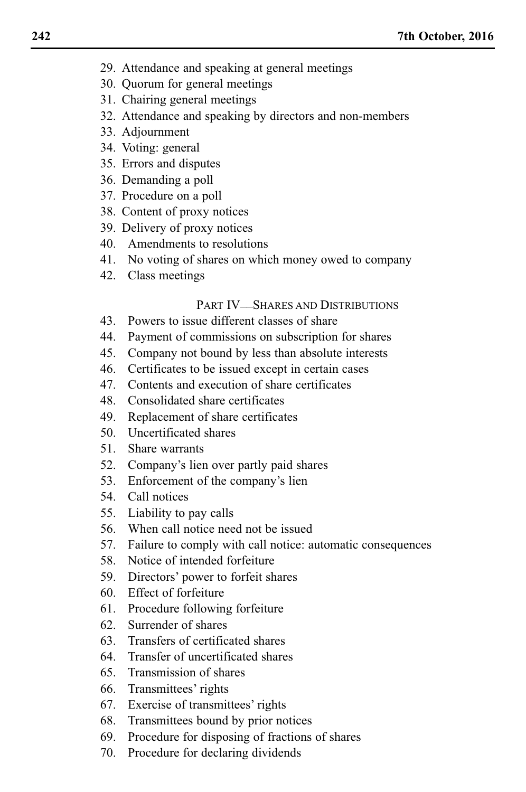- 29. Attendance and speaking at general meetings
- 30. Quorum for general meetings
- 31. Chairing general meetings
- 32. Attendance and speaking by directors and non-members
- 33. Adjournment
- 34. Voting: general
- 35. Errors and disputes
- 36. Demanding a poll
- 37. Procedure on a poll
- 38. Content of proxy notices
- 39. Delivery of proxy notices
- 40. Amendments to resolutions
- 41. No voting of shares on which money owed to company
- 42. Class meetings

## PART IV\_\_SHARES AND DISTRIBUTIONS

- 43. Powers to issue different classes of share
- 44. Payment of commissions on subscription for shares
- 45. Company not bound by less than absolute interests
- 46. Certificates to be issued except in certain cases
- 47. Contents and execution of share certificates
- 48. Consolidated share certificates
- 49. Replacement of share certificates
- 50. Uncertificated shares
- 51. Share warrants
- 52. Company's lien over partly paid shares
- 53. Enforcement of the company's lien
- 54. Call notices
- 55. Liability to pay calls
- 56. When call notice need not be issued
- 57. Failure to comply with call notice: automatic consequences
- 58. Notice of intended forfeiture
- 59. Directors' power to forfeit shares
- 60. Effect of forfeiture
- 61. Procedure following forfeiture
- 62. Surrender of shares
- 63. Transfers of certificated shares
- 64. Transfer of uncertificated shares
- 65. Transmission of shares
- 66. Transmittees' rights
- 67. Exercise of transmittees' rights
- 68. Transmittees bound by prior notices
- 69. Procedure for disposing of fractions of shares
- 70. Procedure for declaring dividends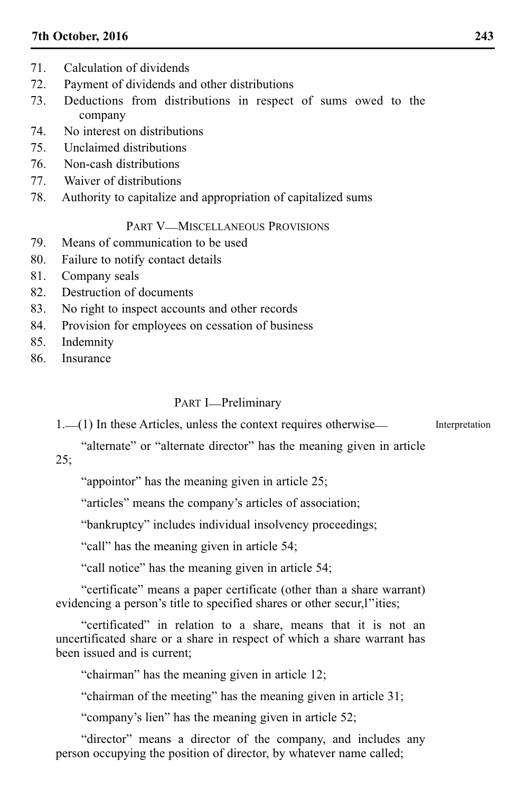### **7th October, 2016 243**

- 71. Calculation of dividends
- 72. Payment of dividends and other distributions
- 73. Deductions from distributions in respect of sums owed to the company
- 74. No interest on distributions
- 75. Unclaimed distributions
- 76. Non-cash distributions
- 77. Waiver of distributions
- 78. Authority to capitalize and appropriation of capitalized sums

### PART V\_\_MISCELLANEOUS PROVISIONS

- 79. Means of communication to be used
- 80. Failure to notify contact details
- 81. Company seals
- 82. Destruction of documents
- 83. No right to inspect accounts and other records
- 84. Provision for employees on cessation of business
- 85. Indemnity
- 86. Insurance

#### PART I<sup>\_\_</sup>Preliminary

1.\_\_(1) In these Articles, unless the context requires otherwise\_\_ Interpretation

"alternate" or "alternate director" has the meaning given in article 25;

"appointor" has the meaning given in article 25;

"articles" means the company's articles of association;

"bankruptcy" includes individual insolvency proceedings;

"call" has the meaning given in article 54;

"call notice" has the meaning given in article 54;

"certificate" means a paper certificate (other than a share warrant) evidencing a person's title to specified shares or other secur,l''ities;

"certificated" in relation to a share, means that it is not an uncertificated share or a share in respect of which a share warrant has been issued and is current;

"chairman" has the meaning given in article 12;

"chairman of the meeting" has the meaning given in article 31;

"company's lien" has the meaning given in article 52;

"director" means a director of the company, and includes any person occupying the position of director, by whatever name called;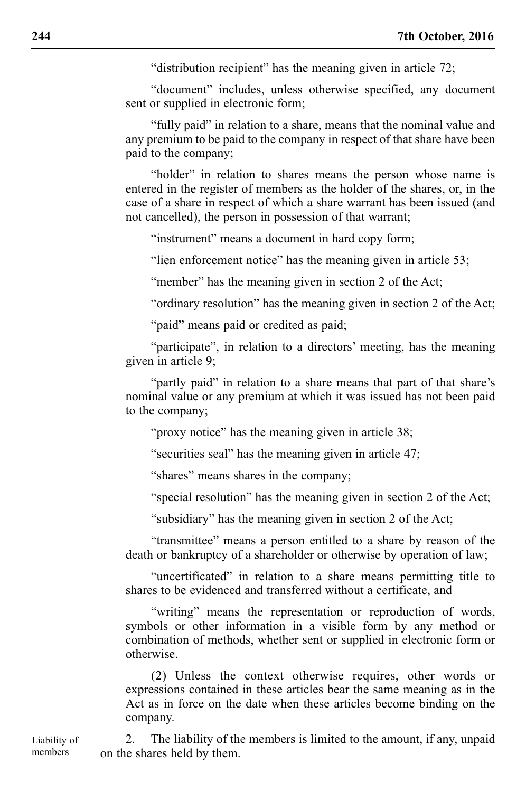"distribution recipient" has the meaning given in article 72;

"document" includes, unless otherwise specified, any document sent or supplied in electronic form;

"fully paid" in relation to a share, means that the nominal value and any premium to be paid to the company in respect of that share have been paid to the company;

"holder" in relation to shares means the person whose name is entered in the register of members as the holder of the shares, or, in the case of a share in respect of which a share warrant has been issued (and not cancelled), the person in possession of that warrant;

"instrument" means a document in hard copy form;

"lien enforcement notice" has the meaning given in article 53;

"member" has the meaning given in section 2 of the Act;

"ordinary resolution" has the meaning given in section 2 of the Act;

"paid" means paid or credited as paid;

"participate", in relation to a directors' meeting, has the meaning given in article 9;

"partly paid" in relation to a share means that part of that share's nominal value or any premium at which it was issued has not been paid to the company;

"proxy notice" has the meaning given in article 38;

"securities seal" has the meaning given in article 47;

"shares" means shares in the company;

"special resolution" has the meaning given in section 2 of the Act;

"subsidiary" has the meaning given in section 2 of the Act;

"transmittee" means a person entitled to a share by reason of the death or bankruptcy of a shareholder or otherwise by operation of law;

"uncertificated" in relation to a share means permitting title to shares to be evidenced and transferred without a certificate, and

"writing" means the representation or reproduction of words, symbols or other information in a visible form by any method or combination of methods, whether sent or supplied in electronic form or otherwise.

(2) Unless the context otherwise requires, other words or expressions contained in these articles bear the same meaning as in the Act as in force on the date when these articles become binding on the company.

2. The liability of the members is limited to the amount, if any, unpaid on the shares held by them.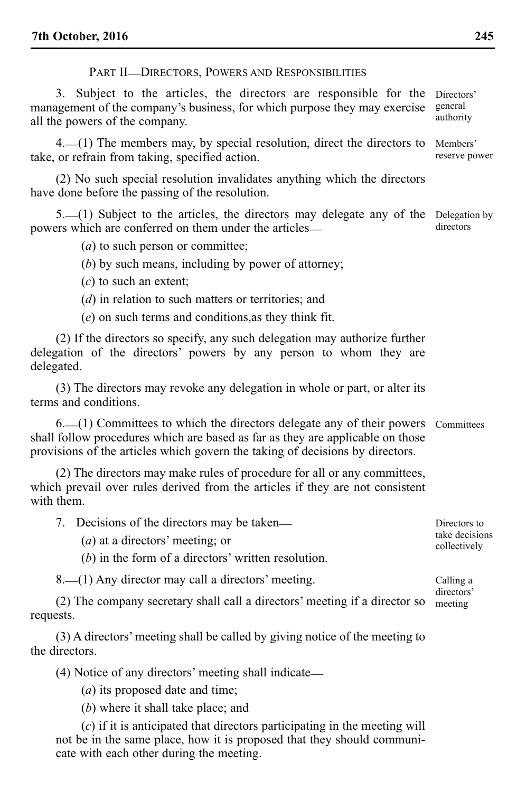#### PART II-DIRECTORS, POWERS AND RESPONSIBILITIES

3. Subject to the articles, the directors are responsible for the management of the company's business, for which purpose they may exercise all the powers of the company. Directors' general authority

4.\_\_(1) The members may, by special resolution, direct the directors to take, or refrain from taking, specified action.

(2) No such special resolution invalidates anything which the directors have done before the passing of the resolution.

5.\_\_(1) Subject to the articles, the directors may delegate any of the Delegation by powers which are conferred on them under the articles\_\_ directors

(*a*) to such person or committee;

(*b*) by such means, including by power of attorney;

(*c*) to such an extent;

(*d*) in relation to such matters or territories; and

(*e*) on such terms and conditions,as they think fit.

(2) If the directors so specify, any such delegation may authorize further delegation of the directors' powers by any person to whom they are delegated.

(3) The directors may revoke any delegation in whole or part, or alter its terms and conditions.

6.\_\_(1) Committees to which the directors delegate any of their powers Committees shall follow procedures which are based as far as they are applicable on those provisions of the articles which govern the taking of decisions by directors.

(2) The directors may make rules of procedure for all or any committees, which prevail over rules derived from the articles if they are not consistent with them.

| 7. Decisions of the directors may be taken—                          | Directors to                   |
|----------------------------------------------------------------------|--------------------------------|
| $(a)$ at a directors' meeting; or                                    | take decisions<br>collectively |
| $(1)$ is the $\beta$ see $\beta$ is the second state second integral |                                |

(*b*) in the form of a directors' written resolution.

8.\_\_(1) Any director may call a directors' meeting.

(2) The company secretary shall call a directors' meeting if a director so meetingrequests.

(3) A directors' meeting shall be called by giving notice of the meeting to the directors.

(4) Notice of any directors' meeting shall indicate\_\_

(*a*) its proposed date and time;

(*b*) where it shall take place; and

(*c*) if it is anticipated that directors participating in the meeting will not be in the same place, how it is proposed that they should communicate with each other during the meeting.

Members' reserve power

Calling a directors'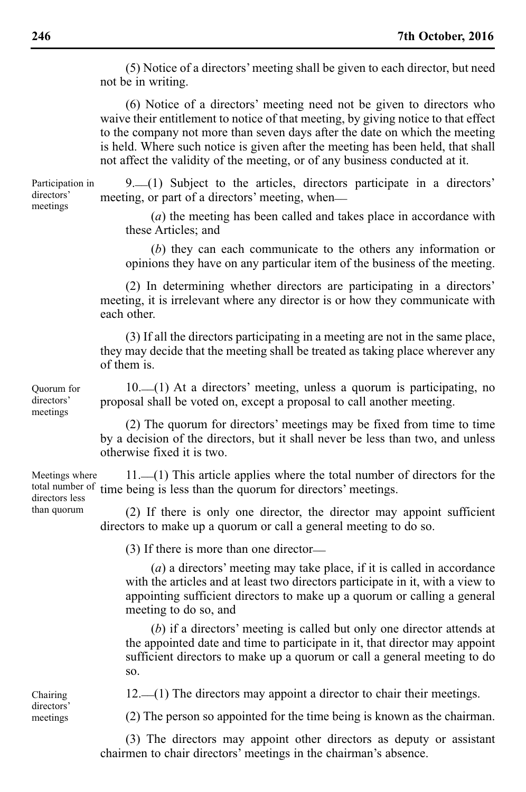(5) Notice of a directors' meeting shall be given to each director, but need not be in writing.

(6) Notice of a directors' meeting need not be given to directors who waive their entitlement to notice of that meeting, by giving notice to that effect to the company not more than seven days after the date on which the meeting is held. Where such notice is given after the meeting has been held, that shall not affect the validity of the meeting, or of any business conducted at it.

Participation in directors' meetings

9.\_\_(1) Subject to the articles, directors participate in a directors' meeting, or part of a directors' meeting, when—

(*a*) the meeting has been called and takes place in accordance with these Articles; and

(*b*) they can each communicate to the others any information or opinions they have on any particular item of the business of the meeting.

(2) In determining whether directors are participating in a directors' meeting, it is irrelevant where any director is or how they communicate with each other.

(3) If all the directors participating in a meeting are not in the same place, they may decide that the meeting shall be treated as taking place wherever any of them is.

10.\_\_(1) At a directors' meeting, unless a quorum is participating, no proposal shall be voted on, except a proposal to call another meeting.

(2) The quorum for directors' meetings may be fixed from time to time by a decision of the directors, but it shall never be less than two, and unless otherwise fixed it is two.

11.\_\_(1) This article applies where the total number of directors for the total number of time being is less than the quorum for directors' meetings. Meetings where directors less

> (2) If there is only one director, the director may appoint sufficient directors to make up a quorum or call a general meeting to do so.

(3) If there is more than one director\_\_

(*a*) a directors' meeting may take place, if it is called in accordance with the articles and at least two directors participate in it, with a view to appointing sufficient directors to make up a quorum or calling a general meeting to do so, and

(*b*) if a directors' meeting is called but only one director attends at the appointed date and time to participate in it, that director may appoint sufficient directors to make up a quorum or call a general meeting to do so.

12.\_\_(1) The directors may appoint a director to chair their meetings.

(2) The person so appointed for the time being is known as the chairman.

(3) The directors may appoint other directors as deputy or assistant chairmen to chair directors' meetings in the chairman's absence.

Quorum for directors' meetings

than quorum

Chairing directors' meetings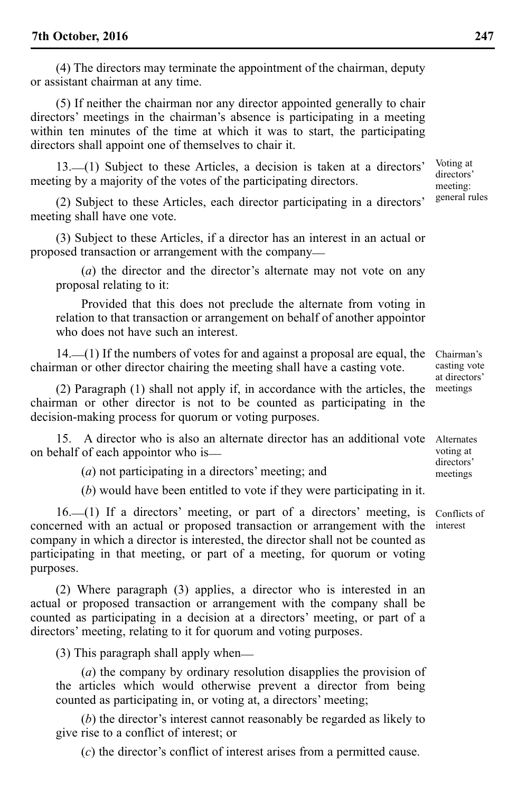(4) The directors may terminate the appointment of the chairman, deputy or assistant chairman at any time.

(5) If neither the chairman nor any director appointed generally to chair directors' meetings in the chairman's absence is participating in a meeting within ten minutes of the time at which it was to start, the participating directors shall appoint one of themselves to chair it.

13.\_\_(1) Subject to these Articles, a decision is taken at a directors' meeting by a majority of the votes of the participating directors.

(2) Subject to these Articles, each director participating in a directors' meeting shall have one vote.

(3) Subject to these Articles, if a director has an interest in an actual or proposed transaction or arrangement with the company\_\_

(*a*) the director and the director's alternate may not vote on any proposal relating to it:

Provided that this does not preclude the alternate from voting in relation to that transaction or arrangement on behalf of another appointor who does not have such an interest.

14. (1) If the numbers of votes for and against a proposal are equal, the Chairman's chairman or other director chairing the meeting shall have a casting vote.

(2) Paragraph (1) shall not apply if, in accordance with the articles, the chairman or other director is not to be counted as participating in the decision-making process for quorum or voting purposes.

15. A director who is also an alternate director has an additional vote on behalf of each appointor who is—

(*a*) not participating in a directors' meeting; and

(*b*) would have been entitled to vote if they were participating in it.

16.\_\_(1) If a directors' meeting, or part of a directors' meeting, is concerned with an actual or proposed transaction or arrangement with the company in which a director is interested, the director shall not be counted as participating in that meeting, or part of a meeting, for quorum or voting purposes.

(2) Where paragraph (3) applies, a director who is interested in an actual or proposed transaction or arrangement with the company shall be counted as participating in a decision at a directors' meeting, or part of a directors' meeting, relating to it for quorum and voting purposes.

(3) This paragraph shall apply when\_\_

(*a*) the company by ordinary resolution disapplies the provision of the articles which would otherwise prevent a director from being counted as participating in, or voting at, a directors' meeting;

(*b*) the director's interest cannot reasonably be regarded as likely to give rise to a conflict of interest; or

(*c*) the director's conflict of interest arises from a permitted cause.

casting vote at directors' meetings

Alternates voting at directors' meetings

Conflicts of interest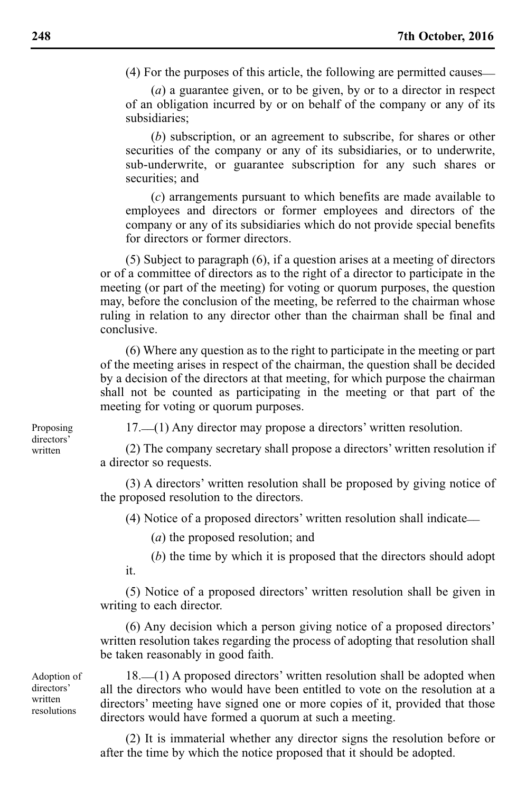(4) For the purposes of this article, the following are permitted causes\_\_

(*a*) a guarantee given, or to be given, by or to a director in respect of an obligation incurred by or on behalf of the company or any of its subsidiaries;

(*b*) subscription, or an agreement to subscribe, for shares or other securities of the company or any of its subsidiaries, or to underwrite, sub-underwrite, or guarantee subscription for any such shares or securities; and

(*c*) arrangements pursuant to which benefits are made available to employees and directors or former employees and directors of the company or any of its subsidiaries which do not provide special benefits for directors or former directors.

(5) Subject to paragraph (6), if a question arises at a meeting of directors or of a committee of directors as to the right of a director to participate in the meeting (or part of the meeting) for voting or quorum purposes, the question may, before the conclusion of the meeting, be referred to the chairman whose ruling in relation to any director other than the chairman shall be final and conclusive.

(6) Where any question as to the right to participate in the meeting or part of the meeting arises in respect of the chairman, the question shall be decided by a decision of the directors at that meeting, for which purpose the chairman shall not be counted as participating in the meeting or that part of the meeting for voting or quorum purposes.

Proposing directors' written

17.\_\_(1) Any director may propose a directors' written resolution.

(2) The company secretary shall propose a directors' written resolution if a director so requests.

(3) A directors' written resolution shall be proposed by giving notice of the proposed resolution to the directors.

(4) Notice of a proposed directors' written resolution shall indicate\_\_

(*a*) the proposed resolution; and

(*b*) the time by which it is proposed that the directors should adopt it.

(5) Notice of a proposed directors' written resolution shall be given in writing to each director.

(6) Any decision which a person giving notice of a proposed directors' written resolution takes regarding the process of adopting that resolution shall be taken reasonably in good faith.

Adoption of directors' written resolutions

18.\_\_(1) A proposed directors' written resolution shall be adopted when all the directors who would have been entitled to vote on the resolution at a directors' meeting have signed one or more copies of it, provided that those directors would have formed a quorum at such a meeting.

(2) It is immaterial whether any director signs the resolution before or after the time by which the notice proposed that it should be adopted.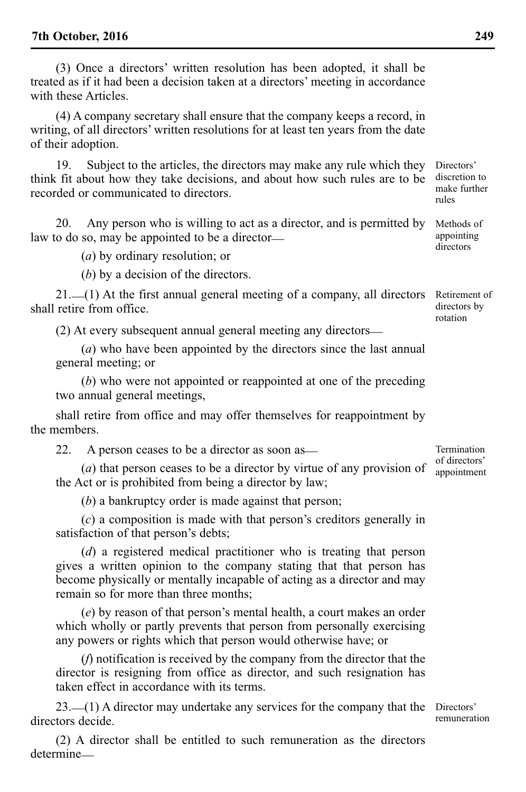(3) Once a directors' written resolution has been adopted, it shall be treated as if it had been a decision taken at a directors' meeting in accordance with these Articles.

(4) A company secretary shall ensure that the company keeps a record, in writing, of all directors' written resolutions for at least ten years from the date of their adoption.

19. Subject to the articles, the directors may make any rule which they think fit about how they take decisions, and about how such rules are to be recorded or communicated to directors.

20. Any person who is willing to act as a director, and is permitted by law to do so, may be appointed to be a director—

(*a*) by ordinary resolution; or

(*b*) by a decision of the directors.

21.\_\_(1) At the first annual general meeting of a company, all directors shall retire from office.

(2) At every subsequent annual general meeting any directors\_\_

(*a*) who have been appointed by the directors since the last annual general meeting; or

(*b*) who were not appointed or reappointed at one of the preceding two annual general meetings,

shall retire from office and may offer themselves for reappointment by the members.

22. A person ceases to be a director as soon as —

(*a*) that person ceases to be a director by virtue of any provision of the Act or is prohibited from being a director by law;

(*b*) a bankruptcy order is made against that person;

(*c*) a composition is made with that person's creditors generally in satisfaction of that person's debts;

(*d*) a registered medical practitioner who is treating that person gives a written opinion to the company stating that that person has become physically or mentally incapable of acting as a director and may remain so for more than three months;

(*e*) by reason of that person's mental health, a court makes an order which wholly or partly prevents that person from personally exercising any powers or rights which that person would otherwise have; or

(*f*) notification is received by the company from the director that the director is resigning from office as director, and such resignation has taken effect in accordance with its terms.

23.\_\_(1) A director may undertake any services for the company that the directors decide.

(2) A director shall be entitled to such remuneration as the directors determine\_\_

Termination of directors' appointment

Directors' discretion to make further rules

Methods of appointing directors

Retirement of directors by rotation

Directors' remuneration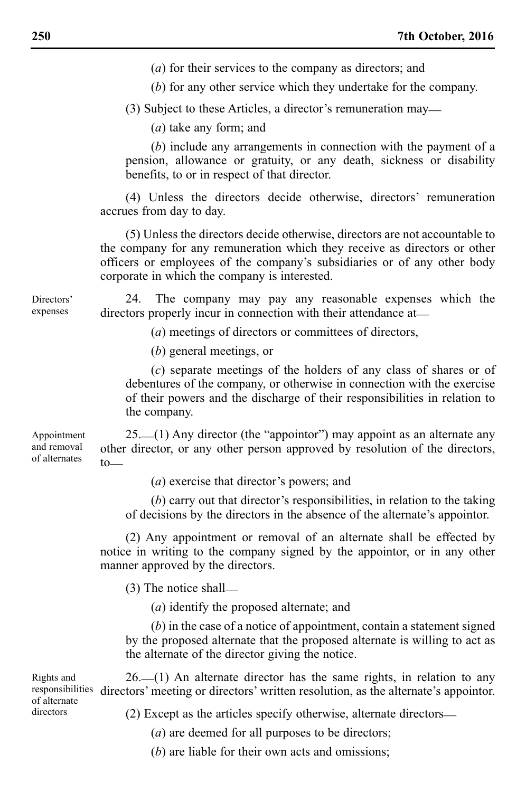(*a*) for their services to the company as directors; and

(*b*) for any other service which they undertake for the company.

(3) Subject to these Articles, a director's remuneration may\_\_

(*a*) take any form; and

(*b*) include any arrangements in connection with the payment of a pension, allowance or gratuity, or any death, sickness or disability benefits, to or in respect of that director.

(4) Unless the directors decide otherwise, directors' remuneration accrues from day to day.

(5) Unless the directors decide otherwise, directors are not accountable to the company for any remuneration which they receive as directors or other officers or employees of the company's subsidiaries or of any other body corporate in which the company is interested.

24. The company may pay any reasonable expenses which the directors properly incur in connection with their attendance at—

(*a*) meetings of directors or committees of directors,

(*b*) general meetings, or

(*c*) separate meetings of the holders of any class of shares or of debentures of the company, or otherwise in connection with the exercise of their powers and the discharge of their responsibilities in relation to the company.

25.\_\_(1) Any director (the "appointor") may appoint as an alternate any other director, or any other person approved by resolution of the directors,  $to$ 

(*a*) exercise that director's powers; and

(*b*) carry out that director's responsibilities, in relation to the taking of decisions by the directors in the absence of the alternate's appointor.

(2) Any appointment or removal of an alternate shall be effected by notice in writing to the company signed by the appointor, or in any other manner approved by the directors.

(3) The notice shall\_\_

(*a*) identify the proposed alternate; and

(*b*) in the case of a notice of appointment, contain a statement signed by the proposed alternate that the proposed alternate is willing to act as the alternate of the director giving the notice.

 $26$ — $(1)$  An alternate director has the same rights, in relation to any responsibilities directors' meeting or directors' written resolution, as the alternate's appointor. Rights and of alternate directors

(2) Except as the articles specify otherwise, alternate directors\_\_

(*a*) are deemed for all purposes to be directors;

(*b*) are liable for their own acts and omissions;

Directors' expenses

Appointment and removal of alternates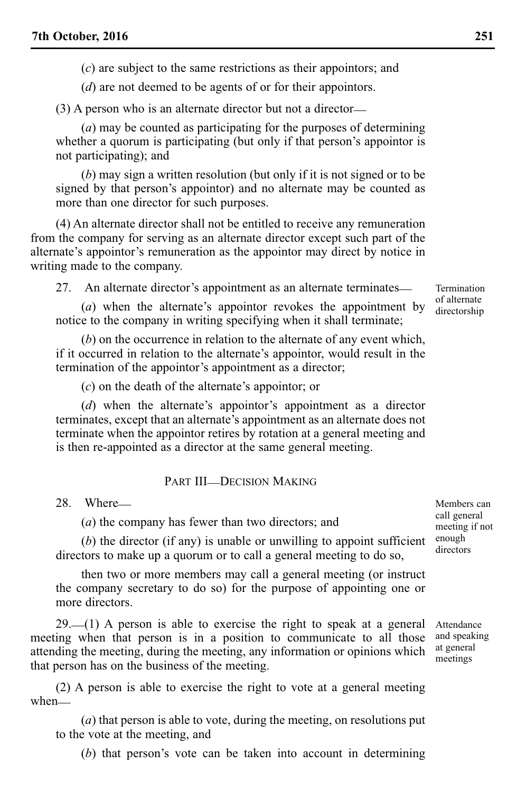(*c*) are subject to the same restrictions as their appointors; and

(*d*) are not deemed to be agents of or for their appointors.

(3) A person who is an alternate director but not a director\_\_

(*a*) may be counted as participating for the purposes of determining whether a quorum is participating (but only if that person's appointor is not participating); and

(*b*) may sign a written resolution (but only if it is not signed or to be signed by that person's appointor) and no alternate may be counted as more than one director for such purposes.

(4) An alternate director shall not be entitled to receive any remuneration from the company for serving as an alternate director except such part of the alternate's appointor's remuneration as the appointor may direct by notice in writing made to the company.

27. An alternate director's appointment as an alternate terminates—

(*a*) when the alternate's appointor revokes the appointment by notice to the company in writing specifying when it shall terminate;

(*b*) on the occurrence in relation to the alternate of any event which, if it occurred in relation to the alternate's appointor, would result in the termination of the appointor's appointment as a director;

(*c*) on the death of the alternate's appointor; or

(*d*) when the alternate's appointor's appointment as a director terminates, except that an alternate's appointment as an alternate does not terminate when the appointor retires by rotation at a general meeting and is then re-appointed as a director at the same general meeting.

# PART III-DECISION MAKING

28. Where\_\_

(*a*) the company has fewer than two directors; and

(*b*) the director (if any) is unable or unwilling to appoint sufficient directors to make up a quorum or to call a general meeting to do so,

then two or more members may call a general meeting (or instruct the company secretary to do so) for the purpose of appointing one or more directors.

 $29$ . (1) A person is able to exercise the right to speak at a general meeting when that person is in a position to communicate to all those attending the meeting, during the meeting, any information or opinions which that person has on the business of the meeting.

(2) A person is able to exercise the right to vote at a general meeting when—

(*a*) that person is able to vote, during the meeting, on resolutions put to the vote at the meeting, and

(*b*) that person's vote can be taken into account in determining

Members can call general meeting if not enough directors

Attendance and speaking at general meetings

Termination of alternate directorship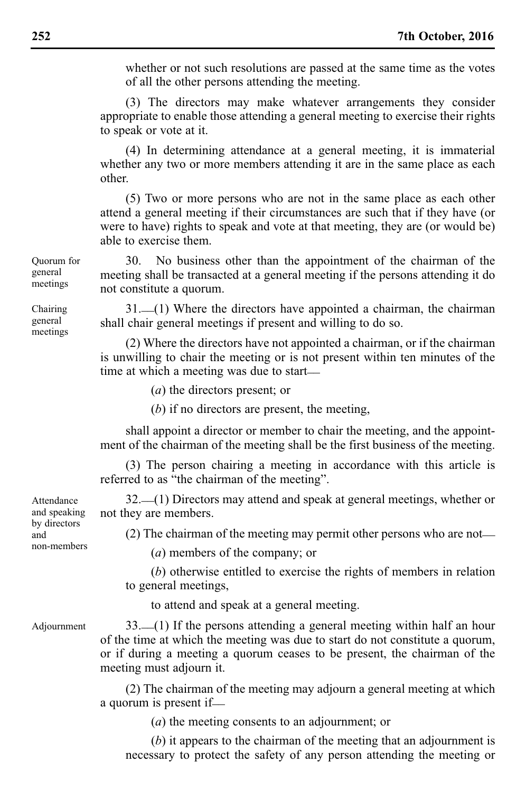whether or not such resolutions are passed at the same time as the votes of all the other persons attending the meeting.

(3) The directors may make whatever arrangements they consider appropriate to enable those attending a general meeting to exercise their rights to speak or vote at it.

(4) In determining attendance at a general meeting, it is immaterial whether any two or more members attending it are in the same place as each other.

(5) Two or more persons who are not in the same place as each other attend a general meeting if their circumstances are such that if they have (or were to have) rights to speak and vote at that meeting, they are (or would be) able to exercise them.

30. No business other than the appointment of the chairman of the meeting shall be transacted at a general meeting if the persons attending it do not constitute a quorum.

31.\_\_(1) Where the directors have appointed a chairman, the chairman shall chair general meetings if present and willing to do so.

(2) Where the directors have not appointed a chairman, or if the chairman is unwilling to chair the meeting or is not present within ten minutes of the time at which a meeting was due to start—

(*a*) the directors present; or

(*b*) if no directors are present, the meeting,

shall appoint a director or member to chair the meeting, and the appointment of the chairman of the meeting shall be the first business of the meeting.

(3) The person chairing a meeting in accordance with this article is referred to as "the chairman of the meeting".

32.\_\_(1) Directors may attend and speak at general meetings, whether or not they are members.

(2) The chairman of the meeting may permit other persons who are not\_\_

(*a*) members of the company; or

(*b*) otherwise entitled to exercise the rights of members in relation to general meetings,

to attend and speak at a general meeting.

Adjournment

Attendance and speaking by directors and non-members

> 33.\_\_(1) If the persons attending a general meeting within half an hour of the time at which the meeting was due to start do not constitute a quorum, or if during a meeting a quorum ceases to be present, the chairman of the meeting must adjourn it.

> (2) The chairman of the meeting may adjourn a general meeting at which a quorum is present if\_\_

> > (*a*) the meeting consents to an adjournment; or

(*b*) it appears to the chairman of the meeting that an adjournment is necessary to protect the safety of any person attending the meeting or

Quorum for general meetings

Chairing general meetings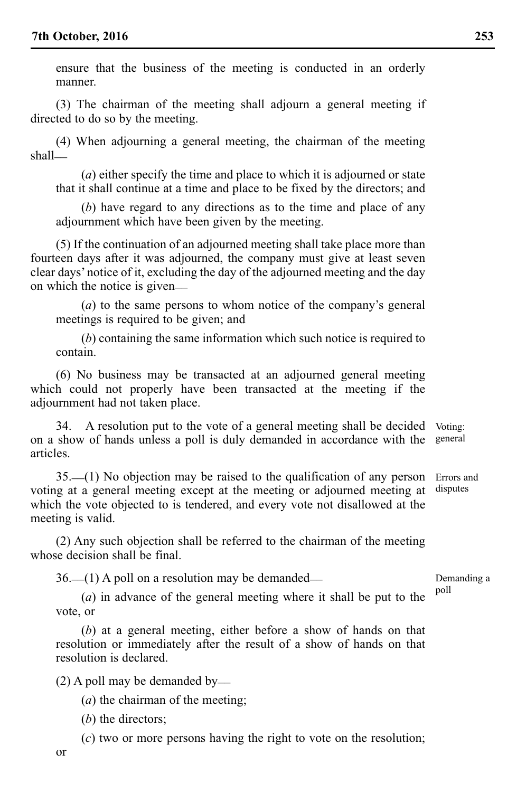ensure that the business of the meeting is conducted in an orderly manner.

(3) The chairman of the meeting shall adjourn a general meeting if directed to do so by the meeting.

(4) When adjourning a general meeting, the chairman of the meeting shall\_\_

(*a*) either specify the time and place to which it is adjourned or state that it shall continue at a time and place to be fixed by the directors; and

(*b*) have regard to any directions as to the time and place of any adjournment which have been given by the meeting.

(5) If the continuation of an adjourned meeting shall take place more than fourteen days after it was adjourned, the company must give at least seven clear days' notice of it, excluding the day of the adjourned meeting and the day on which the notice is given\_\_

(*a*) to the same persons to whom notice of the company's general meetings is required to be given; and

(*b*) containing the same information which such notice is required to contain.

(6) No business may be transacted at an adjourned general meeting which could not properly have been transacted at the meeting if the adjournment had not taken place.

34. A resolution put to the vote of a general meeting shall be decided on a show of hands unless a poll is duly demanded in accordance with the articles. Voting: general

35.\_\_(1) No objection may be raised to the qualification of any person voting at a general meeting except at the meeting or adjourned meeting at which the vote objected to is tendered, and every vote not disallowed at the meeting is valid. Errors and disputes

(2) Any such objection shall be referred to the chairman of the meeting whose decision shall be final.

 $36.$  (1) A poll on a resolution may be demanded—

(*a*) in advance of the general meeting where it shall be put to the vote, or

(*b*) at a general meeting, either before a show of hands on that resolution or immediately after the result of a show of hands on that resolution is declared.

 $(2)$  A poll may be demanded by  $\equiv$ 

(*a*) the chairman of the meeting;

(*b*) the directors;

(*c*) two or more persons having the right to vote on the resolution;

Demanding a poll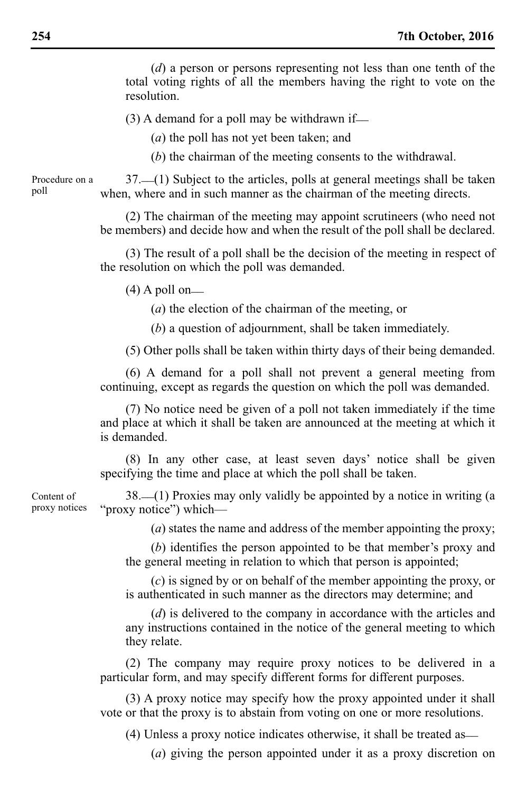(*d*) a person or persons representing not less than one tenth of the total voting rights of all the members having the right to vote on the resolution.

 $(3)$  A demand for a poll may be withdrawn if—

(*a*) the poll has not yet been taken; and

(*b*) the chairman of the meeting consents to the withdrawal.

Procedure on a poll

37.\_\_(1) Subject to the articles, polls at general meetings shall be taken when, where and in such manner as the chairman of the meeting directs.

(2) The chairman of the meeting may appoint scrutineers (who need not be members) and decide how and when the result of the poll shall be declared.

(3) The result of a poll shall be the decision of the meeting in respect of the resolution on which the poll was demanded.

 $(4)$  A poll on—

(*a*) the election of the chairman of the meeting, or

(*b*) a question of adjournment, shall be taken immediately.

(5) Other polls shall be taken within thirty days of their being demanded.

(6) A demand for a poll shall not prevent a general meeting from continuing, except as regards the question on which the poll was demanded.

(7) No notice need be given of a poll not taken immediately if the time and place at which it shall be taken are announced at the meeting at which it is demanded.

(8) In any other case, at least seven days' notice shall be given specifying the time and place at which the poll shall be taken.

38.\_\_(1) Proxies may only validly be appointed by a notice in writing (a "proxy notice") which— Content of proxy notices

(*a*) states the name and address of the member appointing the proxy;

(*b*) identifies the person appointed to be that member's proxy and the general meeting in relation to which that person is appointed;

(*c*) is signed by or on behalf of the member appointing the proxy, or is authenticated in such manner as the directors may determine; and

(*d*) is delivered to the company in accordance with the articles and any instructions contained in the notice of the general meeting to which they relate.

(2) The company may require proxy notices to be delivered in a particular form, and may specify different forms for different purposes.

(3) A proxy notice may specify how the proxy appointed under it shall vote or that the proxy is to abstain from voting on one or more resolutions.

(4) Unless a proxy notice indicates otherwise, it shall be treated as\_\_

(*a*) giving the person appointed under it as a proxy discretion on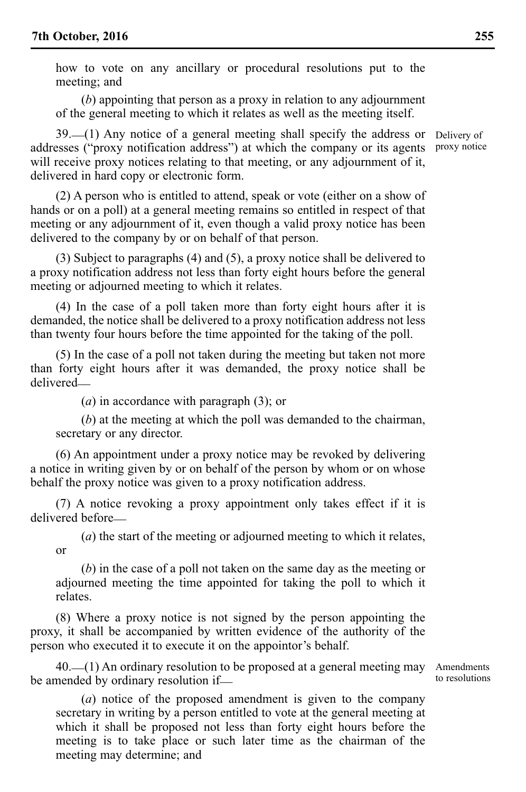how to vote on any ancillary or procedural resolutions put to the meeting; and

(*b*) appointing that person as a proxy in relation to any adjournment of the general meeting to which it relates as well as the meeting itself.

39.\_\_(1) Any notice of a general meeting shall specify the address or addresses ("proxy notification address") at which the company or its agents will receive proxy notices relating to that meeting, or any adjournment of it, delivered in hard copy or electronic form.

Delivery of proxy notice

(2) A person who is entitled to attend, speak or vote (either on a show of hands or on a poll) at a general meeting remains so entitled in respect of that meeting or any adjournment of it, even though a valid proxy notice has been delivered to the company by or on behalf of that person.

(3) Subject to paragraphs (4) and (5), a proxy notice shall be delivered to a proxy notification address not less than forty eight hours before the general meeting or adjourned meeting to which it relates.

(4) In the case of a poll taken more than forty eight hours after it is demanded, the notice shall be delivered to a proxy notification address not less than twenty four hours before the time appointed for the taking of the poll.

(5) In the case of a poll not taken during the meeting but taken not more than forty eight hours after it was demanded, the proxy notice shall be delivered\_\_

(*a*) in accordance with paragraph (3); or

(*b*) at the meeting at which the poll was demanded to the chairman, secretary or any director.

(6) An appointment under a proxy notice may be revoked by delivering a notice in writing given by or on behalf of the person by whom or on whose behalf the proxy notice was given to a proxy notification address.

(7) A notice revoking a proxy appointment only takes effect if it is delivered before\_\_

(*a*) the start of the meeting or adjourned meeting to which it relates, or

(*b*) in the case of a poll not taken on the same day as the meeting or adjourned meeting the time appointed for taking the poll to which it relates.

(8) Where a proxy notice is not signed by the person appointing the proxy, it shall be accompanied by written evidence of the authority of the person who executed it to execute it on the appointor's behalf.

40.\_\_(1) An ordinary resolution to be proposed at a general meeting may Amendments be amended by ordinary resolution if\_\_

to resolutions

(*a*) notice of the proposed amendment is given to the company secretary in writing by a person entitled to vote at the general meeting at which it shall be proposed not less than forty eight hours before the meeting is to take place or such later time as the chairman of the meeting may determine; and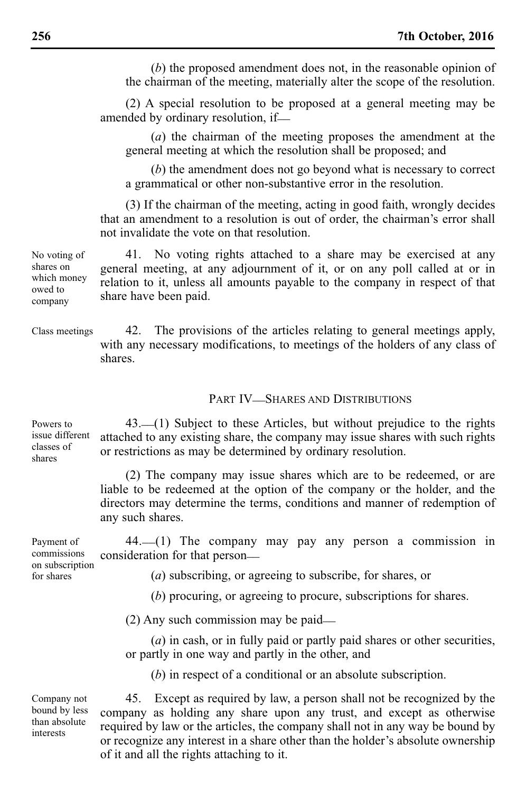(*b*) the proposed amendment does not, in the reasonable opinion of the chairman of the meeting, materially alter the scope of the resolution.

(2) A special resolution to be proposed at a general meeting may be amended by ordinary resolution, if\_\_

(*a*) the chairman of the meeting proposes the amendment at the general meeting at which the resolution shall be proposed; and

(*b*) the amendment does not go beyond what is necessary to correct a grammatical or other non-substantive error in the resolution.

(3) If the chairman of the meeting, acting in good faith, wrongly decides that an amendment to a resolution is out of order, the chairman's error shall not invalidate the vote on that resolution.

41. No voting rights attached to a share may be exercised at any general meeting, at any adjournment of it, or on any poll called at or in relation to it, unless all amounts payable to the company in respect of that share have been paid.

42. The provisions of the articles relating to general meetings apply, with any necessary modifications, to meetings of the holders of any class of shares. Class meetings

## PART IV\_\_SHARES AND DISTRIBUTIONS

43.\_\_(1) Subject to these Articles, but without prejudice to the rights attached to any existing share, the company may issue shares with such rights or restrictions as may be determined by ordinary resolution. Powers to issue different classes of shares

> (2) The company may issue shares which are to be redeemed, or are liable to be redeemed at the option of the company or the holder, and the directors may determine the terms, conditions and manner of redemption of any such shares.

| Payment of      |                                            |                                                           |  |  | $44.$ (1) The company may pay any person a commission in |  |
|-----------------|--------------------------------------------|-----------------------------------------------------------|--|--|----------------------------------------------------------|--|
|                 | commissions consideration for that person- |                                                           |  |  |                                                          |  |
| on subscription |                                            |                                                           |  |  |                                                          |  |
| for shares      |                                            | (a) subscribing, or agreeing to subscribe, for shares, or |  |  |                                                          |  |

(*a*) subscribing, or agreeing to subscribe, for shares, or

(*b*) procuring, or agreeing to procure, subscriptions for shares.

(2) Any such commission may be paid\_\_

(*a*) in cash, or in fully paid or partly paid shares or other securities, or partly in one way and partly in the other, and

(*b*) in respect of a conditional or an absolute subscription.

Company not bound by less than absolute interests

45. Except as required by law, a person shall not be recognized by the company as holding any share upon any trust, and except as otherwise required by law or the articles, the company shall not in any way be bound by or recognize any interest in a share other than the holder's absolute ownership of it and all the rights attaching to it.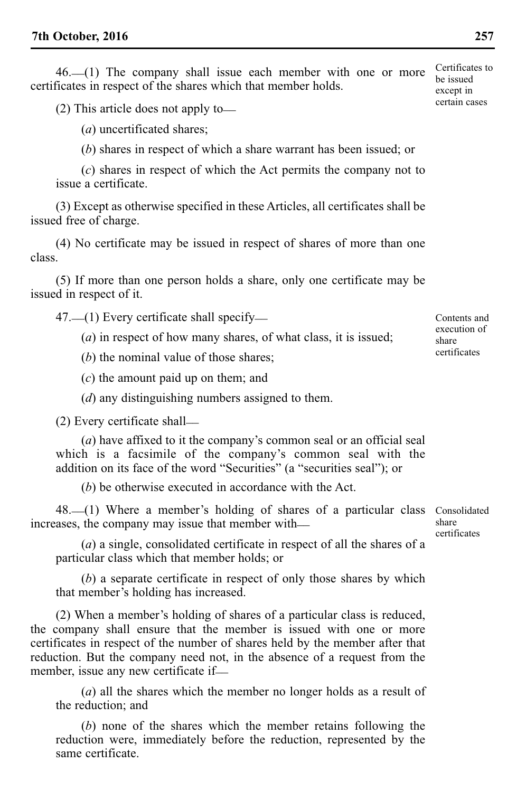46.\_\_(1) The company shall issue each member with one or more certificates in respect of the shares which that member holds.

(2) This article does not apply to\_\_

(*a*) uncertificated shares;

(*b*) shares in respect of which a share warrant has been issued; or

(*c*) shares in respect of which the Act permits the company not to issue a certificate.

(3) Except as otherwise specified in these Articles, all certificates shall be issued free of charge.

(4) No certificate may be issued in respect of shares of more than one class.

(5) If more than one person holds a share, only one certificate may be issued in respect of it.

47.—(1) Every certificate shall specify—

(*a*) in respect of how many shares, of what class, it is issued;

(*b*) the nominal value of those shares;

(*c*) the amount paid up on them; and

(*d*) any distinguishing numbers assigned to them.

(2) Every certificate shall\_\_

(*a*) have affixed to it the company's common seal or an official seal which is a facsimile of the company's common seal with the addition on its face of the word "Securities" (a "securities seal"); or

(*b*) be otherwise executed in accordance with the Act.

48.\_\_(1) Where a member's holding of shares of a particular class Consolidated increases, the company may issue that member with—

(*a*) a single, consolidated certificate in respect of all the shares of a particular class which that member holds; or

(*b*) a separate certificate in respect of only those shares by which that member's holding has increased.

(2) When a member's holding of shares of a particular class is reduced, the company shall ensure that the member is issued with one or more certificates in respect of the number of shares held by the member after that reduction. But the company need not, in the absence of a request from the member, issue any new certificate if....

(*a*) all the shares which the member no longer holds as a result of the reduction; and

(*b*) none of the shares which the member retains following the reduction were, immediately before the reduction, represented by the same certificate.

Contents and execution of share certificates

share certificates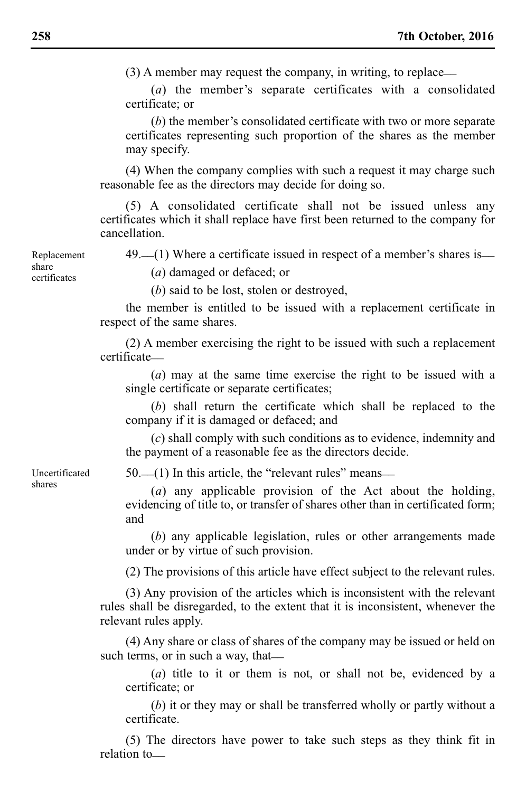(3) A member may request the company, in writing, to replace\_\_

(*a*) the member's separate certificates with a consolidated certificate; or

(*b*) the member's consolidated certificate with two or more separate certificates representing such proportion of the shares as the member may specify.

(4) When the company complies with such a request it may charge such reasonable fee as the directors may decide for doing so.

(5) A consolidated certificate shall not be issued unless any certificates which it shall replace have first been returned to the company for cancellation.

 $49$ . (1) Where a certificate issued in respect of a member's shares is  $\equiv$ 

Replacement share certificates

(*a*) damaged or defaced; or

(*b*) said to be lost, stolen or destroyed,

the member is entitled to be issued with a replacement certificate in respect of the same shares.

(2) A member exercising the right to be issued with such a replacement certificate\_\_

(*a*) may at the same time exercise the right to be issued with a single certificate or separate certificates;

(*b*) shall return the certificate which shall be replaced to the company if it is damaged or defaced; and

(*c*) shall comply with such conditions as to evidence, indemnity and the payment of a reasonable fee as the directors decide.

Uncertificated shares

 $50.$  (1) In this article, the "relevant rules" means—

(*a*) any applicable provision of the Act about the holding, evidencing of title to, or transfer of shares other than in certificated form; and

(*b*) any applicable legislation, rules or other arrangements made under or by virtue of such provision.

(2) The provisions of this article have effect subject to the relevant rules.

(3) Any provision of the articles which is inconsistent with the relevant rules shall be disregarded, to the extent that it is inconsistent, whenever the relevant rules apply.

(4) Any share or class of shares of the company may be issued or held on such terms, or in such a way, that—

(*a*) title to it or them is not, or shall not be, evidenced by a certificate; or

(*b*) it or they may or shall be transferred wholly or partly without a certificate.

(5) The directors have power to take such steps as they think fit in relation to\_\_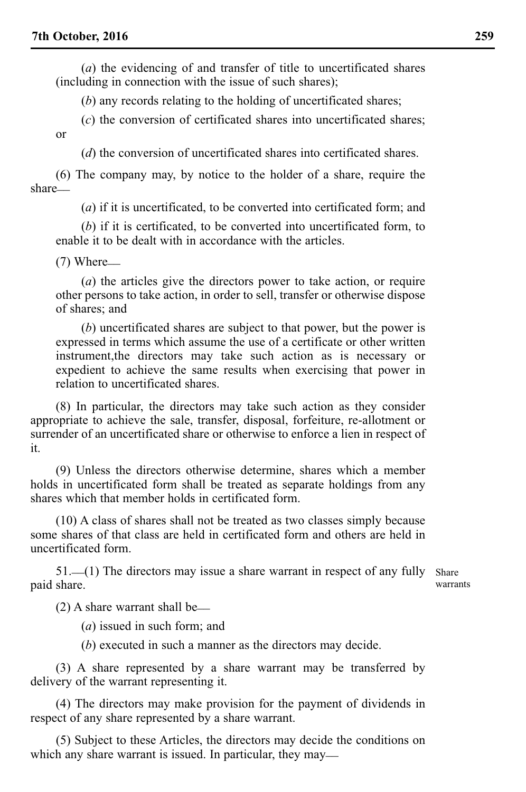(*a*) the evidencing of and transfer of title to uncertificated shares (including in connection with the issue of such shares);

(*b*) any records relating to the holding of uncertificated shares;

(*c*) the conversion of certificated shares into uncertificated shares; or

(*d*) the conversion of uncertificated shares into certificated shares.

(6) The company may, by notice to the holder of a share, require the share\_\_

(*a*) if it is uncertificated, to be converted into certificated form; and

(*b*) if it is certificated, to be converted into uncertificated form, to enable it to be dealt with in accordance with the articles.

 $(7)$  Where $\_\_$ 

(*a*) the articles give the directors power to take action, or require other persons to take action, in order to sell, transfer or otherwise dispose of shares; and

(*b*) uncertificated shares are subject to that power, but the power is expressed in terms which assume the use of a certificate or other written instrument,the directors may take such action as is necessary or expedient to achieve the same results when exercising that power in relation to uncertificated shares.

(8) In particular, the directors may take such action as they consider appropriate to achieve the sale, transfer, disposal, forfeiture, re-allotment or surrender of an uncertificated share or otherwise to enforce a lien in respect of it.

(9) Unless the directors otherwise determine, shares which a member holds in uncertificated form shall be treated as separate holdings from any shares which that member holds in certificated form.

(10) A class of shares shall not be treated as two classes simply because some shares of that class are held in certificated form and others are held in uncertificated form.

51. (1) The directors may issue a share warrant in respect of any fully Share paid share.

warrants

 $(2)$  A share warrant shall be—

(*a*) issued in such form; and

(*b*) executed in such a manner as the directors may decide.

(3) A share represented by a share warrant may be transferred by delivery of the warrant representing it.

(4) The directors may make provision for the payment of dividends in respect of any share represented by a share warrant.

(5) Subject to these Articles, the directors may decide the conditions on which any share warrant is issued. In particular, they may—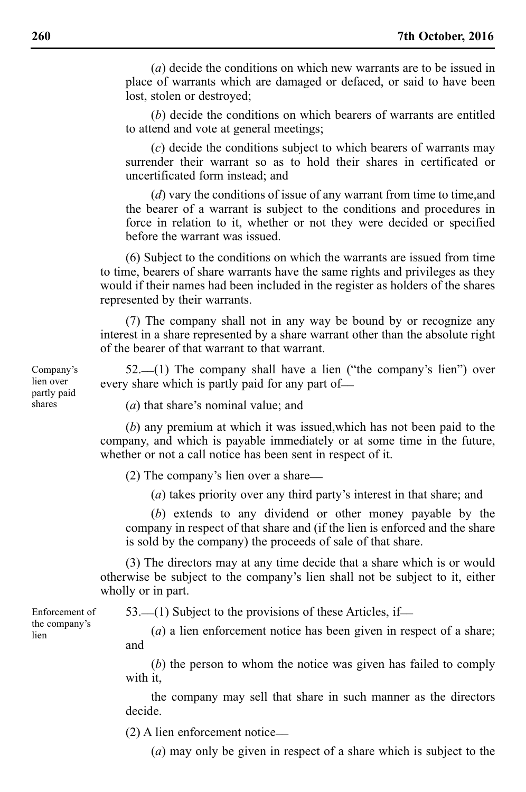(*a*) decide the conditions on which new warrants are to be issued in place of warrants which are damaged or defaced, or said to have been lost, stolen or destroyed;

(*b*) decide the conditions on which bearers of warrants are entitled to attend and vote at general meetings;

(*c*) decide the conditions subject to which bearers of warrants may surrender their warrant so as to hold their shares in certificated or uncertificated form instead; and

(*d*) vary the conditions of issue of any warrant from time to time,and the bearer of a warrant is subject to the conditions and procedures in force in relation to it, whether or not they were decided or specified before the warrant was issued.

(6) Subject to the conditions on which the warrants are issued from time to time, bearers of share warrants have the same rights and privileges as they would if their names had been included in the register as holders of the shares represented by their warrants.

(7) The company shall not in any way be bound by or recognize any interest in a share represented by a share warrant other than the absolute right of the bearer of that warrant to that warrant.

 $52$ ,  $(1)$  The company shall have a lien ("the company's lien") over every share which is partly paid for any part of-

(*a*) that share's nominal value; and

(*b*) any premium at which it was issued,which has not been paid to the company, and which is payable immediately or at some time in the future, whether or not a call notice has been sent in respect of it.

(2) The company's lien over a share\_\_

(*a*) takes priority over any third party's interest in that share; and

(*b*) extends to any dividend or other money payable by the company in respect of that share and (if the lien is enforced and the share is sold by the company) the proceeds of sale of that share.

(3) The directors may at any time decide that a share which is or would otherwise be subject to the company's lien shall not be subject to it, either wholly or in part.

Enforcement of the company's lien

 $53$ .  $(1)$  Subject to the provisions of these Articles, if

(*a*) a lien enforcement notice has been given in respect of a share; and

(*b*) the person to whom the notice was given has failed to comply with it,

the company may sell that share in such manner as the directors decide.

(2) A lien enforcement notice\_\_

(*a*) may only be given in respect of a share which is subject to the

Company's lien over partly paid shares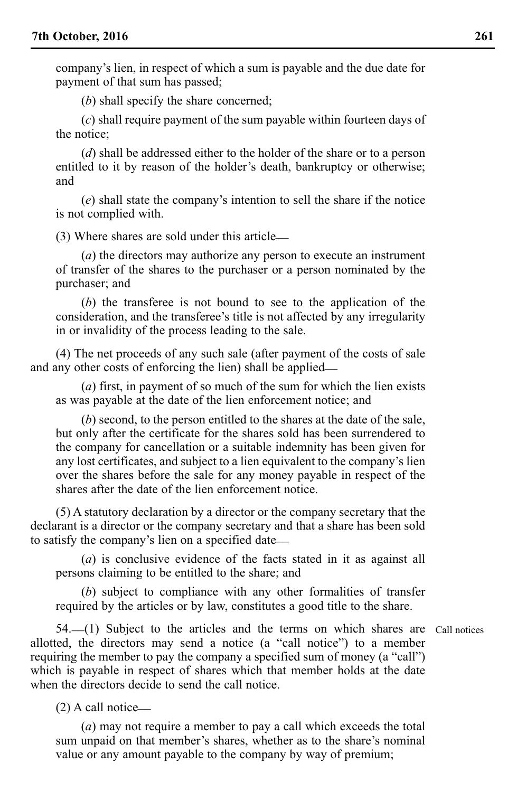company's lien, in respect of which a sum is payable and the due date for payment of that sum has passed;

(*b*) shall specify the share concerned;

(*c*) shall require payment of the sum payable within fourteen days of the notice;

(*d*) shall be addressed either to the holder of the share or to a person entitled to it by reason of the holder's death, bankruptcy or otherwise; and

(*e*) shall state the company's intention to sell the share if the notice is not complied with.

(3) Where shares are sold under this article\_\_

(*a*) the directors may authorize any person to execute an instrument of transfer of the shares to the purchaser or a person nominated by the purchaser; and

(*b*) the transferee is not bound to see to the application of the consideration, and the transferee's title is not affected by any irregularity in or invalidity of the process leading to the sale.

(4) The net proceeds of any such sale (after payment of the costs of sale and any other costs of enforcing the lien) shall be applied—

(*a*) first, in payment of so much of the sum for which the lien exists as was payable at the date of the lien enforcement notice; and

(*b*) second, to the person entitled to the shares at the date of the sale, but only after the certificate for the shares sold has been surrendered to the company for cancellation or a suitable indemnity has been given for any lost certificates, and subject to a lien equivalent to the company's lien over the shares before the sale for any money payable in respect of the shares after the date of the lien enforcement notice.

(5) A statutory declaration by a director or the company secretary that the declarant is a director or the company secretary and that a share has been sold to satisfy the company's lien on a specified date\_\_

(*a*) is conclusive evidence of the facts stated in it as against all persons claiming to be entitled to the share; and

(*b*) subject to compliance with any other formalities of transfer required by the articles or by law, constitutes a good title to the share.

54.\_\_(1) Subject to the articles and the terms on which shares are Call noticesallotted, the directors may send a notice (a "call notice") to a member requiring the member to pay the company a specified sum of money (a "call") which is payable in respect of shares which that member holds at the date when the directors decide to send the call notice.

(2) A call notice\_\_

(*a*) may not require a member to pay a call which exceeds the total sum unpaid on that member's shares, whether as to the share's nominal value or any amount payable to the company by way of premium;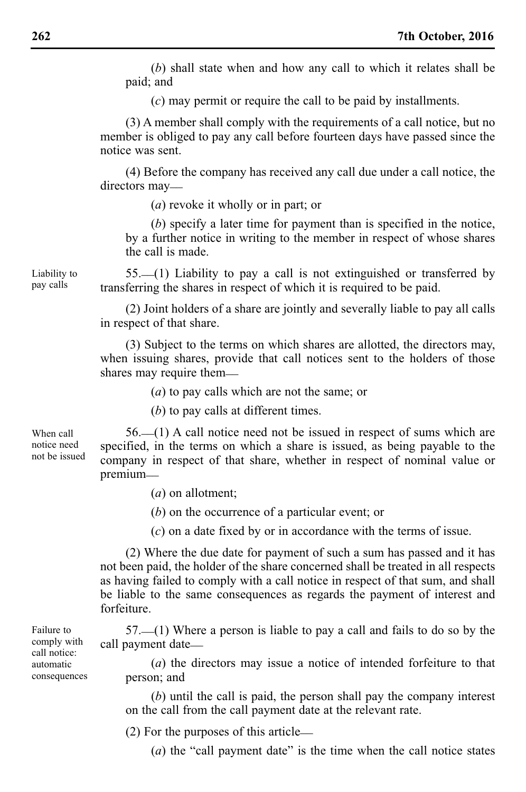(*b*) shall state when and how any call to which it relates shall be paid; and

(*c*) may permit or require the call to be paid by installments.

(3) A member shall comply with the requirements of a call notice, but no member is obliged to pay any call before fourteen days have passed since the notice was sent.

(4) Before the company has received any call due under a call notice, the directors may—

(*a*) revoke it wholly or in part; or

(*b*) specify a later time for payment than is specified in the notice, by a further notice in writing to the member in respect of whose shares the call is made.

 $55.$  (1) Liability to pay a call is not extinguished or transferred by transferring the shares in respect of which it is required to be paid.

(2) Joint holders of a share are jointly and severally liable to pay all calls in respect of that share.

(3) Subject to the terms on which shares are allotted, the directors may, when issuing shares, provide that call notices sent to the holders of those shares may require them—

(*a*) to pay calls which are not the same; or

(*b*) to pay calls at different times.

When call notice need not be issued

Liability to pay calls

> 56.\_\_(1) A call notice need not be issued in respect of sums which are specified, in the terms on which a share is issued, as being payable to the company in respect of that share, whether in respect of nominal value or premium\_\_

> > (*a*) on allotment;

(*b*) on the occurrence of a particular event; or

(*c*) on a date fixed by or in accordance with the terms of issue.

(2) Where the due date for payment of such a sum has passed and it has not been paid, the holder of the share concerned shall be treated in all respects as having failed to comply with a call notice in respect of that sum, and shall be liable to the same consequences as regards the payment of interest and forfeiture.

57.\_\_(1) Where a person is liable to pay a call and fails to do so by the call payment date\_\_

(*a*) the directors may issue a notice of intended forfeiture to that person; and

(*b*) until the call is paid, the person shall pay the company interest on the call from the call payment date at the relevant rate.

(2) For the purposes of this article\_\_

(*a*) the "call payment date" is the time when the call notice states

Failure to comply with call notice: automatic consequences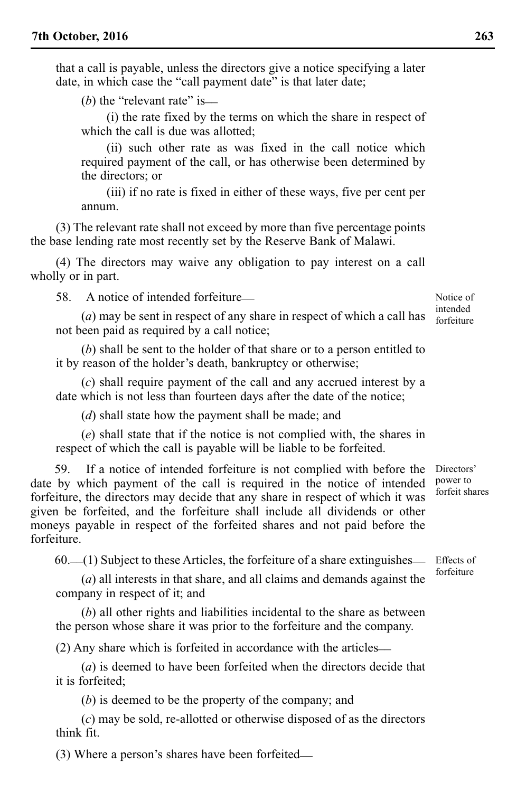that a call is payable, unless the directors give a notice specifying a later date, in which case the "call payment date" is that later date:

 $(b)$  the "relevant rate" is—

(i) the rate fixed by the terms on which the share in respect of which the call is due was allotted:

(ii) such other rate as was fixed in the call notice which required payment of the call, or has otherwise been determined by the directors; or

(iii) if no rate is fixed in either of these ways, five per cent per annum.

(3) The relevant rate shall not exceed by more than five percentage points the base lending rate most recently set by the Reserve Bank of Malawi.

(4) The directors may waive any obligation to pay interest on a call wholly or in part.

58. A notice of intended forfeiture\_\_

(*a*) may be sent in respect of any share in respect of which a call has not been paid as required by a call notice;

(*b*) shall be sent to the holder of that share or to a person entitled to it by reason of the holder's death, bankruptcy or otherwise;

(*c*) shall require payment of the call and any accrued interest by a date which is not less than fourteen days after the date of the notice;

(*d*) shall state how the payment shall be made; and

(*e*) shall state that if the notice is not complied with, the shares in respect of which the call is payable will be liable to be forfeited.

59. If a notice of intended forfeiture is not complied with before the date by which payment of the call is required in the notice of intended forfeiture, the directors may decide that any share in respect of which it was given be forfeited, and the forfeiture shall include all dividends or other moneys payable in respect of the forfeited shares and not paid before the forfeiture.

60.\_\_(1) Subject to these Articles, the forfeiture of a share extinguishes\_\_ Effects of

(*a*) all interests in that share, and all claims and demands against the company in respect of it; and

(*b*) all other rights and liabilities incidental to the share as between the person whose share it was prior to the forfeiture and the company.

(2) Any share which is forfeited in accordance with the articles\_\_

(*a*) is deemed to have been forfeited when the directors decide that it is forfeited;

(*b*) is deemed to be the property of the company; and

(*c*) may be sold, re-allotted or otherwise disposed of as the directors think fit.

(3) Where a person's shares have been forfeited\_\_

Notice of intended forfeiture

Directors' power to forfeit shares

forfeiture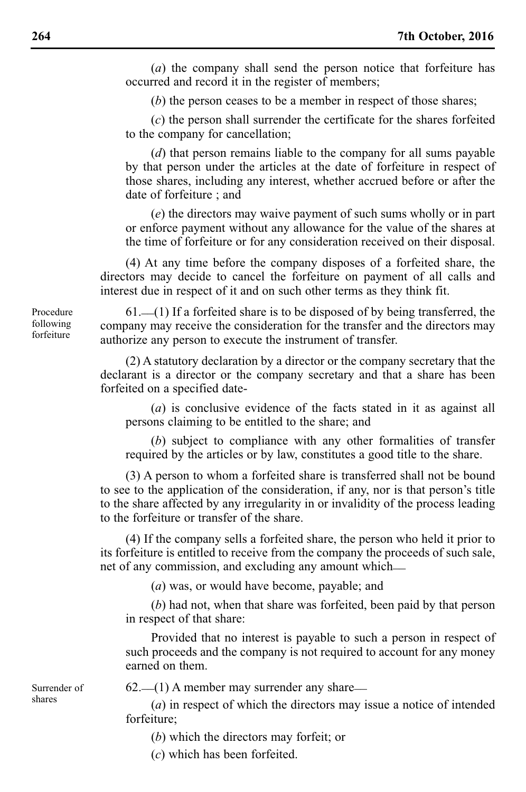(*a*) the company shall send the person notice that forfeiture has occurred and record it in the register of members;

(*b*) the person ceases to be a member in respect of those shares;

(*c*) the person shall surrender the certificate for the shares forfeited to the company for cancellation;

(*d*) that person remains liable to the company for all sums payable by that person under the articles at the date of forfeiture in respect of those shares, including any interest, whether accrued before or after the date of forfeiture ; and

(*e*) the directors may waive payment of such sums wholly or in part or enforce payment without any allowance for the value of the shares at the time of forfeiture or for any consideration received on their disposal.

(4) At any time before the company disposes of a forfeited share, the directors may decide to cancel the forfeiture on payment of all calls and interest due in respect of it and on such other terms as they think fit.

Procedure following forfeiture

 $61$ . (1) If a forfeited share is to be disposed of by being transferred, the company may receive the consideration for the transfer and the directors may authorize any person to execute the instrument of transfer.

(2) A statutory declaration by a director or the company secretary that the declarant is a director or the company secretary and that a share has been forfeited on a specified date-

(*a*) is conclusive evidence of the facts stated in it as against all persons claiming to be entitled to the share; and

(*b*) subject to compliance with any other formalities of transfer required by the articles or by law, constitutes a good title to the share.

(3) A person to whom a forfeited share is transferred shall not be bound to see to the application of the consideration, if any, nor is that person's title to the share affected by any irregularity in or invalidity of the process leading to the forfeiture or transfer of the share.

(4) If the company sells a forfeited share, the person who held it prior to its forfeiture is entitled to receive from the company the proceeds of such sale, net of any commission, and excluding any amount which—

(*a*) was, or would have become, payable; and

(*b*) had not, when that share was forfeited, been paid by that person in respect of that share:

Provided that no interest is payable to such a person in respect of such proceeds and the company is not required to account for any money earned on them.

Surrender of shares

 $62$ .  $(1)$  A member may surrender any share

(*a*) in respect of which the directors may issue a notice of intended forfeiture;

(*b*) which the directors may forfeit; or

(*c*) which has been forfeited.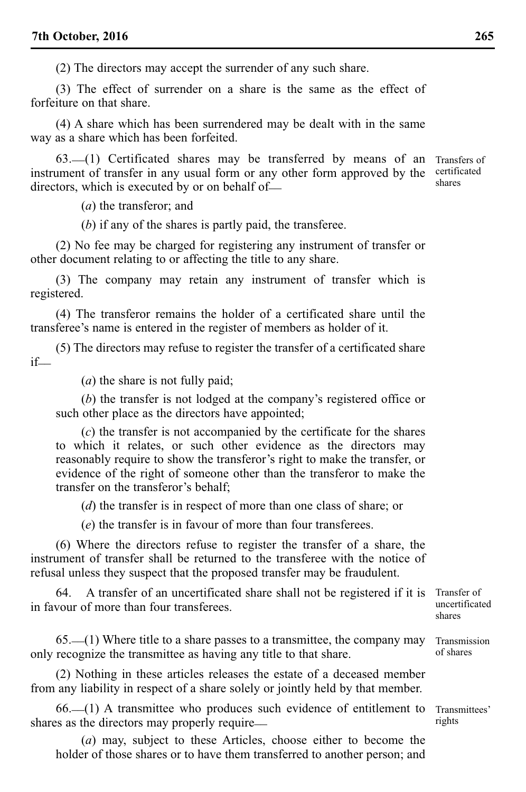(2) The directors may accept the surrender of any such share.

(3) The effect of surrender on a share is the same as the effect of forfeiture on that share.

(4) A share which has been surrendered may be dealt with in the same way as a share which has been forfeited.

63.\_\_(1) Certificated shares may be transferred by means of an Transfers of instrument of transfer in any usual form or any other form approved by the certificated directors, which is executed by or on behalf of. shares

(*a*) the transferor; and

(*b*) if any of the shares is partly paid, the transferee.

(2) No fee may be charged for registering any instrument of transfer or other document relating to or affecting the title to any share.

(3) The company may retain any instrument of transfer which is registered.

(4) The transferor remains the holder of a certificated share until the transferee's name is entered in the register of members as holder of it.

(5) The directors may refuse to register the transfer of a certificated share if\_\_

(*a*) the share is not fully paid;

(*b*) the transfer is not lodged at the company's registered office or such other place as the directors have appointed;

(*c*) the transfer is not accompanied by the certificate for the shares to which it relates, or such other evidence as the directors may reasonably require to show the transferor's right to make the transfer, or evidence of the right of someone other than the transferor to make the transfer on the transferor's behalf;

(*d*) the transfer is in respect of more than one class of share; or

(*e*) the transfer is in favour of more than four transferees.

(6) Where the directors refuse to register the transfer of a share, the instrument of transfer shall be returned to the transferee with the notice of refusal unless they suspect that the proposed transfer may be fraudulent.

64. A transfer of an uncertificated share shall not be registered if it is in favour of more than four transferees.

 $65.$  (1) Where title to a share passes to a transmittee, the company may only recognize the transmittee as having any title to that share.

(2) Nothing in these articles releases the estate of a deceased member from any liability in respect of a share solely or jointly held by that member.

66.\_\_(1) A transmittee who produces such evidence of entitlement to shares as the directors may properly require—

(*a*) may, subject to these Articles, choose either to become the holder of those shares or to have them transferred to another person; and

Transfer of uncertificated shares

Transmission of shares

Transmittees' rights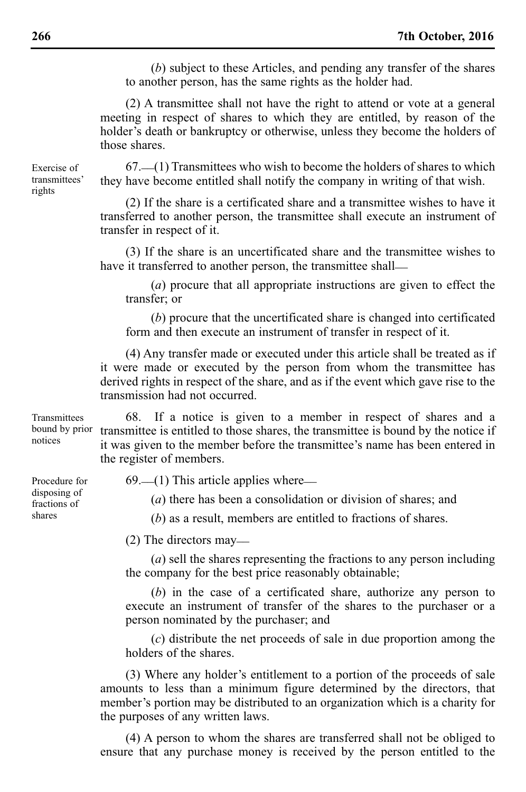(*b*) subject to these Articles, and pending any transfer of the shares to another person, has the same rights as the holder had.

(2) A transmittee shall not have the right to attend or vote at a general meeting in respect of shares to which they are entitled, by reason of the holder's death or bankruptcy or otherwise, unless they become the holders of those shares.

 $67.$  (1) Transmittees who wish to become the holders of shares to which they have become entitled shall notify the company in writing of that wish.

(2) If the share is a certificated share and a transmittee wishes to have it transferred to another person, the transmittee shall execute an instrument of transfer in respect of it.

(3) If the share is an uncertificated share and the transmittee wishes to have it transferred to another person, the transmittee shall—

(*a*) procure that all appropriate instructions are given to effect the transfer; or

(*b*) procure that the uncertificated share is changed into certificated form and then execute an instrument of transfer in respect of it.

(4) Any transfer made or executed under this article shall be treated as if it were made or executed by the person from whom the transmittee has derived rights in respect of the share, and as if the event which gave rise to the transmission had not occurred.

68. If a notice is given to a member in respect of shares and a bound by prior transmittee is entitled to those shares, the transmittee is bound by the notice if it was given to the member before the transmittee's name has been entered in the register of members. Transmittees notices

 $69$ . (1) This article applies where

- (*a*) there has been a consolidation or division of shares; and
- (*b*) as a result, members are entitled to fractions of shares.

(2) The directors may\_\_

(*a*) sell the shares representing the fractions to any person including the company for the best price reasonably obtainable;

(*b*) in the case of a certificated share, authorize any person to execute an instrument of transfer of the shares to the purchaser or a person nominated by the purchaser; and

(*c*) distribute the net proceeds of sale in due proportion among the holders of the shares.

(3) Where any holder's entitlement to a portion of the proceeds of sale amounts to less than a minimum figure determined by the directors, that member's portion may be distributed to an organization which is a charity for the purposes of any written laws.

(4) A person to whom the shares are transferred shall not be obliged to ensure that any purchase money is received by the person entitled to the

Exercise of transmittees' rights

Procedure for disposing of fractions of shares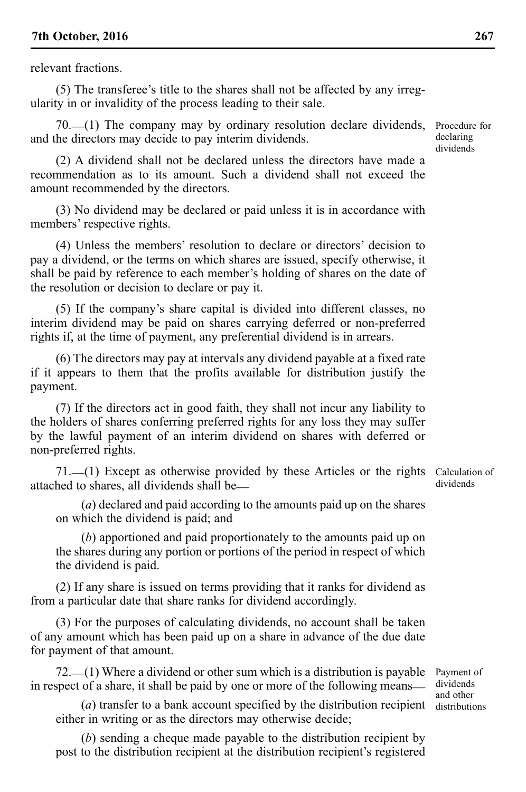relevant fractions.

(5) The transferee's title to the shares shall not be affected by any irregularity in or invalidity of the process leading to their sale.

70.\_\_(1) The company may by ordinary resolution declare dividends, and the directors may decide to pay interim dividends.

(2) A dividend shall not be declared unless the directors have made a recommendation as to its amount. Such a dividend shall not exceed the amount recommended by the directors.

(3) No dividend may be declared or paid unless it is in accordance with members' respective rights.

(4) Unless the members' resolution to declare or directors' decision to pay a dividend, or the terms on which shares are issued, specify otherwise, it shall be paid by reference to each member's holding of shares on the date of the resolution or decision to declare or pay it.

(5) If the company's share capital is divided into different classes, no interim dividend may be paid on shares carrying deferred or non-preferred rights if, at the time of payment, any preferential dividend is in arrears.

(6) The directors may pay at intervals any dividend payable at a fixed rate if it appears to them that the profits available for distribution justify the payment.

(7) If the directors act in good faith, they shall not incur any liability to the holders of shares conferring preferred rights for any loss they may suffer by the lawful payment of an interim dividend on shares with deferred or non-preferred rights.

 $71.$  (1) Except as otherwise provided by these Articles or the rights attached to shares, all dividends shall be\_\_

(*a*) declared and paid according to the amounts paid up on the shares on which the dividend is paid; and

(*b*) apportioned and paid proportionately to the amounts paid up on the shares during any portion or portions of the period in respect of which the dividend is paid.

(2) If any share is issued on terms providing that it ranks for dividend as from a particular date that share ranks for dividend accordingly.

(3) For the purposes of calculating dividends, no account shall be taken of any amount which has been paid up on a share in advance of the due date for payment of that amount.

72.\_\_(1) Where a dividend or other sum which is a distribution is payable in respect of a share, it shall be paid by one or more of the following means—

(*a*) transfer to a bank account specified by the distribution recipient distributionseither in writing or as the directors may otherwise decide;

(*b*) sending a cheque made payable to the distribution recipient by post to the distribution recipient at the distribution recipient's registered

Calculation of dividends

Procedure for declaring dividends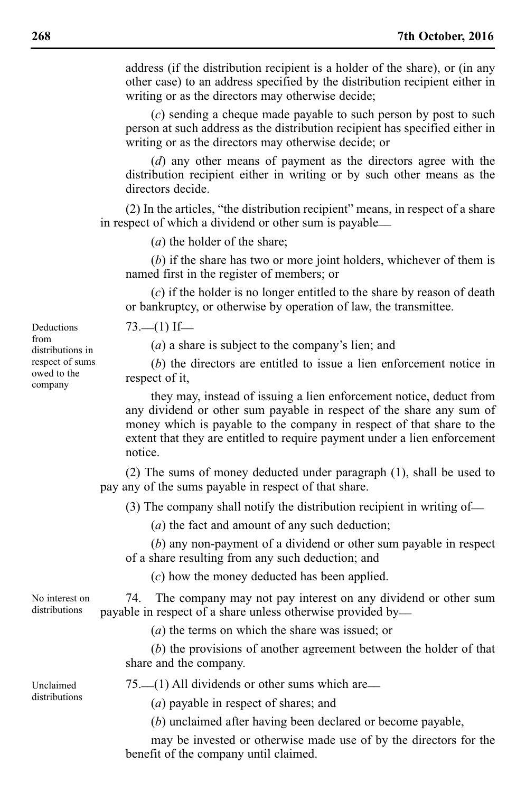address (if the distribution recipient is a holder of the share), or (in any other case) to an address specified by the distribution recipient either in writing or as the directors may otherwise decide;

(*c*) sending a cheque made payable to such person by post to such person at such address as the distribution recipient has specified either in writing or as the directors may otherwise decide; or

(*d*) any other means of payment as the directors agree with the distribution recipient either in writing or by such other means as the directors decide.

(2) In the articles, "the distribution recipient" means, in respect of a share in respect of which a dividend or other sum is payable—

(*a*) the holder of the share;

(*b*) if the share has two or more joint holders, whichever of them is named first in the register of members; or

(*c*) if the holder is no longer entitled to the share by reason of death or bankruptcy, or otherwise by operation of law, the transmittee.

 $73$ , (1) If

(*a*) a share is subject to the company's lien; and

(*b*) the directors are entitled to issue a lien enforcement notice in respect of it,

they may, instead of issuing a lien enforcement notice, deduct from any dividend or other sum payable in respect of the share any sum of money which is payable to the company in respect of that share to the extent that they are entitled to require payment under a lien enforcement notice.

(2) The sums of money deducted under paragraph (1), shall be used to pay any of the sums payable in respect of that share.

(3) The company shall notify the distribution recipient in writing of—

(*a*) the fact and amount of any such deduction;

(*b*) any non-payment of a dividend or other sum payable in respect of a share resulting from any such deduction; and

(*c*) how the money deducted has been applied.

74. The company may not pay interest on any dividend or other sum payable in respect of a share unless otherwise provided by— No interest on

(*a*) the terms on which the share was issued; or

(*b*) the provisions of another agreement between the holder of that share and the company.

 $75$ .  $(1)$  All dividends or other sums which are

(*a*) payable in respect of shares; and

(*b*) unclaimed after having been declared or become payable,

may be invested or otherwise made use of by the directors for the benefit of the company until claimed.

Deductions from distributions in respect of sums owed to the company

Unclaimed distributions

distributions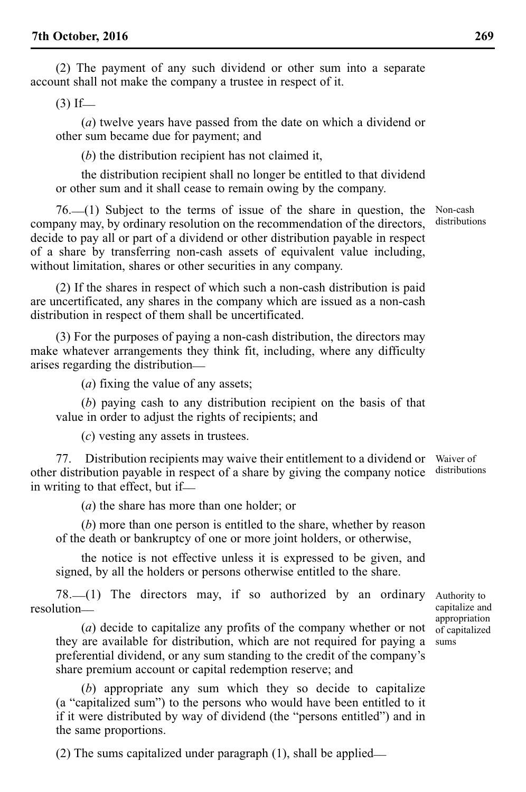(2) The payment of any such dividend or other sum into a separate account shall not make the company a trustee in respect of it.

 $(3)$  If—

(*a*) twelve years have passed from the date on which a dividend or other sum became due for payment; and

(*b*) the distribution recipient has not claimed it,

the distribution recipient shall no longer be entitled to that dividend or other sum and it shall cease to remain owing by the company.

76.\_\_(1) Subject to the terms of issue of the share in question, the company may, by ordinary resolution on the recommendation of the directors, decide to pay all or part of a dividend or other distribution payable in respect of a share by transferring non-cash assets of equivalent value including, without limitation, shares or other securities in any company.

(2) If the shares in respect of which such a non-cash distribution is paid are uncertificated, any shares in the company which are issued as a non-cash distribution in respect of them shall be uncertificated.

(3) For the purposes of paying a non-cash distribution, the directors may make whatever arrangements they think fit, including, where any difficulty arises regarding the distribution\_\_

(*a*) fixing the value of any assets;

(*b*) paying cash to any distribution recipient on the basis of that value in order to adjust the rights of recipients; and

(*c*) vesting any assets in trustees.

77. Distribution recipients may waive their entitlement to a dividend or other distribution payable in respect of a share by giving the company notice in writing to that effect, but if— Waiver of distributions

(*a*) the share has more than one holder; or

(*b*) more than one person is entitled to the share, whether by reason of the death or bankruptcy of one or more joint holders, or otherwise,

the notice is not effective unless it is expressed to be given, and signed, by all the holders or persons otherwise entitled to the share.

 $78.$  (1) The directors may, if so authorized by an ordinary resolution\_\_

(*a*) decide to capitalize any profits of the company whether or not they are available for distribution, which are not required for paying a preferential dividend, or any sum standing to the credit of the company's share premium account or capital redemption reserve; and

(*b*) appropriate any sum which they so decide to capitalize (a "capitalized sum") to the persons who would have been entitled to it if it were distributed by way of dividend (the "persons entitled") and in the same proportions.

 $(2)$  The sums capitalized under paragraph  $(1)$ , shall be applied—

Authority to capitalize and appropriation of capitalized sums

Non-cash distributions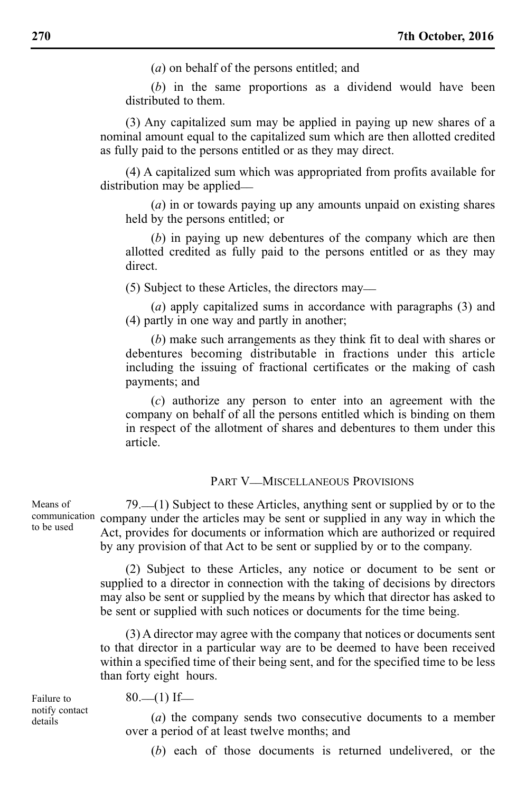(*a*) on behalf of the persons entitled; and

(*b*) in the same proportions as a dividend would have been distributed to them.

(3) Any capitalized sum may be applied in paying up new shares of a nominal amount equal to the capitalized sum which are then allotted credited as fully paid to the persons entitled or as they may direct.

(4) A capitalized sum which was appropriated from profits available for distribution may be applied—

(*a*) in or towards paying up any amounts unpaid on existing shares held by the persons entitled; or

(*b*) in paying up new debentures of the company which are then allotted credited as fully paid to the persons entitled or as they may direct.

(5) Subject to these Articles, the directors may\_\_

(*a*) apply capitalized sums in accordance with paragraphs (3) and (4) partly in one way and partly in another;

(*b*) make such arrangements as they think fit to deal with shares or debentures becoming distributable in fractions under this article including the issuing of fractional certificates or the making of cash payments; and

(*c*) authorize any person to enter into an agreement with the company on behalf of all the persons entitled which is binding on them in respect of the allotment of shares and debentures to them under this article.

## PART V-MISCELLANEOUS PROVISIONS

79.\_\_(1) Subject to these Articles, anything sent or supplied by or to the communication company under the articles may be sent or supplied in any way in which the Act, provides for documents or information which are authorized or required by any provision of that Act to be sent or supplied by or to the company.

> (2) Subject to these Articles, any notice or document to be sent or supplied to a director in connection with the taking of decisions by directors may also be sent or supplied by the means by which that director has asked to be sent or supplied with such notices or documents for the time being.

> (3) A director may agree with the company that notices or documents sent to that director in a particular way are to be deemed to have been received within a specified time of their being sent, and for the specified time to be less than forty eight hours.

Failure to notify contact details

Means of to be used

 $80$ .  $-$ (1) If

(*a*) the company sends two consecutive documents to a member over a period of at least twelve months; and

(*b*) each of those documents is returned undelivered, or the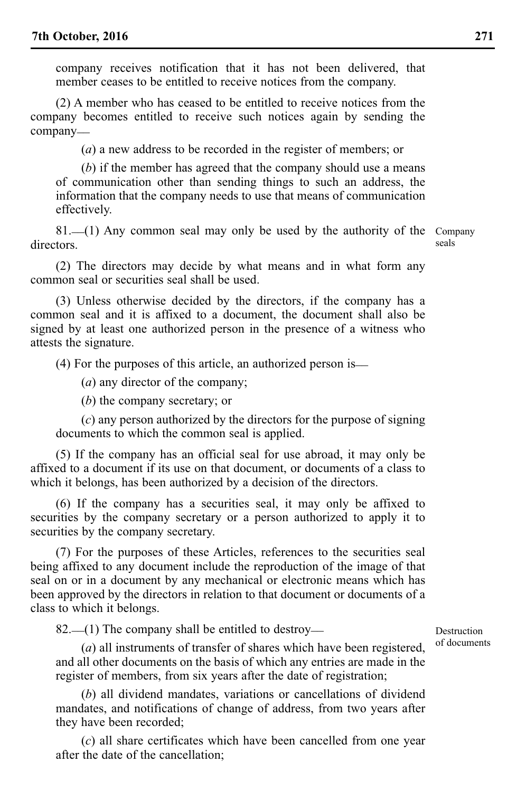company receives notification that it has not been delivered, that member ceases to be entitled to receive notices from the company.

(2) A member who has ceased to be entitled to receive notices from the company becomes entitled to receive such notices again by sending the company\_\_

(*a*) a new address to be recorded in the register of members; or

(*b*) if the member has agreed that the company should use a means of communication other than sending things to such an address, the information that the company needs to use that means of communication effectively.

81. (1) Any common seal may only be used by the authority of the Company directors.

seals

(2) The directors may decide by what means and in what form any common seal or securities seal shall be used.

(3) Unless otherwise decided by the directors, if the company has a common seal and it is affixed to a document, the document shall also be signed by at least one authorized person in the presence of a witness who attests the signature.

(4) For the purposes of this article, an authorized person is\_\_

(*a*) any director of the company;

(*b*) the company secretary; or

(*c*) any person authorized by the directors for the purpose of signing documents to which the common seal is applied.

(5) If the company has an official seal for use abroad, it may only be affixed to a document if its use on that document, or documents of a class to which it belongs, has been authorized by a decision of the directors.

(6) If the company has a securities seal, it may only be affixed to securities by the company secretary or a person authorized to apply it to securities by the company secretary.

(7) For the purposes of these Articles, references to the securities seal being affixed to any document include the reproduction of the image of that seal on or in a document by any mechanical or electronic means which has been approved by the directors in relation to that document or documents of a class to which it belongs.

 $82$ . (1) The company shall be entitled to destroy—

(*a*) all instruments of transfer of shares which have been registered, and all other documents on the basis of which any entries are made in the register of members, from six years after the date of registration;

(*b*) all dividend mandates, variations or cancellations of dividend mandates, and notifications of change of address, from two years after they have been recorded;

(*c*) all share certificates which have been cancelled from one year after the date of the cancellation;

**Destruction** of documents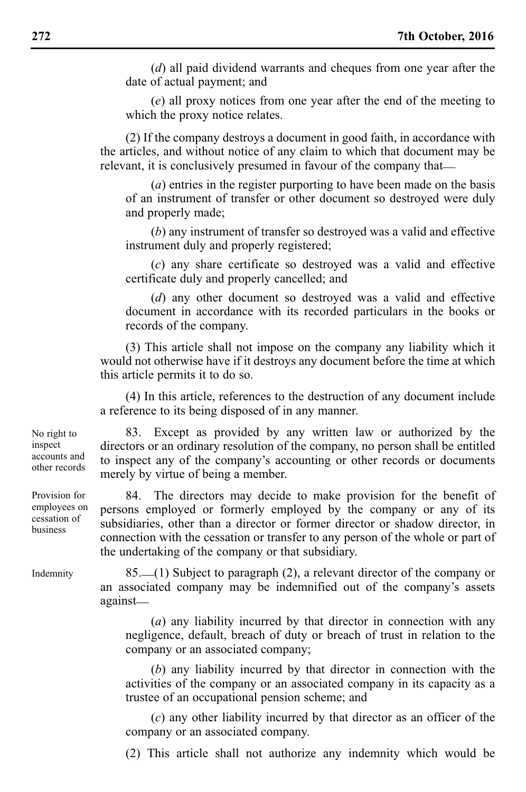(*d*) all paid dividend warrants and cheques from one year after the date of actual payment; and

(*e*) all proxy notices from one year after the end of the meeting to which the proxy notice relates.

(2) If the company destroys a document in good faith, in accordance with the articles, and without notice of any claim to which that document may be relevant, it is conclusively presumed in favour of the company that—

(*a*) entries in the register purporting to have been made on the basis of an instrument of transfer or other document so destroyed were duly and properly made;

(*b*) any instrument of transfer so destroyed was a valid and effective instrument duly and properly registered;

(*c*) any share certificate so destroyed was a valid and effective certificate duly and properly cancelled; and

(*d*) any other document so destroyed was a valid and effective document in accordance with its recorded particulars in the books or records of the company.

(3) This article shall not impose on the company any liability which it would not otherwise have if it destroys any document before the time at which this article permits it to do so.

(4) In this article, references to the destruction of any document include a reference to its being disposed of in any manner.

83. Except as provided by any written law or authorized by the directors or an ordinary resolution of the company, no person shall be entitled to inspect any of the company's accounting or other records or documents merely by virtue of being a member.

84. The directors may decide to make provision for the benefit of persons employed or formerly employed by the company or any of its subsidiaries, other than a director or former director or shadow director, in connection with the cessation or transfer to any person of the whole or part of the undertaking of the company or that subsidiary.

Indemnity

No right to inspect accounts and other records

Provision for employees on cessation of business

> 85.\_\_(1) Subject to paragraph (2), a relevant director of the company or an associated company may be indemnified out of the company's assets against\_\_

(*a*) any liability incurred by that director in connection with any negligence, default, breach of duty or breach of trust in relation to the company or an associated company;

(*b*) any liability incurred by that director in connection with the activities of the company or an associated company in its capacity as a trustee of an occupational pension scheme; and

(*c*) any other liability incurred by that director as an officer of the company or an associated company.

(2) This article shall not authorize any indemnity which would be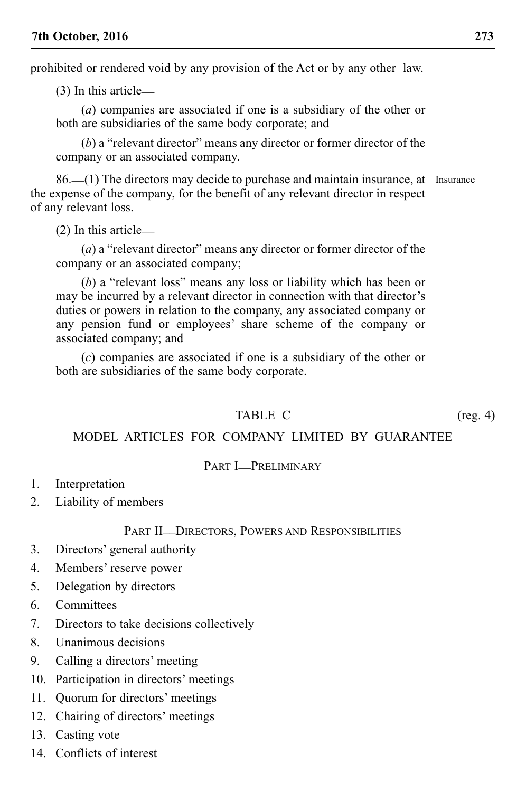prohibited or rendered void by any provision of the Act or by any other law.

(3) In this article\_\_

(*a*) companies are associated if one is a subsidiary of the other or both are subsidiaries of the same body corporate; and

(*b*) a "relevant director" means any director or former director of the company or an associated company.

86. (1) The directors may decide to purchase and maintain insurance, at Insurance the expense of the company, for the benefit of any relevant director in respect of any relevant loss.

(2) In this article\_\_

(*a*) a "relevant director" means any director or former director of the company or an associated company;

(*b*) a "relevant loss" means any loss or liability which has been or may be incurred by a relevant director in connection with that director's duties or powers in relation to the company, any associated company or any pension fund or employees' share scheme of the company or associated company; and

(*c*) companies are associated if one is a subsidiary of the other or both are subsidiaries of the same body corporate.

## TABLE C (reg. 4)

MODEL ARTICLES FOR COMPANY LIMITED BY GUARANTEE

PART **I\_PRELIMINARY** 

- 1. Interpretation
- 2. Liability of members

#### PART II-DIRECTORS, POWERS AND RESPONSIBILITIES

- 3. Directors' general authority
- 4. Members' reserve power
- 5. Delegation by directors
- 6. Committees
- 7. Directors to take decisions collectively
- 8. Unanimous decisions
- 9. Calling a directors' meeting
- 10. Participation in directors' meetings
- 11. Quorum for directors' meetings
- 12. Chairing of directors' meetings
- 13. Casting vote
- 14. Conflicts of interest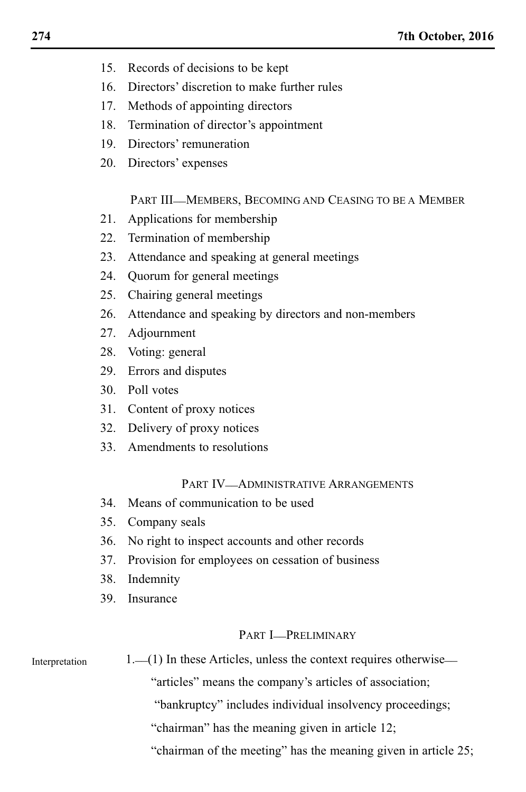- 15. Records of decisions to be kept
- 16. Directors' discretion to make further rules
- 17. Methods of appointing directors
- 18. Termination of director's appointment
- 19. Directors' remuneration
- 20. Directors' expenses

PART III\_\_MEMBERS, BECOMING AND CEASING TO BE A MEMBER

- 21. Applications for membership
- 22. Termination of membership
- 23. Attendance and speaking at general meetings
- 24. Quorum for general meetings
- 25. Chairing general meetings
- 26. Attendance and speaking by directors and non-members
- 27. Adjournment
- 28. Voting: general
- 29. Errors and disputes
- 30. Poll votes
- 31. Content of proxy notices
- 32. Delivery of proxy notices
- 33. Amendments to resolutions

# PART IV\_ADMINISTRATIVE ARRANGEMENTS

- 34. Means of communication to be used
- 35. Company seals
- 36. No right to inspect accounts and other records
- 37. Provision for employees on cessation of business
- 38. Indemnity
- 39. Insurance

# PART **I\_PRELIMINARY**

Interpretation

1.\_\_(1) In these Articles, unless the context requires otherwise\_\_

"articles" means the company's articles of association;

"bankruptcy" includes individual insolvency proceedings;

"chairman" has the meaning given in article 12;

"chairman of the meeting" has the meaning given in article 25;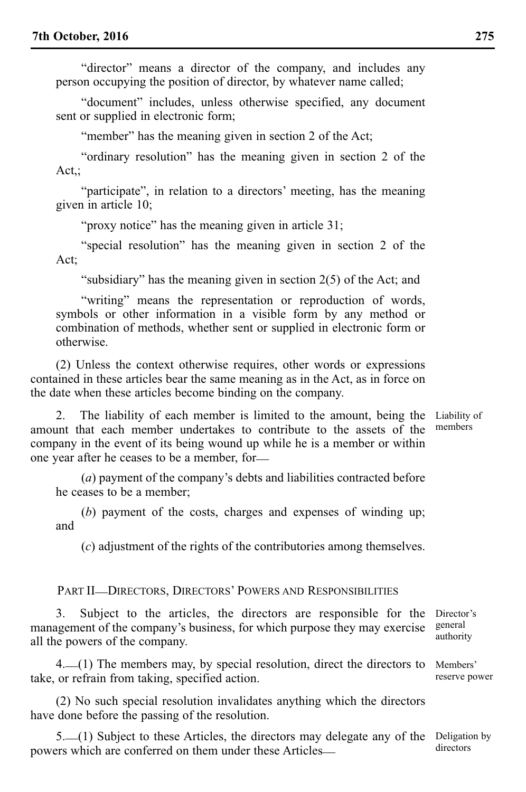"director" means a director of the company, and includes any person occupying the position of director, by whatever name called;

"document" includes, unless otherwise specified, any document sent or supplied in electronic form;

"member" has the meaning given in section 2 of the Act;

"ordinary resolution" has the meaning given in section 2 of the Act,;

"participate", in relation to a directors' meeting, has the meaning given in article 10;

"proxy notice" has the meaning given in article 31;

"special resolution" has the meaning given in section 2 of the Act;

"subsidiary" has the meaning given in section 2(5) of the Act; and

"writing" means the representation or reproduction of words, symbols or other information in a visible form by any method or combination of methods, whether sent or supplied in electronic form or otherwise.

(2) Unless the context otherwise requires, other words or expressions contained in these articles bear the same meaning as in the Act, as in force on the date when these articles become binding on the company.

2. The liability of each member is limited to the amount, being the Liability of amount that each member undertakes to contribute to the assets of the company in the event of its being wound up while he is a member or within one year after he ceases to be a member, for\_\_

(*a*) payment of the company's debts and liabilities contracted before he ceases to be a member;

(*b*) payment of the costs, charges and expenses of winding up; and

(*c*) adjustment of the rights of the contributories among themselves.

## PART II\_\_DIRECTORS, DIRECTORS' POWERS AND RESPONSIBILITIES

3. Subject to the articles, the directors are responsible for the management of the company's business, for which purpose they may exercise all the powers of the company.

4.\_\_(1) The members may, by special resolution, direct the directors to Members' take, or refrain from taking, specified action.

(2) No such special resolution invalidates anything which the directors have done before the passing of the resolution.

5.\_\_(1) Subject to these Articles, the directors may delegate any of the powers which are conferred on them under these Articles\_\_

members

Director's general authority

reserve power

Deligation by directors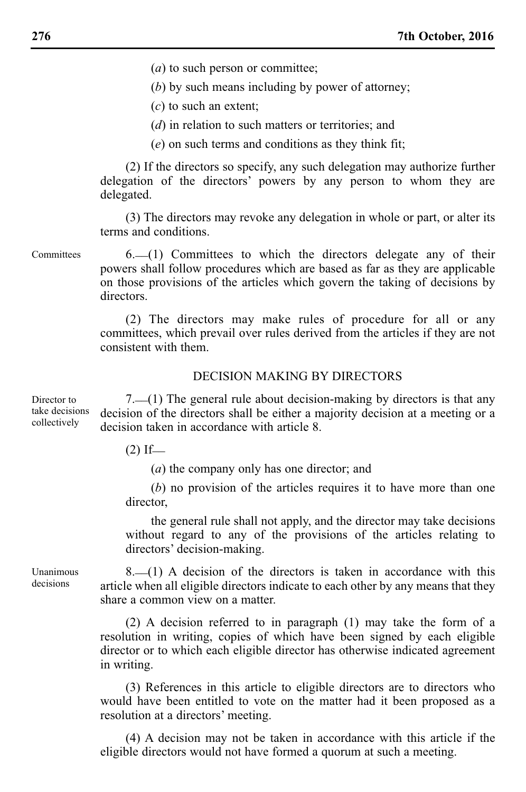(*a*) to such person or committee;

(*b*) by such means including by power of attorney;

(*c*) to such an extent;

(*d*) in relation to such matters or territories; and

(*e*) on such terms and conditions as they think fit;

(2) If the directors so specify, any such delegation may authorize further delegation of the directors' powers by any person to whom they are delegated.

(3) The directors may revoke any delegation in whole or part, or alter its terms and conditions.

 $6.$  (1) Committees to which the directors delegate any of their powers shall follow procedures which are based as far as they are applicable on those provisions of the articles which govern the taking of decisions by directors.

(2) The directors may make rules of procedure for all or any committees, which prevail over rules derived from the articles if they are not consistent with them.

#### DECISION MAKING BY DIRECTORS

Director to take decisions collectively

**Committees** 

7.\_\_(1) The general rule about decision-making by directors is that any decision of the directors shall be either a majority decision at a meeting or a decision taken in accordance with article 8.

 $(2)$  If

(*a*) the company only has one director; and

(*b*) no provision of the articles requires it to have more than one director,

the general rule shall not apply, and the director may take decisions without regard to any of the provisions of the articles relating to directors' decision-making.

Unanimous decisions

 $8-(1)$  A decision of the directors is taken in accordance with this article when all eligible directors indicate to each other by any means that they share a common view on a matter.

(2) A decision referred to in paragraph (1) may take the form of a resolution in writing, copies of which have been signed by each eligible director or to which each eligible director has otherwise indicated agreement in writing.

(3) References in this article to eligible directors are to directors who would have been entitled to vote on the matter had it been proposed as a resolution at a directors' meeting.

(4) A decision may not be taken in accordance with this article if the eligible directors would not have formed a quorum at such a meeting.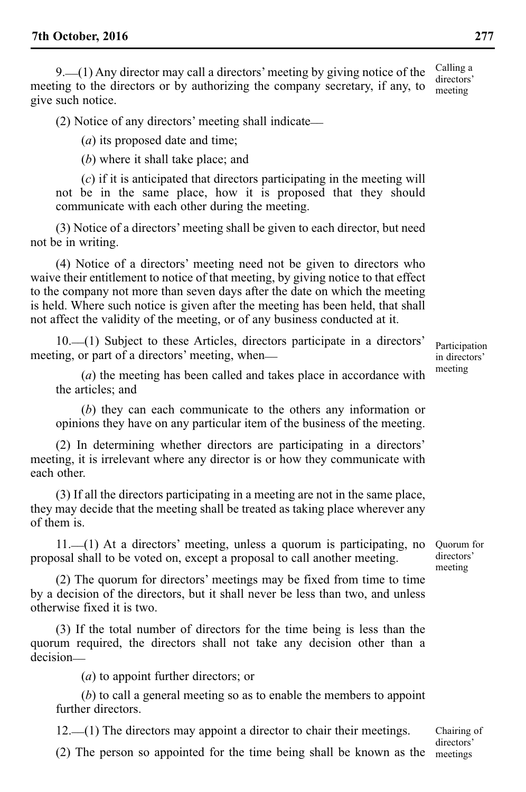9.\_\_(1) Any director may call a directors' meeting by giving notice of the meeting to the directors or by authorizing the company secretary, if any, to give such notice.

(2) Notice of any directors' meeting shall indicate\_\_

(*a*) its proposed date and time;

(*b*) where it shall take place; and

(*c*) if it is anticipated that directors participating in the meeting will not be in the same place, how it is proposed that they should communicate with each other during the meeting.

(3) Notice of a directors' meeting shall be given to each director, but need not be in writing.

(4) Notice of a directors' meeting need not be given to directors who waive their entitlement to notice of that meeting, by giving notice to that effect to the company not more than seven days after the date on which the meeting is held. Where such notice is given after the meeting has been held, that shall not affect the validity of the meeting, or of any business conducted at it.

10.\_\_(1) Subject to these Articles, directors participate in a directors' meeting, or part of a directors' meeting, when—

(*a*) the meeting has been called and takes place in accordance with the articles; and

(*b*) they can each communicate to the others any information or opinions they have on any particular item of the business of the meeting.

(2) In determining whether directors are participating in a directors' meeting, it is irrelevant where any director is or how they communicate with each other.

(3) If all the directors participating in a meeting are not in the same place, they may decide that the meeting shall be treated as taking place wherever any of them is.

11.\_\_(1) At a directors' meeting, unless a quorum is participating, no proposal shall to be voted on, except a proposal to call another meeting.

(2) The quorum for directors' meetings may be fixed from time to time by a decision of the directors, but it shall never be less than two, and unless otherwise fixed it is two.

(3) If the total number of directors for the time being is less than the quorum required, the directors shall not take any decision other than a decision\_\_

(*a*) to appoint further directors; or

(*b*) to call a general meeting so as to enable the members to appoint further directors.

12.\_\_(1) The directors may appoint a director to chair their meetings.

Participation in directors' meeting

Calling a directors' meeting

Quorum for directors' meeting

(2) The person so appointed for the time being shall be known as the meetingsChairing of directors'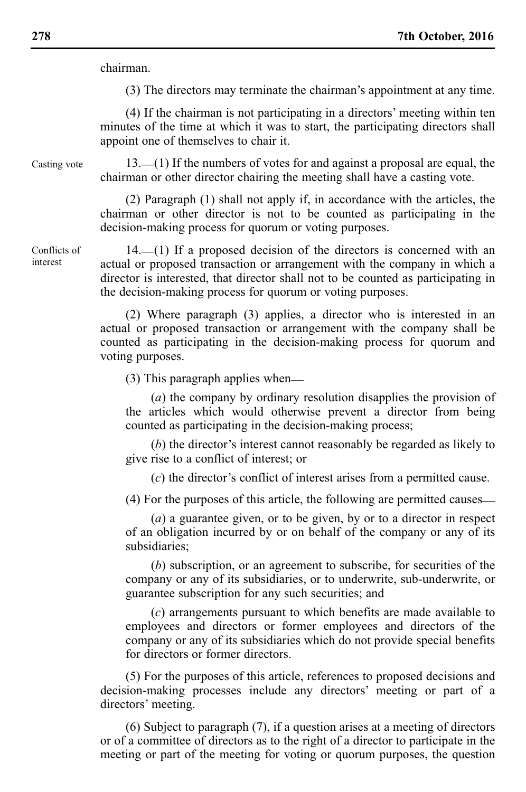chairman.

(3) The directors may terminate the chairman's appointment at any time.

(4) If the chairman is not participating in a directors' meeting within ten minutes of the time at which it was to start, the participating directors shall appoint one of themselves to chair it.

Casting vote

Conflicts of interest

13.\_\_(1) If the numbers of votes for and against a proposal are equal, the chairman or other director chairing the meeting shall have a casting vote.

(2) Paragraph (1) shall not apply if, in accordance with the articles, the chairman or other director is not to be counted as participating in the decision-making process for quorum or voting purposes.

14.\_\_(1) If a proposed decision of the directors is concerned with an actual or proposed transaction or arrangement with the company in which a director is interested, that director shall not to be counted as participating in the decision-making process for quorum or voting purposes.

(2) Where paragraph (3) applies, a director who is interested in an actual or proposed transaction or arrangement with the company shall be counted as participating in the decision-making process for quorum and voting purposes.

(3) This paragraph applies when\_\_

(*a*) the company by ordinary resolution disapplies the provision of the articles which would otherwise prevent a director from being counted as participating in the decision-making process;

(*b*) the director's interest cannot reasonably be regarded as likely to give rise to a conflict of interest; or

(*c*) the director's conflict of interest arises from a permitted cause.

(4) For the purposes of this article, the following are permitted causes\_\_

(*a*) a guarantee given, or to be given, by or to a director in respect of an obligation incurred by or on behalf of the company or any of its subsidiaries;

(*b*) subscription, or an agreement to subscribe, for securities of the company or any of its subsidiaries, or to underwrite, sub-underwrite, or guarantee subscription for any such securities; and

(*c*) arrangements pursuant to which benefits are made available to employees and directors or former employees and directors of the company or any of its subsidiaries which do not provide special benefits for directors or former directors.

(5) For the purposes of this article, references to proposed decisions and decision-making processes include any directors' meeting or part of a directors' meeting.

(6) Subject to paragraph (7), if a question arises at a meeting of directors or of a committee of directors as to the right of a director to participate in the meeting or part of the meeting for voting or quorum purposes, the question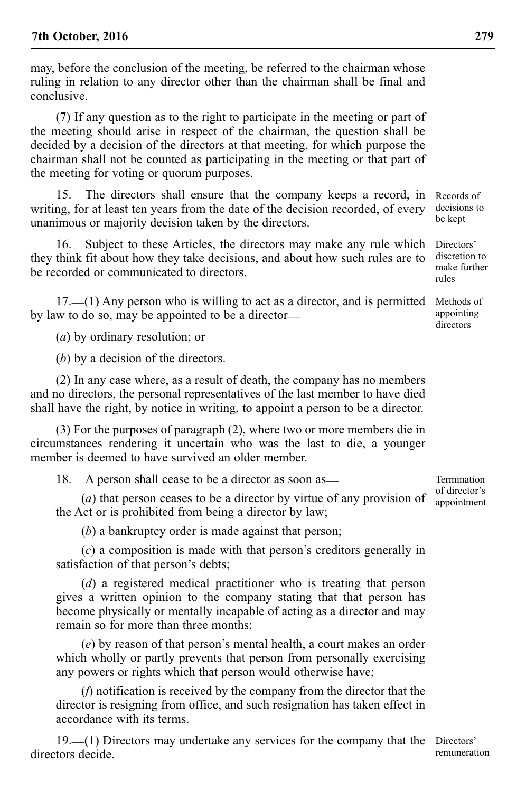may, before the conclusion of the meeting, be referred to the chairman whose ruling in relation to any director other than the chairman shall be final and conclusive.

(7) If any question as to the right to participate in the meeting or part of the meeting should arise in respect of the chairman, the question shall be decided by a decision of the directors at that meeting, for which purpose the chairman shall not be counted as participating in the meeting or that part of the meeting for voting or quorum purposes.

15. The directors shall ensure that the company keeps a record, in writing, for at least ten years from the date of the decision recorded, of every unanimous or majority decision taken by the directors.

16. Subject to these Articles, the directors may make any rule which they think fit about how they take decisions, and about how such rules are to be recorded or communicated to directors.

17. (1) Any person who is willing to act as a director, and is permitted Methods of by law to do so, may be appointed to be a director\_\_

(*a*) by ordinary resolution; or

(*b*) by a decision of the directors.

(2) In any case where, as a result of death, the company has no members and no directors, the personal representatives of the last member to have died shall have the right, by notice in writing, to appoint a person to be a director.

(3) For the purposes of paragraph (2), where two or more members die in circumstances rendering it uncertain who was the last to die, a younger member is deemed to have survived an older member.

18. A person shall cease to be a director as soon as —

(*a*) that person ceases to be a director by virtue of any provision of the Act or is prohibited from being a director by law;

(*b*) a bankruptcy order is made against that person;

(*c*) a composition is made with that person's creditors generally in satisfaction of that person's debts;

(*d*) a registered medical practitioner who is treating that person gives a written opinion to the company stating that that person has become physically or mentally incapable of acting as a director and may remain so for more than three months;

(*e*) by reason of that person's mental health, a court makes an order which wholly or partly prevents that person from personally exercising any powers or rights which that person would otherwise have;

(*f*) notification is received by the company from the director that the director is resigning from office, and such resignation has taken effect in accordance with its terms.

19.\_\_(1) Directors may undertake any services for the company that the Directors' directors decide. remuneration

Termination of director's appointment

Records of decisions to be kept

Directors' discretion to make further rules

appointing directors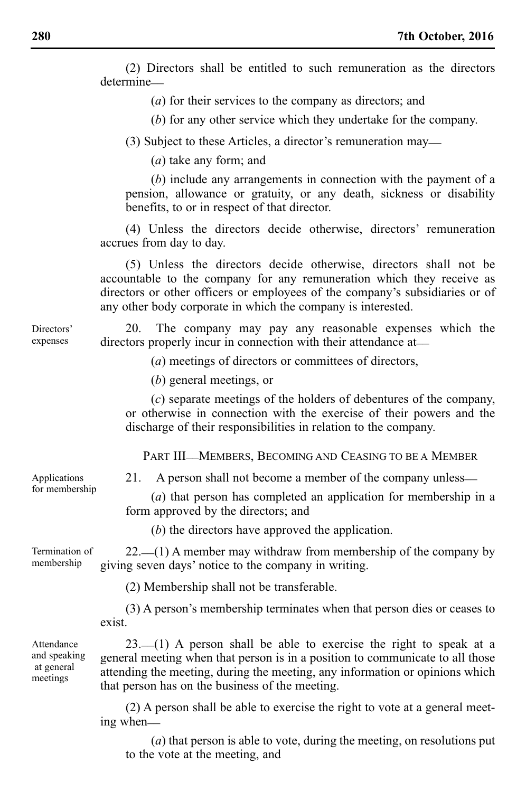(2) Directors shall be entitled to such remuneration as the directors determine\_\_

(*a*) for their services to the company as directors; and

(*b*) for any other service which they undertake for the company.

(3) Subject to these Articles, a director's remuneration may\_\_

(*a*) take any form; and

(*b*) include any arrangements in connection with the payment of a pension, allowance or gratuity, or any death, sickness or disability benefits, to or in respect of that director.

(4) Unless the directors decide otherwise, directors' remuneration accrues from day to day.

(5) Unless the directors decide otherwise, directors shall not be accountable to the company for any remuneration which they receive as directors or other officers or employees of the company's subsidiaries or of any other body corporate in which the company is interested.

20. The company may pay any reasonable expenses which the directors properly incur in connection with their attendance at—

(*a*) meetings of directors or committees of directors,

(*b*) general meetings, or

(*c*) separate meetings of the holders of debentures of the company, or otherwise in connection with the exercise of their powers and the discharge of their responsibilities in relation to the company.

PART III-MEMBERS, BECOMING AND CEASING TO BE A MEMBER

21. A person shall not become a member of the company unless—

(*a*) that person has completed an application for membership in a form approved by the directors; and

(*b*) the directors have approved the application.

22.\_\_(1) A member may withdraw from membership of the company by giving seven days' notice to the company in writing. Termination of membership

(2) Membership shall not be transferable.

(3) A person's membership terminates when that person dies or ceases to exist.

Attendance and speaking at general meetings

 $23.$  (1) A person shall be able to exercise the right to speak at a general meeting when that person is in a position to communicate to all those attending the meeting, during the meeting, any information or opinions which that person has on the business of the meeting.

(2) A person shall be able to exercise the right to vote at a general meeting when\_\_

(*a*) that person is able to vote, during the meeting, on resolutions put to the vote at the meeting, and

Applications for membership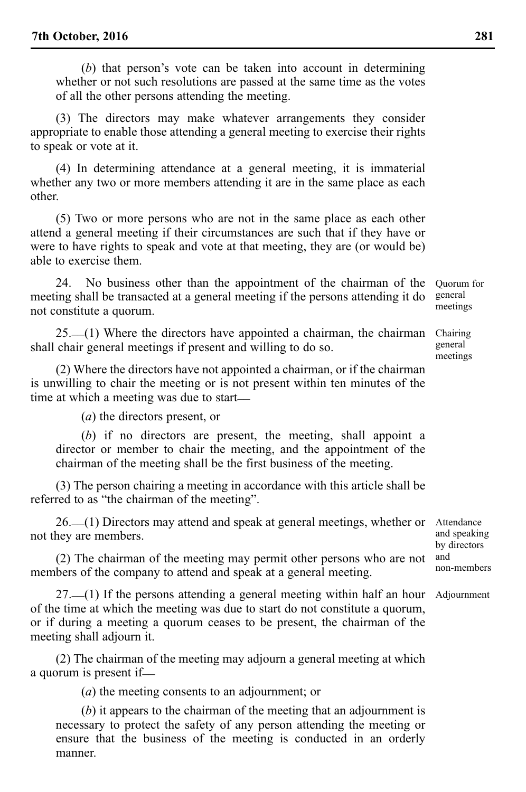(*b*) that person's vote can be taken into account in determining whether or not such resolutions are passed at the same time as the votes of all the other persons attending the meeting.

(3) The directors may make whatever arrangements they consider appropriate to enable those attending a general meeting to exercise their rights to speak or vote at it.

(4) In determining attendance at a general meeting, it is immaterial whether any two or more members attending it are in the same place as each other.

(5) Two or more persons who are not in the same place as each other attend a general meeting if their circumstances are such that if they have or were to have rights to speak and vote at that meeting, they are (or would be) able to exercise them.

24. No business other than the appointment of the chairman of the meeting shall be transacted at a general meeting if the persons attending it do not constitute a quorum.

 $25.$  (1) Where the directors have appointed a chairman, the chairman shall chair general meetings if present and willing to do so.

(2) Where the directors have not appointed a chairman, or if the chairman is unwilling to chair the meeting or is not present within ten minutes of the time at which a meeting was due to start—

(*a*) the directors present, or

(*b*) if no directors are present, the meeting, shall appoint a director or member to chair the meeting, and the appointment of the chairman of the meeting shall be the first business of the meeting.

(3) The person chairing a meeting in accordance with this article shall be referred to as "the chairman of the meeting".

26.\_\_(1) Directors may attend and speak at general meetings, whether or not they are members. Attendance and speaking by directors

(2) The chairman of the meeting may permit other persons who are not members of the company to attend and speak at a general meeting.

27.\_\_(1) If the persons attending a general meeting within half an hour Adjournment of the time at which the meeting was due to start do not constitute a quorum, or if during a meeting a quorum ceases to be present, the chairman of the meeting shall adjourn it.

(2) The chairman of the meeting may adjourn a general meeting at which a quorum is present if\_\_

(*a*) the meeting consents to an adjournment; or

(*b*) it appears to the chairman of the meeting that an adjournment is necessary to protect the safety of any person attending the meeting or ensure that the business of the meeting is conducted in an orderly manner.

Quorum for general meetings

Chairing general meetings

and non-members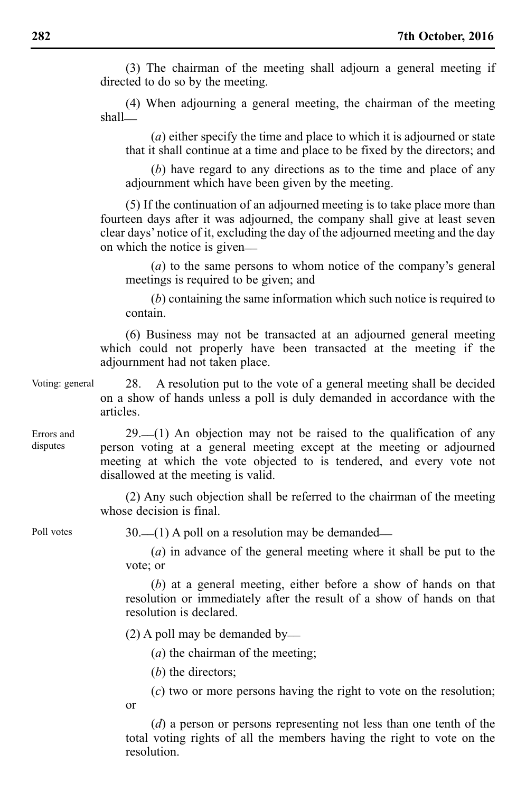(3) The chairman of the meeting shall adjourn a general meeting if directed to do so by the meeting.

(4) When adjourning a general meeting, the chairman of the meeting shall\_\_

(*a*) either specify the time and place to which it is adjourned or state that it shall continue at a time and place to be fixed by the directors; and

(*b*) have regard to any directions as to the time and place of any adjournment which have been given by the meeting.

(5) If the continuation of an adjourned meeting is to take place more than fourteen days after it was adjourned, the company shall give at least seven clear days' notice of it, excluding the day of the adjourned meeting and the day on which the notice is given\_\_

(*a*) to the same persons to whom notice of the company's general meetings is required to be given; and

(*b*) containing the same information which such notice is required to contain.

(6) Business may not be transacted at an adjourned general meeting which could not properly have been transacted at the meeting if the adjournment had not taken place.

28. A resolution put to the vote of a general meeting shall be decided on a show of hands unless a poll is duly demanded in accordance with the articles. Voting: general

> $29$ . (1) An objection may not be raised to the qualification of any person voting at a general meeting except at the meeting or adjourned meeting at which the vote objected to is tendered, and every vote not disallowed at the meeting is valid.

(2) Any such objection shall be referred to the chairman of the meeting whose decision is final.

Poll votes

Errors and disputes

 $30$ .—(1) A poll on a resolution may be demanded—

(*a*) in advance of the general meeting where it shall be put to the vote; or

(*b*) at a general meeting, either before a show of hands on that resolution or immediately after the result of a show of hands on that resolution is declared.

(2) A poll may be demanded by\_\_

(*a*) the chairman of the meeting;

(*b*) the directors;

or

(*c*) two or more persons having the right to vote on the resolution;

(*d*) a person or persons representing not less than one tenth of the total voting rights of all the members having the right to vote on the resolution.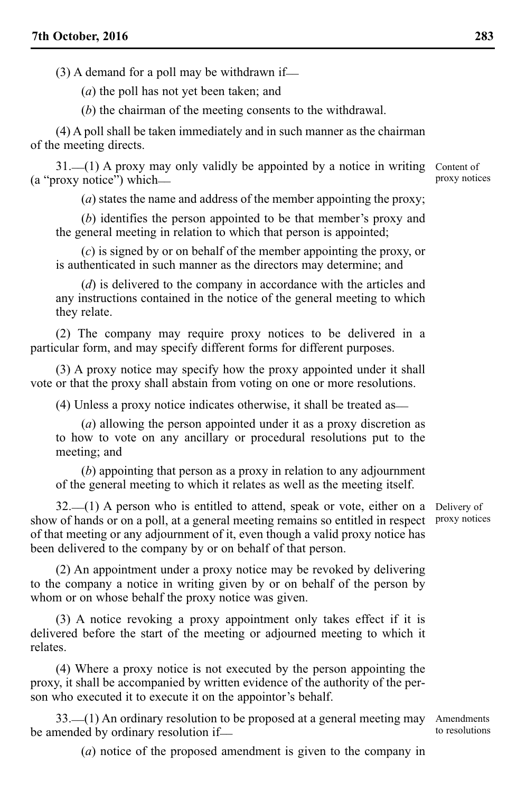$(3)$  A demand for a poll may be withdrawn if—

(*a*) the poll has not yet been taken; and

(*b*) the chairman of the meeting consents to the withdrawal.

(4) A poll shall be taken immediately and in such manner as the chairman of the meeting directs.

 $31.$  (1) A proxy may only validly be appointed by a notice in writing (a "proxy notice") which\_\_

Content of proxy notices

(*a*) states the name and address of the member appointing the proxy;

(*b*) identifies the person appointed to be that member's proxy and the general meeting in relation to which that person is appointed;

(*c*) is signed by or on behalf of the member appointing the proxy, or is authenticated in such manner as the directors may determine; and

(*d*) is delivered to the company in accordance with the articles and any instructions contained in the notice of the general meeting to which they relate.

(2) The company may require proxy notices to be delivered in a particular form, and may specify different forms for different purposes.

(3) A proxy notice may specify how the proxy appointed under it shall vote or that the proxy shall abstain from voting on one or more resolutions.

(4) Unless a proxy notice indicates otherwise, it shall be treated as\_\_

(*a*) allowing the person appointed under it as a proxy discretion as to how to vote on any ancillary or procedural resolutions put to the meeting; and

(*b*) appointing that person as a proxy in relation to any adjournment of the general meeting to which it relates as well as the meeting itself.

 $32.$  (1) A person who is entitled to attend, speak or vote, either on a show of hands or on a poll, at a general meeting remains so entitled in respect of that meeting or any adjournment of it, even though a valid proxy notice has been delivered to the company by or on behalf of that person. Delivery of proxy notices

(2) An appointment under a proxy notice may be revoked by delivering

to the company a notice in writing given by or on behalf of the person by whom or on whose behalf the proxy notice was given.

(3) A notice revoking a proxy appointment only takes effect if it is delivered before the start of the meeting or adjourned meeting to which it relates.

(4) Where a proxy notice is not executed by the person appointing the proxy, it shall be accompanied by written evidence of the authority of the person who executed it to execute it on the appointor's behalf.

33.\_\_(1) An ordinary resolution to be proposed at a general meeting may be amended by ordinary resolution if—

Amendments to resolutions

(*a*) notice of the proposed amendment is given to the company in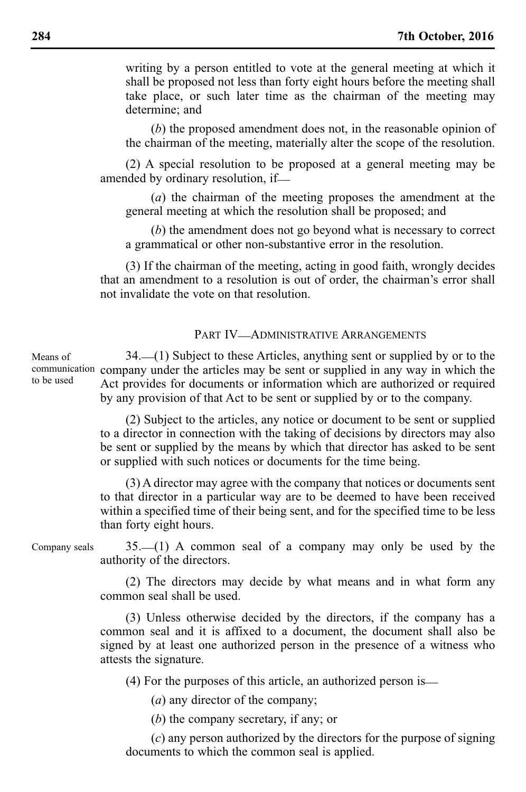writing by a person entitled to vote at the general meeting at which it shall be proposed not less than forty eight hours before the meeting shall take place, or such later time as the chairman of the meeting may determine; and

(*b*) the proposed amendment does not, in the reasonable opinion of the chairman of the meeting, materially alter the scope of the resolution.

(2) A special resolution to be proposed at a general meeting may be amended by ordinary resolution, if\_\_

(*a*) the chairman of the meeting proposes the amendment at the general meeting at which the resolution shall be proposed; and

(*b*) the amendment does not go beyond what is necessary to correct a grammatical or other non-substantive error in the resolution.

(3) If the chairman of the meeting, acting in good faith, wrongly decides that an amendment to a resolution is out of order, the chairman's error shall not invalidate the vote on that resolution.

#### PART IV\_ADMINISTRATIVE ARRANGEMENTS

34.\_\_(1) Subject to these Articles, anything sent or supplied by or to the company under the articles may be sent or supplied in any way in which the communication Act provides for documents or information which are authorized or required by any provision of that Act to be sent or supplied by or to the company. Means of to be used

> (2) Subject to the articles, any notice or document to be sent or supplied to a director in connection with the taking of decisions by directors may also be sent or supplied by the means by which that director has asked to be sent or supplied with such notices or documents for the time being.

> (3) A director may agree with the company that notices or documents sent to that director in a particular way are to be deemed to have been received within a specified time of their being sent, and for the specified time to be less than forty eight hours.

Company seals

35.\_\_(1) A common seal of a company may only be used by the authority of the directors.

(2) The directors may decide by what means and in what form any common seal shall be used.

(3) Unless otherwise decided by the directors, if the company has a common seal and it is affixed to a document, the document shall also be signed by at least one authorized person in the presence of a witness who attests the signature.

 $(4)$  For the purposes of this article, an authorized person is—

(*a*) any director of the company;

(*b*) the company secretary, if any; or

(*c*) any person authorized by the directors for the purpose of signing documents to which the common seal is applied.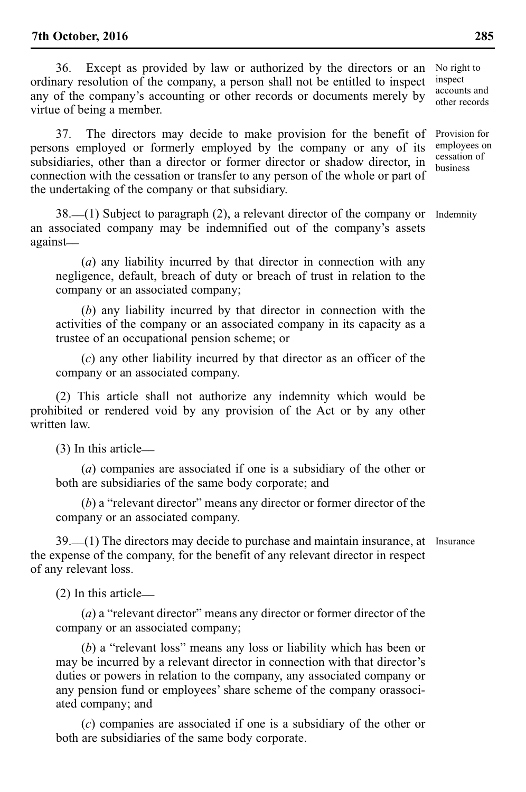36. Except as provided by law or authorized by the directors or an ordinary resolution of the company, a person shall not be entitled to inspect any of the company's accounting or other records or documents merely by virtue of being a member.

37. The directors may decide to make provision for the benefit of persons employed or formerly employed by the company or any of its subsidiaries, other than a director or former director or shadow director, in connection with the cessation or transfer to any person of the whole or part of the undertaking of the company or that subsidiary.

38. (1) Subject to paragraph (2), a relevant director of the company or Indemnity an associated company may be indemnified out of the company's assets against\_\_

(*a*) any liability incurred by that director in connection with any negligence, default, breach of duty or breach of trust in relation to the company or an associated company;

(*b*) any liability incurred by that director in connection with the activities of the company or an associated company in its capacity as a trustee of an occupational pension scheme; or

(*c*) any other liability incurred by that director as an officer of the company or an associated company.

(2) This article shall not authorize any indemnity which would be prohibited or rendered void by any provision of the Act or by any other written law.

(3) In this article\_\_

(*a*) companies are associated if one is a subsidiary of the other or both are subsidiaries of the same body corporate; and

(*b*) a "relevant director" means any director or former director of the company or an associated company.

39.\_\_(1) The directors may decide to purchase and maintain insurance, at Insurance the expense of the company, for the benefit of any relevant director in respect of any relevant loss.

(2) In this article\_\_

(*a*) a "relevant director" means any director or former director of the company or an associated company;

(*b*) a "relevant loss" means any loss or liability which has been or may be incurred by a relevant director in connection with that director's duties or powers in relation to the company, any associated company or any pension fund or employees' share scheme of the company orassociated company; and

(*c*) companies are associated if one is a subsidiary of the other or both are subsidiaries of the same body corporate.

No right to inspect accounts and other records

Provision for employees on cessation of business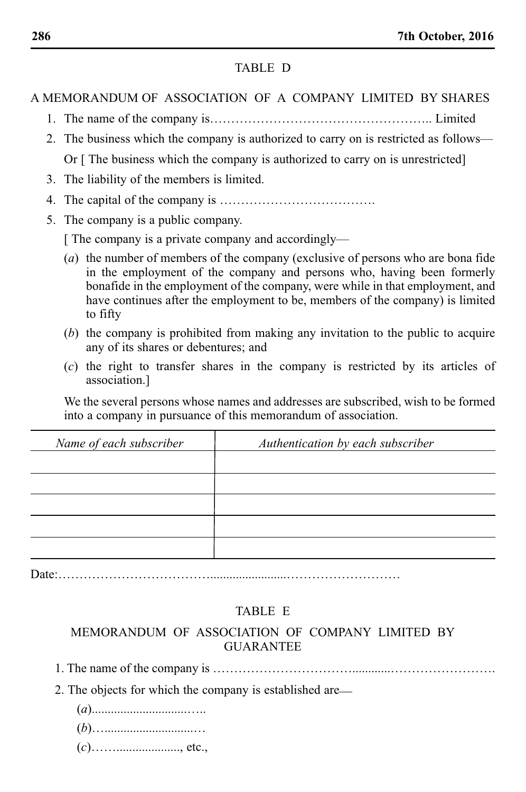### TABLE D

A MEMORANDUM OF ASSOCIATION OF A COMPANY LIMITED BY SHARES

- 1. The name of the company is…………………………………………….. Limited
- 2. The business which the company is authorized to carry on is restricted as follows— Or [ The business which the company is authorized to carry on is unrestricted]
- 3. The liability of the members is limited.
- 4. The capital of the company is ……………………………….
- 5. The company is a public company.

[ The company is a private company and accordingly—

- (*a*) the number of members of the company (exclusive of persons who are bona fide in the employment of the company and persons who, having been formerly bonafide in the employment of the company, were while in that employment, and have continues after the employment to be, members of the company) is limited to fifty
- (*b*) the company is prohibited from making any invitation to the public to acquire any of its shares or debentures; and
- (*c*) the right to transfer shares in the company is restricted by its articles of association.]

We the several persons whose names and addresses are subscribed, wish to be formed into a company in pursuance of this memorandum of association.

| Name of each subscriber | Authentication by each subscriber |
|-------------------------|-----------------------------------|
|                         |                                   |
|                         |                                   |
|                         |                                   |
|                         |                                   |
|                         |                                   |
| $\sim$ $\sim$           |                                   |

### Date:

# TABLE E

# MEMORANDUM OF ASSOCIATION OF COMPANY LIMITED BY GUARANTEE

1. The name of the company is ……………………………............…………………….

2. The objects for which the company is established are\_\_

(*a*)..............................….. (*b*)…............................… (*c*)……...................., etc.,